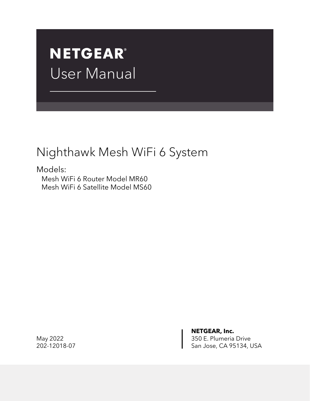# **NETGEAR®** User Manual

# Nighthawk Mesh WiFi 6 System

Models: Mesh WiFi 6 Router Model MR60 Mesh WiFi 6 Satellite Model MS60

**NETGEAR, Inc.** May 2022 **350 E. Plumeria Drive** 202-12018-07 San Jose, CA 95134, USA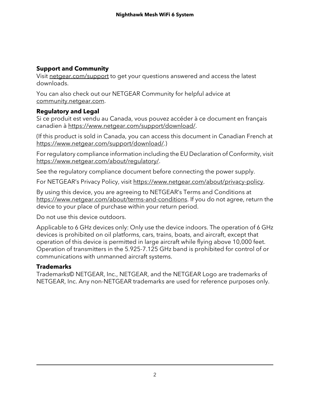## **Support and Community**

Visit [netgear.com/support](https://www.netgear.com/support/) to get your questions answered and access the latest downloads.

You can also check out our NETGEAR Community for helpful advice at [community.netgear.com](https://community.netgear.com/).

## **Regulatory and Legal**

Si ce produit est vendu au Canada, vous pouvez accéder à ce document en français canadien à <https://www.netgear.com/support/download/>.

(If this product is sold in Canada, you can access this document in Canadian French at <https://www.netgear.com/support/download/>.)

For regulatory compliance information including the EU Declaration of Conformity, visit [https://www.netgear.com/about/regulatory/.](https://www.netgear.com/about/regulatory/)

See the regulatory compliance document before connecting the power supply.

For NETGEAR's Privacy Policy, visit [https://www.netgear.com/about/privacy-policy.](https://www.netgear.com/about/privacy-policy/)

By using this device, you are agreeing to NETGEAR's Terms and Conditions at [https://www.netgear.com/about/terms-and-conditions.](https://www.netgear.com/about/terms-and-conditions/) If you do not agree, return the device to your place of purchase within your return period.

Do not use this device outdoors.

Applicable to 6 GHz devices only: Only use the device indoors. The operation of 6 GHz devices is prohibited on oil platforms, cars, trains, boats, and aircraft, except that operation of this device is permitted in large aircraft while flying above 10,000 feet. Operation of transmitters in the 5.925-7.125 GHz band is prohibited for control of or communications with unmanned aircraft systems.

#### **Trademarks**

Trademarks© NETGEAR, Inc., NETGEAR, and the NETGEAR Logo are trademarks of NETGEAR, Inc. Any non-NETGEAR trademarks are used for reference purposes only.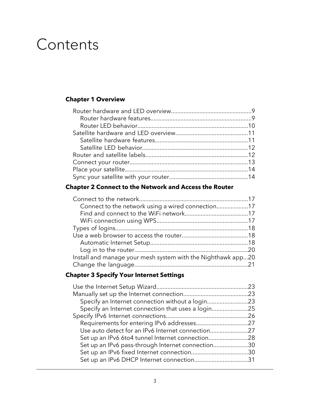# Contents

## **Chapter 1 [Overview](#page-7-0)**

## **Chapter 2 Connect to the [Network](#page-15-0) and Access the Router**

| Connect to the network using a wired connection17            |  |
|--------------------------------------------------------------|--|
|                                                              |  |
|                                                              |  |
|                                                              |  |
|                                                              |  |
|                                                              |  |
|                                                              |  |
| Install and manage your mesh system with the Nighthawk app20 |  |
|                                                              |  |

## **Chapter 3 Specify Your Internet [Settings](#page-21-0)**

| Specify an Internet connection without a login23   |  |
|----------------------------------------------------|--|
| Specify an Internet connection that uses a login25 |  |
|                                                    |  |
|                                                    |  |
| Use auto detect for an IPv6 Internet connection27  |  |
| Set up an IPv6 6to4 tunnel Internet connection28   |  |
| Set up an IPv6 pass-through Internet connection30  |  |
|                                                    |  |
| Set up an IPv6 DHCP Internet connection31          |  |
|                                                    |  |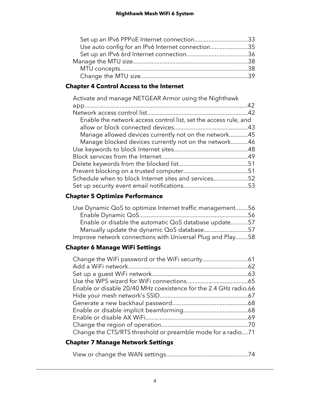| Set up an IPv6 PPPoE Internet connection33        |  |
|---------------------------------------------------|--|
| Use auto config for an IPv6 Internet connection35 |  |
|                                                   |  |
|                                                   |  |
|                                                   |  |
|                                                   |  |

## **Chapter 4 Control Access to the [Internet](#page-40-0)**

| Activate and manage NETGEAR Armor using the Nighthawk            |  |
|------------------------------------------------------------------|--|
|                                                                  |  |
|                                                                  |  |
| Enable the network access control list, set the access rule, and |  |
|                                                                  |  |
| Manage allowed devices currently not on the network45            |  |
| Manage blocked devices currently not on the network46            |  |
|                                                                  |  |
|                                                                  |  |
|                                                                  |  |
|                                                                  |  |
| Schedule when to block Internet sites and services52             |  |
|                                                                  |  |

## **Chapter 5 Optimize [Performance](#page-54-0)**

| Use Dynamic QoS to optimize Internet traffic management56  |  |
|------------------------------------------------------------|--|
|                                                            |  |
| Enable or disable the automatic QoS database update57      |  |
| Manually update the dynamic QoS database57                 |  |
| Improve network connections with Universal Plug and Play58 |  |

## **Chapter 6 Manage WiFi [Settings](#page-59-0)**

| Enable or disable 20/40 MHz coexistence for the 2.4 GHz radio.66 |  |
|------------------------------------------------------------------|--|
|                                                                  |  |
|                                                                  |  |
|                                                                  |  |
|                                                                  |  |
|                                                                  |  |
| Change the CTS/RTS threshold or preamble mode for a radio71      |  |

## **Chapter 7 Manage [Network](#page-72-0) Settings**

|--|--|--|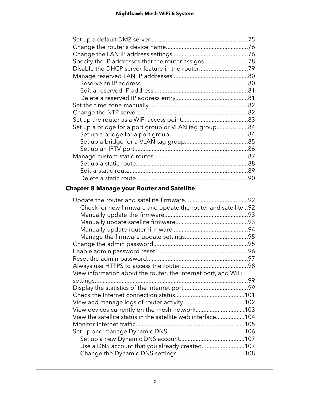| Specify the IP addresses that the router assigns78   |
|------------------------------------------------------|
| Disable the DHCP server feature in the router79      |
|                                                      |
|                                                      |
|                                                      |
|                                                      |
|                                                      |
|                                                      |
|                                                      |
| Set up a bridge for a port group or VLAN tag group84 |
|                                                      |
|                                                      |
|                                                      |
|                                                      |
|                                                      |
|                                                      |
|                                                      |
|                                                      |

## **Chapter 8 Manage your Router and [Satellite](#page-90-0)**

|                                                                | 92 |
|----------------------------------------------------------------|----|
| Check for new firmware and update the router and satellite92   |    |
|                                                                |    |
|                                                                |    |
|                                                                |    |
|                                                                |    |
|                                                                |    |
|                                                                |    |
|                                                                |    |
|                                                                |    |
| View information about the router, the Internet port, and WiFi |    |
|                                                                |    |
|                                                                |    |
|                                                                |    |
|                                                                |    |
| View devices currently on the mesh network103                  |    |
| View the satellite status in the satellite web interface104    |    |
|                                                                |    |
|                                                                |    |
|                                                                |    |
| Use a DNS account that you already created107                  |    |
|                                                                |    |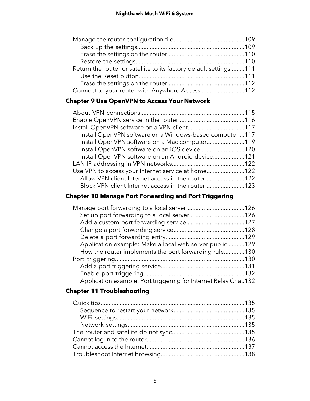| Return the router or satellite to its factory default settings111 |  |
|-------------------------------------------------------------------|--|
|                                                                   |  |
|                                                                   |  |
| Connect to your router with Anywhere Access112                    |  |

## **Chapter 9 Use [OpenVPN](#page-113-0) to Access Your Network**

| Install OpenVPN software on a Windows-based computer117 |  |
|---------------------------------------------------------|--|
| Install OpenVPN software on a Mac computer119           |  |
| Install OpenVPN software on an iOS device120            |  |
| Install OpenVPN software on an Android device121        |  |
|                                                         |  |
| Use VPN to access your Internet service at home122      |  |
| Allow VPN client Internet access in the router122       |  |
| Block VPN client Internet access in the router123       |  |
|                                                         |  |

## **Chapter 10 Manage Port [Forwarding](#page-124-0) and Port Triggering**

| Application example: Make a local web server public129           |  |
|------------------------------------------------------------------|--|
| How the router implements the port forwarding rule130            |  |
|                                                                  |  |
|                                                                  |  |
|                                                                  |  |
| Application example: Port triggering for Internet Relay Chat.132 |  |

## **Chapter 11 [Troubleshooting](#page-133-0)**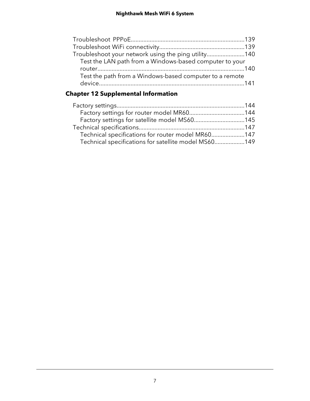| Troubleshoot your network using the ping utility140     |  |
|---------------------------------------------------------|--|
| Test the LAN path from a Windows-based computer to your |  |
|                                                         |  |
| Test the path from a Windows-based computer to a remote |  |
|                                                         |  |

## **Chapter 12 [Supplemental](#page-142-0) Information**

| Factory settings for router model MR60144             |
|-------------------------------------------------------|
| Factory settings for satellite model MS60145          |
|                                                       |
| Technical specifications for router model MR60147     |
| Technical specifications for satellite model MS60 149 |
|                                                       |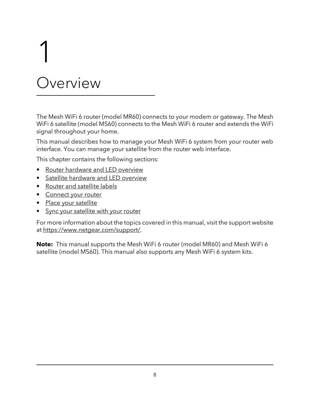# Overview

<span id="page-7-0"></span>1

The Mesh WiFi 6 router (model MR60) connects to your modem or gateway. The Mesh WiFi 6 satellite (model MS60) connects to the Mesh WiFi 6 router and extends the WiFi signal throughout your home.

This manual describes how to manage your Mesh WiFi 6 system from your router web interface. You can manage your satellite from the router web interface.

This chapter contains the following sections:

- Router [hardware](#page-8-0) and LED overview
- Satellite [hardware](#page-10-0) and LED overview
- Router and [satellite](#page-11-1) labels
- [Connect](#page-12-0) your router
- Place your [satellite](#page-13-0)
- Sync your [satellite](#page-13-1) with your router

For more information about the topics covered in this manual, visit the support website at [https://www.netgear.com/support/.](https://www.netgear.com/support/)

**Note:** This manual supports the Mesh WiFi 6 router (model MR60) and Mesh WiFi 6 satellite (model MS60). This manual also supports any Mesh WiFi 6 system kits.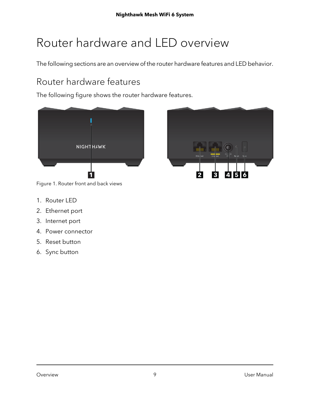# <span id="page-8-0"></span>Router hardware and LED overview

<span id="page-8-1"></span>The following sections are an overview of the router hardware features and LED behavior.

# Router hardware features

The following figure shows the router hardware features.





Figure 1. Router front and back views

- 1. Router LED
- 2. Ethernet port
- 3. Internet port
- 4. Power connector
- 5. Reset button
- 6. Sync button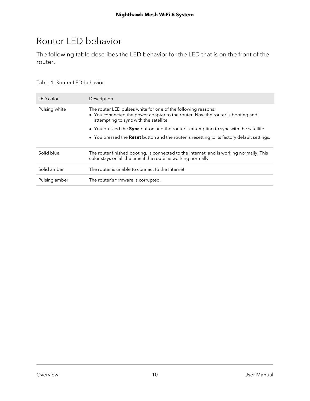# <span id="page-9-0"></span>Router LED behavior

The following table describes the LED behavior for the LED that is on the front of the router.

#### Table 1. Router LED behavior

| LED color     | Description                                                                                                                                                                               |
|---------------|-------------------------------------------------------------------------------------------------------------------------------------------------------------------------------------------|
| Pulsing white | The router LED pulses white for one of the following reasons:<br>• You connected the power adapter to the router. Now the router is booting and<br>attempting to sync with the satellite. |
|               | • You pressed the <b>Sync</b> button and the router is attempting to sync with the satellite.                                                                                             |
|               | • You pressed the Reset button and the router is resetting to its factory default settings.                                                                                               |
| Solid blue    | The router finished booting, is connected to the Internet, and is working normally. This<br>color stays on all the time if the router is working normally.                                |
| Solid amber   | The router is unable to connect to the Internet.                                                                                                                                          |
| Pulsing amber | The router's firmware is corrupted.                                                                                                                                                       |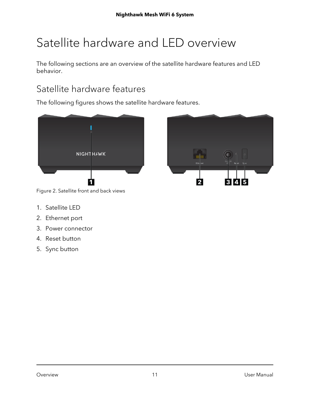# <span id="page-10-0"></span>Satellite hardware and LED overview

<span id="page-10-1"></span>The following sections are an overview of the satellite hardware features and LED behavior.

# Satellite hardware features

The following figures shows the satellite hardware features.





Figure 2. Satellite front and back views

- 1. Satellite LED
- 2. Ethernet port
- 3. Power connector
- 4. Reset button
- 5. Sync button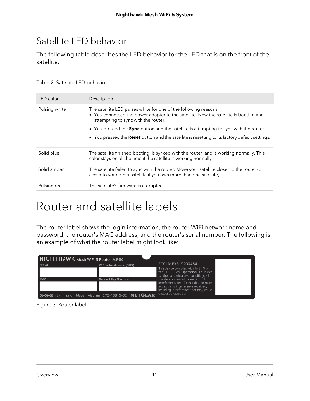# <span id="page-11-0"></span>Satellite LED behavior

The following table describes the LED behavior for the LED that is on the front of the satellite.

#### Table 2. Satellite LED behavior

| LED color     | Description                                                                                                                                                                                     |
|---------------|-------------------------------------------------------------------------------------------------------------------------------------------------------------------------------------------------|
| Pulsing white | The satellite LED pulses white for one of the following reasons:<br>• You connected the power adapter to the satellite. Now the satellite is booting and<br>attempting to sync with the router. |
|               | • You pressed the <b>Sync</b> button and the satellite is attempting to sync with the router.                                                                                                   |
|               | • You pressed the <b>Reset</b> button and the satellite is resetting to its factory default settings.                                                                                           |
| Solid blue    | The satellite finished booting, is synced with the router, and is working normally. This<br>color stays on all the time if the satellite is working normally.                                   |
| Solid amber   | The satellite failed to sync with the router. Move your satellite closer to the router (or<br>closer to your other satellite if you own more than one satellite).                               |
| Pulsing red   | The satellite's firmware is corrupted.                                                                                                                                                          |

# <span id="page-11-1"></span>Router and satellite labels

The router label shows the login information, the router WiFi network name and password, the router's MAC address, and the router's serial number. The following is an example of what the router label might look like:

| NIGHTHAWK Mesh WiFi 6 Router MR60                                             |                          |                                                                                                                                                                                                   |  |
|-------------------------------------------------------------------------------|--------------------------|---------------------------------------------------------------------------------------------------------------------------------------------------------------------------------------------------|--|
| <b>SERIAL</b>                                                                 | WiFi Network Name (SSID) | FCC ID: PY319200454<br>This device complies with Part 15 of<br>the FCC Rules. Operation is subject                                                                                                |  |
| MAC                                                                           | Network Key (Password)   | to the following two conditions: (1)<br>this device may not cause harmful<br>interference, and (2) this device must<br>accept any interference received.<br>including interference that may cause |  |
| <b>O-C-</b> $\oplus$ 12V === 1.5A Made in Vietnam 272-13315-02 <b>NETGEAR</b> |                          | undesired operation                                                                                                                                                                               |  |

Figure 3. Router label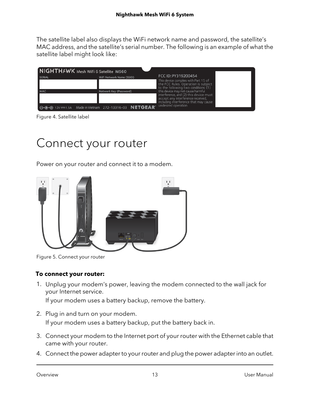The satellite label also displays the WiFi network name and password, the satellite's MAC address, and the satellite's serial number. The following is an example of what the satellite label might look like:

| NIGHTHAWK Mesh WiFi 6 Satellite MS60                    |                          |                                                                                                                                                           |  |  |
|---------------------------------------------------------|--------------------------|-----------------------------------------------------------------------------------------------------------------------------------------------------------|--|--|
| <b>SERIAL</b>                                           | WiFi Network Name (SSID) | FCC ID: PY319200454<br>This device complies with Part 15 of<br>the FCC Rules. Operation is subject<br>to the following two conditions: (1)                |  |  |
| MAC                                                     | Network Key (Password)   | this device may not cause harmful<br>interference, and (2) this device must<br>accept any interference received,<br>including interference that may cause |  |  |
| 0-6-0 12V === 1.5A Made in Vietnam 272-13316-03 NETGEAR |                          | undesired operation                                                                                                                                       |  |  |

<span id="page-12-0"></span>Figure 4. Satellite label

# Connect your router

Power on your router and connect it to a modem.



Figure 5. Connect your router

#### **To connect your router:**

1. Unplug your modem's power, leaving the modem connected to the wall jack for your Internet service.

If your modem uses a battery backup, remove the battery.

- 2. Plug in and turn on your modem. If your modem uses a battery backup, put the battery back in.
- 3. Connect your modem to the Internet port of your router with the Ethernet cable that came with your router.
- 4. Connect the power adapter to your router and plug the power adapter into an outlet.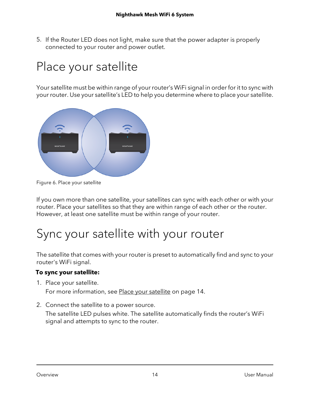5. If the Router LED does not light, make sure that the power adapter is properly connected to your router and power outlet.

# <span id="page-13-0"></span>Place your satellite

Your satellite must be within range of your router's WiFi signal in order for it to sync with your router. Use your satellite's LED to help you determine where to place your satellite.



Figure 6. Place your satellite

<span id="page-13-1"></span>If you own more than one satellite, your satellites can sync with each other or with your router. Place your satellites so that they are within range of each other or the router. However, at least one satellite must be within range of your router.

# Sync your satellite with your router

The satellite that comes with your router is preset to automatically find and sync to your router's WiFi signal.

## **To sync your satellite:**

1. Place your satellite.

For more information, see Place your [satellite](#page-13-0) on page 14.

2. Connect the satellite to a power source.

The satellite LED pulses white. The satellite automatically finds the router's WiFi signal and attempts to sync to the router.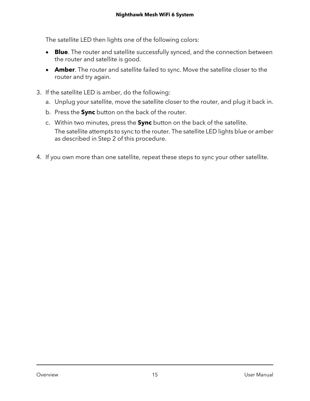The satellite LED then lights one of the following colors:

- **Blue**. The router and satellite successfully synced, and the connection between the router and satellite is good.
- **Amber**. The router and satellite failed to sync. Move the satellite closer to the router and try again.
- 3. If the satellite LED is amber, do the following:
	- a. Unplug your satellite, move the satellite closer to the router, and plug it back in.
	- b. Press the **Sync** button on the back of the router.
	- c. Within two minutes, press the **Sync** button on the back of the satellite. The satellite attempts to sync to the router. The satellite LED lights blue or amber as described in Step 2 of this procedure.
- 4. If you own more than one satellite, repeat these steps to sync your other satellite.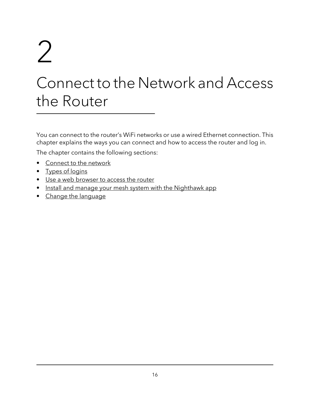# <span id="page-15-0"></span>2

# Connect to the Network and Access the Router

You can connect to the router's WiFi networks or use a wired Ethernet connection. This chapter explains the ways you can connect and how to access the router and log in.

The chapter contains the following sections:

- [Connect](#page-16-0) to the network
- Types of [logins](#page-17-0)
- Use a web [browser](#page-17-1) to access the router
- Install and manage your mesh system with the [Nighthawk](#page-19-1) app
- Change the [language](#page-20-0)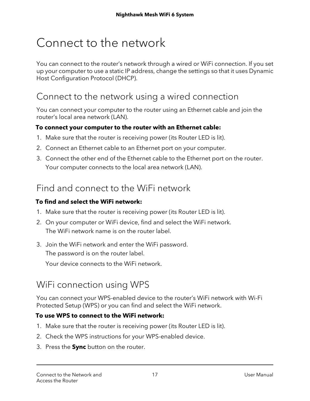# <span id="page-16-0"></span>Connect to the network

You can connect to the router's network through a wired or WiFi connection. If you set up your computer to use a static IP address, change the settings so that it uses Dynamic Host Configuration Protocol (DHCP).

# <span id="page-16-1"></span>Connect to the network using a wired connection

You can connect your computer to the router using an Ethernet cable and join the router's local area network (LAN).

## **To connect your computer to the router with an Ethernet cable:**

- 1. Make sure that the router is receiving power (its Router LED is lit).
- 2. Connect an Ethernet cable to an Ethernet port on your computer.
- <span id="page-16-2"></span>3. Connect the other end of the Ethernet cable to the Ethernet port on the router. Your computer connects to the local area network (LAN).

# Find and connect to the WiFi network

## **To find and select the WiFi network:**

- 1. Make sure that the router is receiving power (its Router LED is lit).
- 2. On your computer or WiFi device, find and select the WiFi network. The WiFi network name is on the router label.
- <span id="page-16-3"></span>3. Join the WiFi network and enter the WiFi password. The password is on the router label.

Your device connects to the WiFi network.

# WiFi connection using WPS

You can connect your WPS-enabled device to the router's WiFi network with Wi-Fi Protected Setup (WPS) or you can find and select the WiFi network.

## **To use WPS to connect to the WiFi network:**

- 1. Make sure that the router is receiving power (its Router LED is lit).
- 2. Check the WPS instructions for your WPS-enabled device.
- 3. Press the **Sync** button on the router.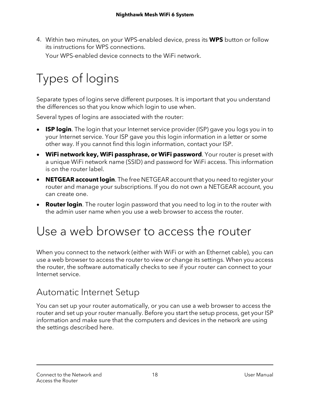4. Within two minutes, on your WPS-enabled device, press its **WPS** button or follow its instructions for WPS connections. Your WPS-enabled device connects to the WiFi network.

# <span id="page-17-0"></span>Types of logins

Separate types of logins serve different purposes. It is important that you understand the differences so that you know which login to use when.

Several types of logins are associated with the router:

- **ISP login**. The login that your Internet service provider (ISP) gave you logs you in to your Internet service. Your ISP gave you this login information in a letter or some other way. If you cannot find this login information, contact your ISP.
- **WiFi network key, WiFi passphrase, or WiFi password**. Your router is preset with a unique WiFi network name (SSID) and password for WiFi access. This information is on the router label.
- **NETGEAR account login**. The free NETGEAR account that you need to register your router and manage your subscriptions. If you do not own a NETGEAR account, you can create one.
- <span id="page-17-1"></span>• **Router login**. The router login password that you need to log in to the router with the admin user name when you use a web browser to access the router.

# Use a web browser to access the router

<span id="page-17-2"></span>When you connect to the network (either with WiFi or with an Ethernet cable), you can use a web browser to access the router to view or change its settings. When you access the router, the software automatically checks to see if your router can connect to your Internet service.

# Automatic Internet Setup

You can set up your router automatically, or you can use a web browser to access the router and set up your router manually. Before you start the setup process, get your ISP information and make sure that the computers and devices in the network are using the settings described here.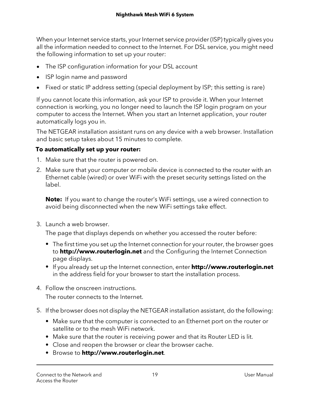When your Internet service starts, your Internet service provider (ISP) typically gives you all the information needed to connect to the Internet. For DSL service, you might need the following information to set up your router:

- The ISP configuration information for your DSL account
- ISP login name and password
- Fixed or static IP address setting (special deployment by ISP; this setting is rare)

If you cannot locate this information, ask your ISP to provide it. When your Internet connection is working, you no longer need to launch the ISP login program on your computer to access the Internet. When you start an Internet application, your router automatically logs you in.

The NETGEAR installation assistant runs on any device with a web browser. Installation and basic setup takes about 15 minutes to complete.

#### **To automatically set up your router:**

- 1. Make sure that the router is powered on.
- 2. Make sure that your computer or mobile device is connected to the router with an Ethernet cable (wired) or over WiFi with the preset security settings listed on the label.

**Note:** If you want to change the router's WiFi settings, use a wired connection to avoid being disconnected when the new WiFi settings take effect.

3. Launch a web browser.

The page that displays depends on whether you accessed the router before:

- **•** The first time you set up the Internet connection for your router, the browser goes to **http://www.routerlogin.net** and the Configuring the Internet Connection page displays.
- **•** If you already set up the Internet connection, enter **http://www.routerlogin.net** in the address field for your browser to start the installation process.
- 4. Follow the onscreen instructions.

The router connects to the Internet.

- 5. If the browser does not display the NETGEAR installation assistant, do the following:
	- **•** Make sure that the computer is connected to an Ethernet port on the router or satellite or to the mesh WiFi network.
	- **•** Make sure that the router is receiving power and that its Router LED is lit.
	- **•** Close and reopen the browser or clear the browser cache.
	- **•** Browse to **http://www.routerlogin.net**.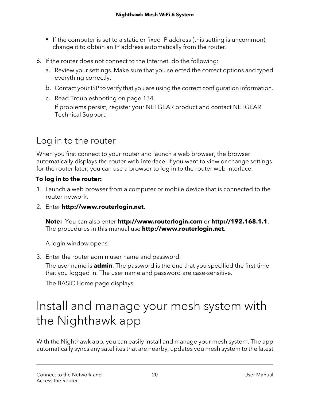- **•** If the computer is set to a static or fixed IP address (this setting is uncommon), change it to obtain an IP address automatically from the router.
- 6. If the router does not connect to the Internet, do the following:
	- a. Review your settings. Make sure that you selected the correct options and typed everything correctly.
	- b. Contact your ISP to verify that you are using the correct configuration information.
	- c. Read [Troubleshooting](#page-133-0) on page 134. If problems persist, register your NETGEAR product and contact NETGEAR Technical Support.

# <span id="page-19-0"></span>Log in to the router

When you first connect to your router and launch a web browser, the browser automatically displays the router web interface. If you want to view or change settings for the router later, you can use a browser to log in to the router web interface.

#### **To log in to the router:**

- 1. Launch a web browser from a computer or mobile device that is connected to the router network.
- 2. Enter **http://www.routerlogin.net**.

**Note:** You can also enter **http://www.routerlogin.com** or **http://192.168.1.1**. The procedures in this manual use **http://www.routerlogin.net**.

A login window opens.

<span id="page-19-1"></span>3. Enter the router admin user name and password.

The user name is **admin**. The password is the one that you specified the first time that you logged in. The user name and password are case-sensitive.

The BASIC Home page displays.

# Install and manage your mesh system with the Nighthawk app

With the Nighthawk app, you can easily install and manage your mesh system. The app automatically syncs any satellites that are nearby, updates you mesh system to the latest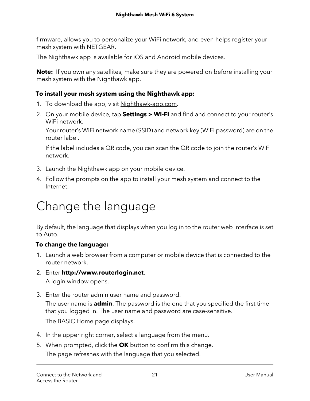firmware, allows you to personalize your WiFi network, and even helps register your mesh system with NETGEAR.

The Nighthawk app is available for iOS and Android mobile devices.

**Note:** If you own any satellites, make sure they are powered on before installing your mesh system with the Nighthawk app.

## **To install your mesh system using the Nighthawk app:**

- 1. To download the app, visit [Nighthawk-app.com](http://Nighthawk-app.com).
- 2. On your mobile device, tap **Settings > Wi-Fi** and find and connect to your router's WiFi network.

Your router's WiFi network name (SSID) and network key (WiFi password) are on the router label.

If the label includes a QR code, you can scan the QR code to join the router's WiFi network.

- 3. Launch the Nighthawk app on your mobile device.
- <span id="page-20-0"></span>4. Follow the prompts on the app to install your mesh system and connect to the Internet.

# Change the language

By default, the language that displays when you log in to the router web interface is set to Auto.

## **To change the language:**

- 1. Launch a web browser from a computer or mobile device that is connected to the router network.
- 2. Enter **http://www.routerlogin.net**. A login window opens.
- 3. Enter the router admin user name and password. The user name is **admin**. The password is the one that you specified the first time that you logged in. The user name and password are case-sensitive.

The BASIC Home page displays.

- 4. In the upper right corner, select a language from the menu.
- 5. When prompted, click the **OK** button to confirm this change. The page refreshes with the language that you selected.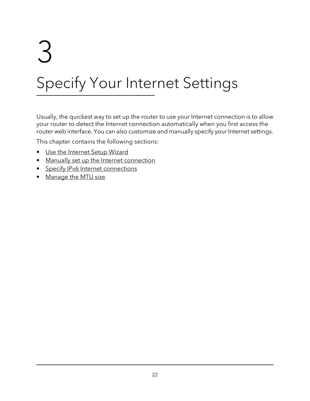# <span id="page-21-0"></span>3

# Specify Your Internet Settings

Usually, the quickest way to set up the router to use your Internet connection is to allow your router to detect the Internet connection automatically when you first access the router web interface. You can also customize and manually specify your Internet settings.

This chapter contains the following sections:

- Use the [Internet](#page-22-0) Setup Wizard
- Manually set up the Internet [connection](#page-22-1)
- Specify IPv6 Internet [connections](#page-25-0)
- [Manage](#page-37-0) the MTU size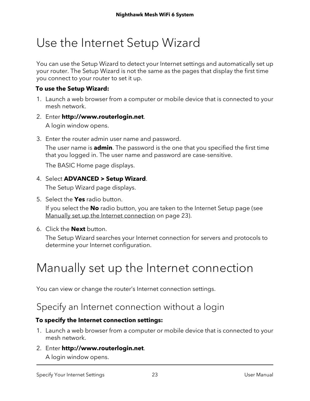# <span id="page-22-0"></span>Use the Internet Setup Wizard

You can use the Setup Wizard to detect your Internet settings and automatically set up your router. The Setup Wizard is not the same as the pages that display the first time you connect to your router to set it up.

#### **To use the Setup Wizard:**

- 1. Launch a web browser from a computer or mobile device that is connected to your mesh network.
- 2. Enter **http://www.routerlogin.net**. A login window opens.
- 3. Enter the router admin user name and password.

The user name is **admin**. The password is the one that you specified the first time that you logged in. The user name and password are case-sensitive.

The BASIC Home page displays.

#### 4. Select **ADVANCED > Setup Wizard**.

The Setup Wizard page displays.

5. Select the **Yes** radio button.

If you select the **No** radio button, you are taken to the Internet Setup page (see Manually set up the Internet [connection](#page-22-1) on page 23).

<span id="page-22-1"></span>6. Click the **Next** button.

The Setup Wizard searches your Internet connection for servers and protocols to determine your Internet configuration.

# <span id="page-22-2"></span>Manually set up the Internet connection

You can view or change the router's Internet connection settings.

# Specify an Internet connection without a login

#### **To specify the Internet connection settings:**

- 1. Launch a web browser from a computer or mobile device that is connected to your mesh network.
- 2. Enter **http://www.routerlogin.net**. A login window opens.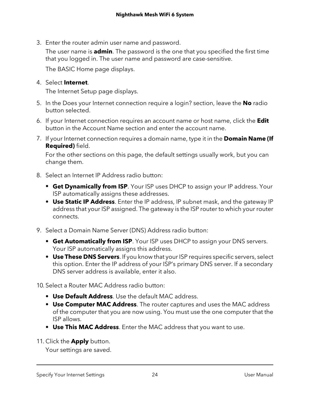3. Enter the router admin user name and password.

The user name is **admin**. The password is the one that you specified the first time that you logged in. The user name and password are case-sensitive.

The BASIC Home page displays.

#### 4. Select **Internet**.

The Internet Setup page displays.

- 5. In the Does your Internet connection require a login? section, leave the **No** radio button selected.
- 6. If your Internet connection requires an account name or host name, click the **Edit** button in the Account Name section and enter the account name.
- 7. If your Internet connection requires a domain name, type it in the **Domain Name (If Required)** field.

For the other sections on this page, the default settings usually work, but you can change them.

- 8. Select an Internet IP Address radio button:
	- **• Get Dynamically from ISP**. Your ISP uses DHCP to assign your IP address. Your ISP automatically assigns these addresses.
	- **• Use Static IP Address**. Enter the IP address, IP subnet mask, and the gateway IP address that your ISP assigned. The gateway is the ISP router to which your router connects.
- 9. Select a Domain Name Server (DNS) Address radio button:
	- **• Get Automatically from ISP**. Your ISP uses DHCP to assign your DNS servers. Your ISP automatically assigns this address.
	- **• Use These DNS Servers**. If you know that your ISP requires specific servers, select this option. Enter the IP address of your ISP's primary DNS server. If a secondary DNS server address is available, enter it also.

10. Select a Router MAC Address radio button:

- **• Use Default Address**. Use the default MAC address.
- **• Use Computer MAC Address**. The router captures and uses the MAC address of the computer that you are now using. You must use the one computer that the ISP allows.
- **• Use This MAC Address**. Enter the MAC address that you want to use.
- 11. Click the **Apply** button.

Your settings are saved.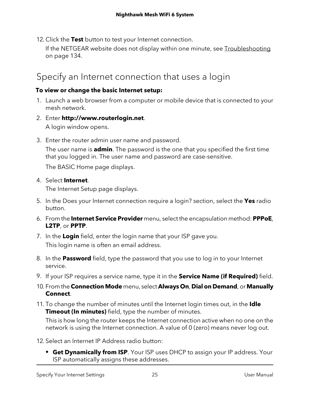12. Click the **Test** button to test your Internet connection.

If the NETGEAR website does not display within one minute, see [Troubleshooting](#page-133-0) on page 134.

# <span id="page-24-0"></span>Specify an Internet connection that uses a login

#### **To view or change the basic Internet setup:**

- 1. Launch a web browser from a computer or mobile device that is connected to your mesh network.
- 2. Enter **http://www.routerlogin.net**. A login window opens.
- 3. Enter the router admin user name and password.

The user name is **admin**. The password is the one that you specified the first time that you logged in. The user name and password are case-sensitive.

The BASIC Home page displays.

#### 4. Select **Internet**.

The Internet Setup page displays.

- 5. In the Does your Internet connection require a login? section, select the **Yes** radio button.
- 6. From the **Internet Service Provider** menu, select the encapsulation method: **PPPoE**, **L2TP**, or **PPTP**.
- 7. In the **Login** field, enter the login name that your ISP gave you. This login name is often an email address.
- 8. In the **Password** field, type the password that you use to log in to your Internet service.
- 9. If your ISP requires a service name, type it in the **Service Name (if Required)** field.
- 10. From the**Connection Mode** menu, select **Always On**, **Dial on Demand**, or **Manually Connect**.
- 11. To change the number of minutes until the Internet login times out, in the **Idle Timeout (In minutes)** field, type the number of minutes.

This is how long the router keeps the Internet connection active when no one on the network is using the Internet connection. A value of 0 (zero) means never log out.

- 12. Select an Internet IP Address radio button:
	- **• Get Dynamically from ISP**. Your ISP uses DHCP to assign your IP address. Your ISP automatically assigns these addresses.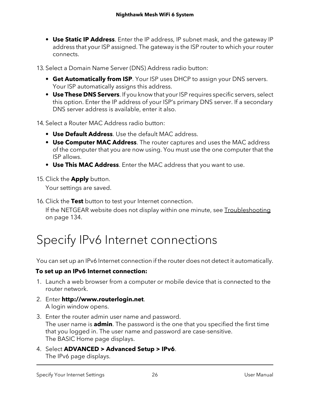**• Use Static IP Address**. Enter the IP address, IP subnet mask, and the gateway IP address that your ISP assigned. The gateway is the ISP router to which your router connects.

13. Select a Domain Name Server (DNS) Address radio button:

- **• Get Automatically from ISP**. Your ISP uses DHCP to assign your DNS servers. Your ISP automatically assigns this address.
- **• Use These DNS Servers**. If you know that your ISP requires specific servers, select this option. Enter the IP address of your ISP's primary DNS server. If a secondary DNS server address is available, enter it also.
- 14. Select a Router MAC Address radio button:
	- **• Use Default Address**. Use the default MAC address.
	- **• Use Computer MAC Address**. The router captures and uses the MAC address of the computer that you are now using. You must use the one computer that the ISP allows.
	- **• Use This MAC Address**. Enter the MAC address that you want to use.
- 15. Click the **Apply** button.

Your settings are saved.

<span id="page-25-0"></span>16. Click the **Test** button to test your Internet connection.

If the NETGEAR website does not display within one minute, see [Troubleshooting](#page-133-0) on page 134.

# Specify IPv6 Internet connections

You can set up an IPv6 Internet connection if the router does not detect it automatically.

## **To set up an IPv6 Internet connection:**

- 1. Launch a web browser from a computer or mobile device that is connected to the router network.
- 2. Enter **http://www.routerlogin.net**. A login window opens.
- 3. Enter the router admin user name and password. The user name is **admin**. The password is the one that you specified the first time that you logged in. The user name and password are case-sensitive. The BASIC Home page displays.
- 4. Select **ADVANCED > Advanced Setup > IPv6**. The IPv6 page displays.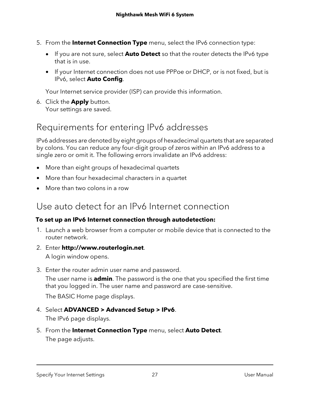- 5. From the **Internet Connection Type** menu, select the IPv6 connection type:
	- If you are not sure, select **Auto Detect** so that the router detects the IPv6 type that is in use.
	- If your Internet connection does not use PPPoe or DHCP, or is not fixed, but is IPv6, select **Auto Config**.

Your Internet service provider (ISP) can provide this information.

<span id="page-26-0"></span>6. Click the **Apply** button. Your settings are saved.

# Requirements for entering IPv6 addresses

IPv6 addresses are denoted by eight groups of hexadecimal quartets that are separated by colons. You can reduce any four-digit group of zeros within an IPv6 address to a single zero or omit it. The following errors invalidate an IPv6 address:

- More than eight groups of hexadecimal quartets
- <span id="page-26-1"></span>• More than four hexadecimal characters in a quartet
- More than two colons in a row

# Use auto detect for an IPv6 Internet connection

## **To set up an IPv6 Internet connection through autodetection:**

- 1. Launch a web browser from a computer or mobile device that is connected to the router network.
- 2. Enter **http://www.routerlogin.net**. A login window opens.
- 3. Enter the router admin user name and password.

The user name is **admin**. The password is the one that you specified the first time that you logged in. The user name and password are case-sensitive.

The BASIC Home page displays.

- 4. Select **ADVANCED > Advanced Setup > IPv6**. The IPv6 page displays.
- 5. From the **Internet Connection Type** menu, select **Auto Detect**. The page adjusts.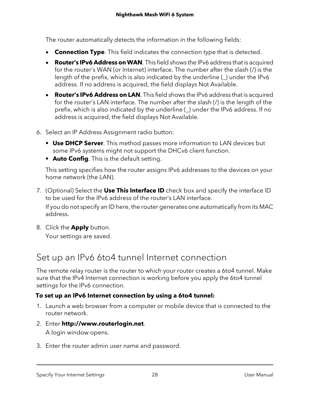The router automatically detects the information in the following fields:

- **Connection Type**. This field indicates the connection type that is detected.
- **Router's IPv6 Address onWAN**. This field shows the IPv6 address that is acquired for the router's WAN (or Internet) interface. The number after the slash (/) is the length of the prefix, which is also indicated by the underline (\_) under the IPv6 address. If no address is acquired, the field displays Not Available.
- **Router's IPv6 Address on LAN**. This field shows the IPv6 address that is acquired for the router's LAN interface. The number after the slash (/) is the length of the prefix, which is also indicated by the underline (\_) under the IPv6 address. If no address is acquired, the field displays Not Available.
- 6. Select an IP Address Assignment radio button:
	- **• Use DHCP Server**. This method passes more information to LAN devices but some IPv6 systems might not support the DHCv6 client function.
	- **• Auto Config**. This is the default setting.

This setting specifies how the router assigns IPv6 addresses to the devices on your home network (the LAN).

7. (Optional) Select the **Use This Interface ID** check box and specify the interface ID to be used for the IPv6 address of the router's LAN interface.

If you do not specify an ID here, the router generates one automatically from its MAC address.

<span id="page-27-0"></span>8. Click the **Apply** button.

Your settings are saved.

# Set up an IPv6 6to4 tunnel Internet connection

The remote relay router is the router to which your router creates a 6to4 tunnel. Make sure that the IPv4 Internet connection is working before you apply the 6to4 tunnel settings for the IPv6 connection.

## **To set up an IPv6 Internet connection by using a 6to4 tunnel:**

- 1. Launch a web browser from a computer or mobile device that is connected to the router network.
- 2. Enter **http://www.routerlogin.net**.

A login window opens.

3. Enter the router admin user name and password.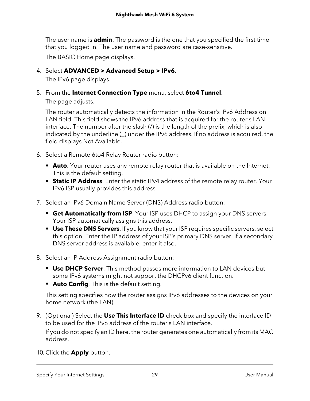The user name is **admin**. The password is the one that you specified the first time that you logged in. The user name and password are case-sensitive.

The BASIC Home page displays.

## 4. Select **ADVANCED > Advanced Setup > IPv6**.

The IPv6 page displays.

5. From the **Internet Connection Type** menu, select **6to4 Tunnel**.

The page adjusts.

The router automatically detects the information in the Router's IPv6 Address on LAN field. This field shows the IPv6 address that is acquired for the router's LAN interface. The number after the slash (/) is the length of the prefix, which is also indicated by the underline (\_) under the IPv6 address. If no address is acquired, the field displays Not Available.

- 6. Select a Remote 6to4 Relay Router radio button:
	- **• Auto**. Your router uses any remote relay router that is available on the Internet. This is the default setting.
	- **• Static IP Address**. Enter the static IPv4 address of the remote relay router. Your IPv6 ISP usually provides this address.
- 7. Select an IPv6 Domain Name Server (DNS) Address radio button:
	- **• Get Automatically from ISP**. Your ISP uses DHCP to assign your DNS servers. Your ISP automatically assigns this address.
	- **• Use These DNS Servers**. If you know that your ISP requires specific servers, select this option. Enter the IP address of your ISP's primary DNS server. If a secondary DNS server address is available, enter it also.
- 8. Select an IP Address Assignment radio button:
	- **• Use DHCP Server**. This method passes more information to LAN devices but some IPv6 systems might not support the DHCPv6 client function.
	- **• Auto Config**. This is the default setting.

This setting specifies how the router assigns IPv6 addresses to the devices on your home network (the LAN).

9. (Optional) Select the **Use This Interface ID** check box and specify the interface ID to be used for the IPv6 address of the router's LAN interface.

If you do not specify an ID here, the router generates one automatically from its MAC address.

10. Click the **Apply** button.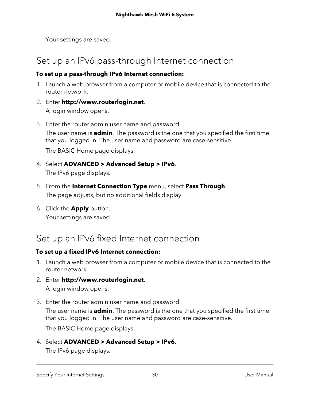Your settings are saved.

# <span id="page-29-0"></span>Set up an IPv6 pass-through Internet connection

#### **To set up a pass-through IPv6 Internet connection:**

- 1. Launch a web browser from a computer or mobile device that is connected to the router network.
- 2. Enter **http://www.routerlogin.net**. A login window opens.
- 3. Enter the router admin user name and password. The user name is **admin**. The password is the one that you specified the first time that you logged in. The user name and password are case-sensitive.

The BASIC Home page displays.

- 4. Select **ADVANCED > Advanced Setup > IPv6**. The IPv6 page displays.
- 5. From the **Internet Connection Type** menu, select **Pass Through**. The page adjusts, but no additional fields display.
- <span id="page-29-1"></span>6. Click the **Apply** button. Your settings are saved.

# Set up an IPv6 fixed Internet connection

## **To set up a fixed IPv6 Internet connection:**

- 1. Launch a web browser from a computer or mobile device that is connected to the router network.
- 2. Enter **http://www.routerlogin.net**. A login window opens.
- 3. Enter the router admin user name and password.

The user name is **admin**. The password is the one that you specified the first time that you logged in. The user name and password are case-sensitive.

The BASIC Home page displays.

4. Select **ADVANCED > Advanced Setup > IPv6**.

The IPv6 page displays.

Specify Your Internet Settings 30 User Manual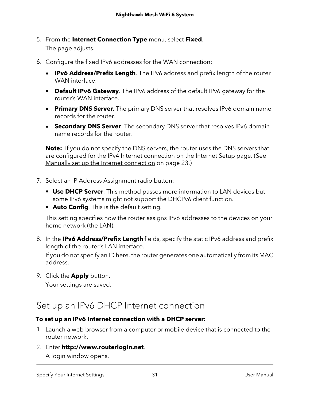- 5. From the **Internet Connection Type** menu, select **Fixed**. The page adjusts.
- 6. Configure the fixed IPv6 addresses for the WAN connection:
	- **IPv6 Address/Prefix Length**. The IPv6 address and prefix length of the router WAN interface.
	- **Default IPv6 Gateway**. The IPv6 address of the default IPv6 gateway for the router's WAN interface.
	- **Primary DNS Server**. The primary DNS server that resolves IPv6 domain name records for the router.
	- **Secondary DNS Server**. The secondary DNS server that resolves IPv6 domain name records for the router.

**Note:** If you do not specify the DNS servers, the router uses the DNS servers that are configured for the IPv4 Internet connection on the Internet Setup page. (See Manually set up the Internet [connection](#page-22-1) on page 23.)

- 7. Select an IP Address Assignment radio button:
	- **• Use DHCP Server**. This method passes more information to LAN devices but some IPv6 systems might not support the DHCPv6 client function.
	- **• Auto Config**. This is the default setting.

This setting specifies how the router assigns IPv6 addresses to the devices on your home network (the LAN).

8. In the **IPv6 Address/Prefix Length** fields, specify the static IPv6 address and prefix length of the router's LAN interface.

If you do not specify an ID here, the router generates one automatically from its MAC address.

<span id="page-30-0"></span>9. Click the **Apply** button. Your settings are saved.

# Set up an IPv6 DHCP Internet connection

#### **To set up an IPv6 Internet connection with a DHCP server:**

- 1. Launch a web browser from a computer or mobile device that is connected to the router network.
- 2. Enter **http://www.routerlogin.net**. A login window opens.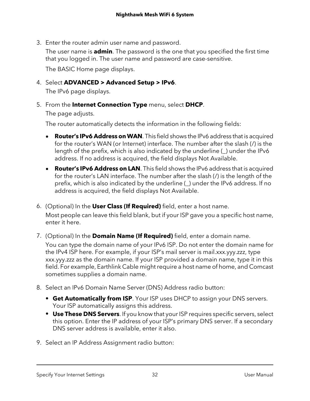3. Enter the router admin user name and password.

The user name is **admin**. The password is the one that you specified the first time that you logged in. The user name and password are case-sensitive.

The BASIC Home page displays.

4. Select **ADVANCED > Advanced Setup > IPv6**.

The IPv6 page displays.

5. From the **Internet Connection Type** menu, select **DHCP**.

The page adjusts.

The router automatically detects the information in the following fields:

- **Router's IPv6 Address onWAN**. This field shows the IPv6 address that is acquired for the router's WAN (or Internet) interface. The number after the slash (/) is the length of the prefix, which is also indicated by the underline (\_) under the IPv6 address. If no address is acquired, the field displays Not Available.
- **Router's IPv6 Address on LAN**. This field shows the IPv6 address that is acquired for the router's LAN interface. The number after the slash (/) is the length of the prefix, which is also indicated by the underline (\_) under the IPv6 address. If no address is acquired, the field displays Not Available.
- 6. (Optional) In the **User Class (If Required)** field, enter a host name. Most people can leave this field blank, but if your ISP gave you a specific host name, enter it here.
- 7. (Optional) In the **Domain Name (If Required)** field, enter a domain name. You can type the domain name of your IPv6 ISP. Do not enter the domain name for the IPv4 ISP here. For example, if your ISP's mail server is mail.xxx.yyy.zzz, type xxx.yyy.zzz as the domain name. If your ISP provided a domain name, type it in this field. For example, Earthlink Cable might require a host name of home, and Comcast sometimes supplies a domain name.
- 8. Select an IPv6 Domain Name Server (DNS) Address radio button:
	- **• Get Automatically from ISP**. Your ISP uses DHCP to assign your DNS servers. Your ISP automatically assigns this address.
	- **• Use These DNS Servers**. If you know that your ISP requires specific servers, select this option. Enter the IP address of your ISP's primary DNS server. If a secondary DNS server address is available, enter it also.
- 9. Select an IP Address Assignment radio button: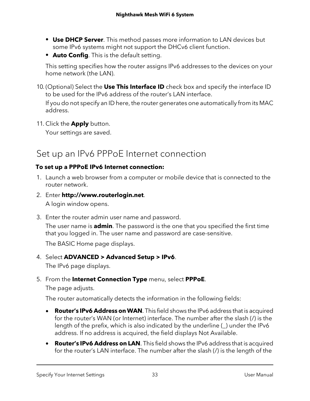- **• Use DHCP Server**. This method passes more information to LAN devices but some IPv6 systems might not support the DHCv6 client function.
- **• Auto Config**. This is the default setting.

This setting specifies how the router assigns IPv6 addresses to the devices on your home network (the LAN).

10. (Optional) Select the **Use This Interface ID** check box and specify the interface ID to be used for the IPv6 address of the router's LAN interface.

If you do not specify an ID here, the router generates one automatically from its MAC address.

<span id="page-32-0"></span>11. Click the **Apply** button.

Your settings are saved.

# Set up an IPv6 PPPoE Internet connection

## **To set up a PPPoE IPv6 Internet connection:**

- 1. Launch a web browser from a computer or mobile device that is connected to the router network.
- 2. Enter **http://www.routerlogin.net**. A login window opens.
- 3. Enter the router admin user name and password.

The user name is **admin**. The password is the one that you specified the first time that you logged in. The user name and password are case-sensitive.

The BASIC Home page displays.

- 4. Select **ADVANCED > Advanced Setup > IPv6**. The IPv6 page displays.
- 5. From the **Internet Connection Type** menu, select **PPPoE**.

The page adjusts.

The router automatically detects the information in the following fields:

- **Router's IPv6 Address onWAN**. This field shows the IPv6 address that is acquired for the router's WAN (or Internet) interface. The number after the slash (/) is the length of the prefix, which is also indicated by the underline (\_) under the IPv6 address. If no address is acquired, the field displays Not Available.
- **Router's IPv6 Address on LAN**. This field shows the IPv6 address that is acquired for the router's LAN interface. The number after the slash (/) is the length of the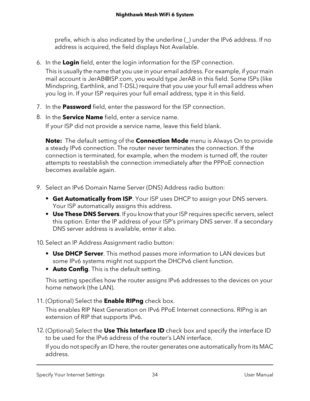prefix, which is also indicated by the underline (\_) under the IPv6 address. If no address is acquired, the field displays Not Available.

6. In the **Login** field, enter the login information for the ISP connection.

This is usually the name that you use in your email address. For example, if your main mail account is JerAB@ISP.com, you would type JerAB in this field. Some ISPs (like Mindspring, Earthlink, and T-DSL) require that you use your full email address when you log in. If your ISP requires your full email address, type it in this field.

- 7. In the **Password** field, enter the password for the ISP connection.
- 8. In the **Service Name** field, enter a service name. If your ISP did not provide a service name, leave this field blank.

**Note:** The default setting of the **Connection Mode** menu is Always On to provide a steady IPv6 connection. The router never terminates the connection. If the connection is terminated, for example, when the modem is turned off, the router attempts to reestablish the connection immediately after the PPPoE connection becomes available again.

- 9. Select an IPv6 Domain Name Server (DNS) Address radio button:
	- **• Get Automatically from ISP**. Your ISP uses DHCP to assign your DNS servers. Your ISP automatically assigns this address.
	- **• Use These DNS Servers**. If you know that your ISP requires specific servers, select this option. Enter the IP address of your ISP's primary DNS server. If a secondary DNS server address is available, enter it also.

10. Select an IP Address Assignment radio button:

- **• Use DHCP Server**. This method passes more information to LAN devices but some IPv6 systems might not support the DHCPv6 client function.
- **• Auto Config**. This is the default setting.

This setting specifies how the router assigns IPv6 addresses to the devices on your home network (the LAN).

11. (Optional) Select the **Enable RIPng** check box.

This enables RIP Next Generation on IPv6 PPoE Internet connections. RIPng is an extension of RIP that supports IPv6.

12. (Optional) Select the **Use This Interface ID** check box and specify the interface ID to be used for the IPv6 address of the router's LAN interface.

If you do not specify an ID here, the router generates one automatically from its MAC address.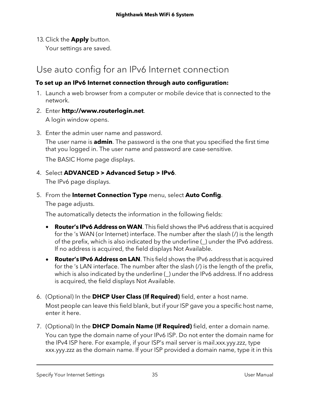13. Click the **Apply** button.

Your settings are saved.

# <span id="page-34-0"></span>Use auto config for an IPv6 Internet connection

## **To set up an IPv6 Internet connection through auto configuration:**

- 1. Launch a web browser from a computer or mobile device that is connected to the network.
- 2. Enter **http://www.routerlogin.net**.

A login window opens.

3. Enter the admin user name and password.

The user name is **admin**. The password is the one that you specified the first time that you logged in. The user name and password are case-sensitive.

The BASIC Home page displays.

## 4. Select **ADVANCED > Advanced Setup > IPv6**.

The IPv6 page displays.

5. From the **Internet Connection Type** menu, select **Auto Config**. The page adjusts.

The automatically detects the information in the following fields:

- **Router's IPv6 Address onWAN**. This field shows the IPv6 address that is acquired for the 's WAN (or Internet) interface. The number after the slash (/) is the length of the prefix, which is also indicated by the underline (\_) under the IPv6 address. If no address is acquired, the field displays Not Available.
- **Router's IPv6 Address on LAN**. This field shows the IPv6 address that is acquired for the 's LAN interface. The number after the slash (/) is the length of the prefix, which is also indicated by the underline (\_) under the IPv6 address. If no address is acquired, the field displays Not Available.
- 6. (Optional) In the **DHCP User Class (If Required)** field, enter a host name. Most people can leave this field blank, but if your ISP gave you a specific host name, enter it here.
- 7. (Optional) In the **DHCP Domain Name (If Required)** field, enter a domain name. You can type the domain name of your IPv6 ISP. Do not enter the domain name for the IPv4 ISP here. For example, if your ISP's mail server is mail.xxx.yyy.zzz, type xxx.yyy.zzz as the domain name. If your ISP provided a domain name, type it in this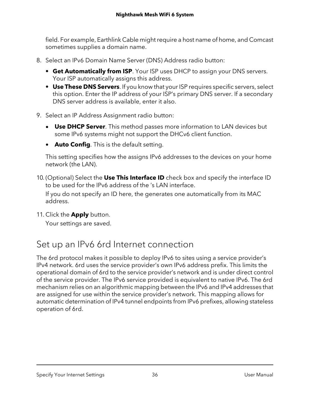field. For example, Earthlink Cable might require a host name of home, and Comcast sometimes supplies a domain name.

- 8. Select an IPv6 Domain Name Server (DNS) Address radio button:
	- **• Get Automatically from ISP**. Your ISP uses DHCP to assign your DNS servers. Your ISP automatically assigns this address.
	- **• Use These DNS Servers**. If you know that your ISP requires specific servers, select this option. Enter the IP address of your ISP's primary DNS server. If a secondary DNS server address is available, enter it also.
- 9. Select an IP Address Assignment radio button:
	- **Use DHCP Server**. This method passes more information to LAN devices but some IPv6 systems might not support the DHCv6 client function.
	- **Auto Config**. This is the default setting.

This setting specifies how the assigns IPv6 addresses to the devices on your home network (the LAN).

10. (Optional) Select the **Use This Interface ID** check box and specify the interface ID to be used for the IPv6 address of the 's LAN interface.

If you do not specify an ID here, the generates one automatically from its MAC address.

<span id="page-35-0"></span>11. Click the **Apply** button.

Your settings are saved.

# Set up an IPv6 6rd Internet connection

The 6rd protocol makes it possible to deploy IPv6 to sites using a service provider's IPv4 network. 6rd uses the service provider's own IPv6 address prefix. This limits the operational domain of 6rd to the service provider's network and is under direct control of the service provider. The IPv6 service provided is equivalent to native IPv6. The 6rd mechanism relies on an algorithmic mapping between the IPv6 and IPv4 addresses that are assigned for use within the service provider's network. This mapping allows for automatic determination of IPv4 tunnel endpoints from IPv6 prefixes, allowing stateless operation of 6rd.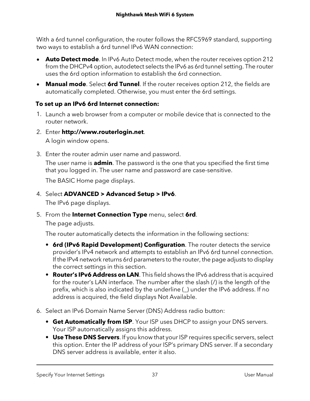With a 6rd tunnel configuration, the router follows the RFC5969 standard, supporting two ways to establish a 6rd tunnel IPv6 WAN connection:

- **Auto Detect mode**. In IPv6 Auto Detect mode, when the router receives option 212 from the DHCPv4 option, autodetect selects the IPv6 as 6rd tunnel setting. The router uses the 6rd option information to establish the 6rd connection.
- **Manual mode**. Select **6rd Tunnel**. If the router receives option 212, the fields are automatically completed. Otherwise, you must enter the 6rd settings.

#### **To set up an IPv6 6rd Internet connection:**

- 1. Launch a web browser from a computer or mobile device that is connected to the router network.
- 2. Enter **http://www.routerlogin.net**.

A login window opens.

3. Enter the router admin user name and password.

The user name is **admin**. The password is the one that you specified the first time that you logged in. The user name and password are case-sensitive.

The BASIC Home page displays.

4. Select **ADVANCED > Advanced Setup > IPv6**.

The IPv6 page displays.

5. From the **Internet Connection Type** menu, select **6rd**.

The page adjusts.

The router automatically detects the information in the following sections:

- **• 6rd (IPv6 Rapid Development) Configuration**. The router detects the service provider's IPv4 network and attempts to establish an IPv6 6rd tunnel connection. If the IPv4 network returns 6rd parameters to the router, the page adjusts to display the correct settings in this section.
- **• Router's IPv6 Address on LAN**. This field shows the IPv6 address that is acquired for the router's LAN interface. The number after the slash (/) is the length of the prefix, which is also indicated by the underline (\_) under the IPv6 address. If no address is acquired, the field displays Not Available.
- 6. Select an IPv6 Domain Name Server (DNS) Address radio button:
	- **• Get Automatically from ISP**. Your ISP uses DHCP to assign your DNS servers. Your ISP automatically assigns this address.
	- **• Use These DNS Servers**. If you know that your ISP requires specific servers, select this option. Enter the IP address of your ISP's primary DNS server. If a secondary DNS server address is available, enter it also.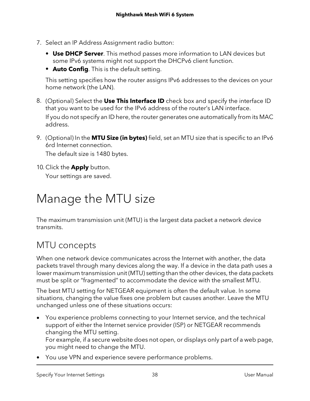- 7. Select an IP Address Assignment radio button:
	- **• Use DHCP Server**. This method passes more information to LAN devices but some IPv6 systems might not support the DHCPv6 client function.
	- **• Auto Config**. This is the default setting.

This setting specifies how the router assigns IPv6 addresses to the devices on your home network (the LAN).

- 8. (Optional) Select the **Use This Interface ID** check box and specify the interface ID that you want to be used for the IPv6 address of the router's LAN interface. If you do not specify an ID here, the router generates one automatically from its MAC address.
- 9. (Optional) In the **MTU Size (in bytes)** field, set an MTU size that is specific to an IPv6 6rd Internet connection.

The default size is 1480 bytes.

10. Click the **Apply** button.

Your settings are saved.

# Manage the MTU size

The maximum transmission unit (MTU) is the largest data packet a network device transmits.

## MTU concepts

When one network device communicates across the Internet with another, the data packets travel through many devices along the way. If a device in the data path uses a lower maximum transmission unit (MTU) setting than the other devices, the data packets must be split or "fragmented" to accommodate the device with the smallest MTU.

The best MTU setting for NETGEAR equipment is often the default value. In some situations, changing the value fixes one problem but causes another. Leave the MTU unchanged unless one of these situations occurs:

• You experience problems connecting to your Internet service, and the technical support of either the Internet service provider (ISP) or NETGEAR recommends changing the MTU setting.

For example, if a secure website does not open, or displays only part of a web page, you might need to change the MTU.

• You use VPN and experience severe performance problems.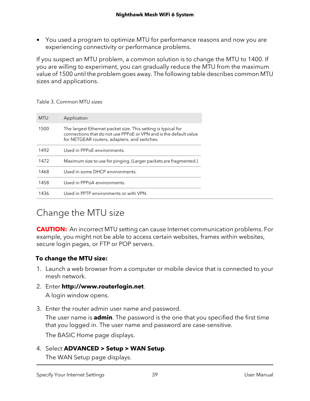• You used a program to optimize MTU for performance reasons and now you are experiencing connectivity or performance problems.

If you suspect an MTU problem, a common solution is to change the MTU to 1400. If you are willing to experiment, you can gradually reduce the MTU from the maximum value of 1500 until the problem goes away. The following table describes common MTU sizes and applications.

| MTU  | Application                                                                                                                                                                        |
|------|------------------------------------------------------------------------------------------------------------------------------------------------------------------------------------|
| 1500 | The largest Ethernet packet size. This setting is typical for<br>connections that do not use PPPoF or VPN and is the default value<br>for NETGEAR routers, adapters, and switches. |
| 1492 | Used in PPPoF environments.                                                                                                                                                        |
| 1472 | Maximum size to use for pinging. (Larger packets are fragmented.)                                                                                                                  |
| 1468 | Used in some DHCP environments.                                                                                                                                                    |
| 1458 | Used in PPPoA environments.                                                                                                                                                        |
| 1436 | Used in PPTP environments or with VPN.                                                                                                                                             |
|      |                                                                                                                                                                                    |

Table 3. Common MTU sizes

## Change the MTU size

**CAUTION:** An incorrect MTU setting can cause Internet communication problems. For example, you might not be able to access certain websites, frames within websites, secure login pages, or FTP or POP servers.

#### **To change the MTU size:**

- 1. Launch a web browser from a computer or mobile device that is connected to your mesh network.
- 2. Enter **http://www.routerlogin.net**.

A login window opens.

3. Enter the router admin user name and password.

The user name is **admin**. The password is the one that you specified the first time that you logged in. The user name and password are case-sensitive.

The BASIC Home page displays.

4. Select **ADVANCED > Setup > WAN Setup**.

The WAN Setup page displays.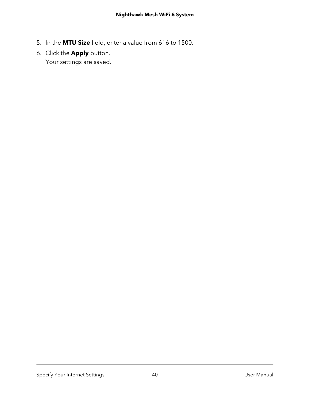- 5. In the **MTU Size** field, enter a value from 616 to 1500.
- 6. Click the **Apply** button. Your settings are saved.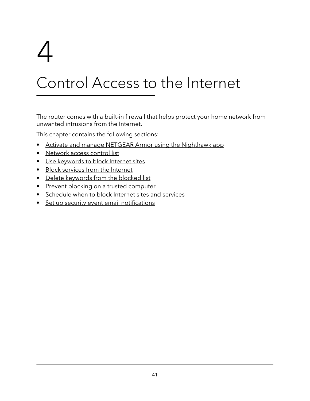# 4

# Control Access to the Internet

The router comes with a built-in firewall that helps protect your home network from unwanted intrusions from the Internet.

This chapter contains the following sections:

- Activate and manage NETGEAR Armor using the [Nighthawk](#page-41-0) app
- [Network](#page-41-1) access control list
- Use [keywords](#page-47-0) to block Internet sites
- Block [services](#page-48-0) from the Internet
- Delete [keywords](#page-50-0) from the blocked list
- Prevent blocking on a trusted [computer](#page-50-1)
- [Schedule](#page-51-0) when to block Internet sites and services
- Set up security event email [notifications](#page-52-0)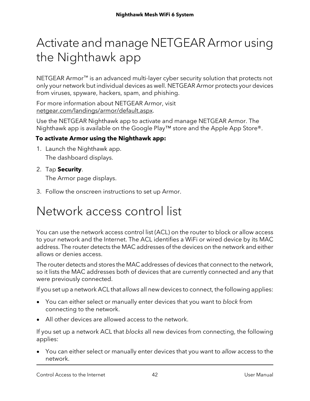## <span id="page-41-0"></span>Activate and manage NETGEARArmor using the Nighthawk app

NETGEAR Armor™ is an advanced multi-layer cyber security solution that protects not only your network but individual devices as well. NETGEAR Armor protects your devices from viruses, spyware, hackers, spam, and phishing.

For more information about NETGEAR Armor, visit [netgear.com/landings/armor/default.aspx.](https://www.netgear.com/landings/armor/default.aspx)

Use the NETGEAR Nighthawk app to activate and manage NETGEAR Armor. The Nighthawk app is available on the Google Play™ store and the Apple App Store®.

#### **To activate Armor using the Nighthawk app:**

- 1. Launch the Nighthawk app. The dashboard displays.
- 2. Tap **Security**.

The Armor page displays.

<span id="page-41-1"></span>3. Follow the onscreen instructions to set up Armor.

## Network access control list

You can use the network access control list (ACL) on the router to block or allow access to your network and the Internet. The ACL identifies a WiFi or wired device by its MAC address. The router detects the MAC addresses of the devices on the network and either allows or denies access.

The router detects and stores the MAC addresses of devices that connect to the network, so it lists the MAC addresses both of devices that are currently connected and any that were previously connected.

If you set up a network ACL that allows all new devices to connect, the following applies:

- You can either select or manually enter devices that you want to block from connecting to the network.
- All other devices are allowed access to the network.

If you set up a network ACL that blocks all new devices from connecting, the following applies:

You can either select or manually enter devices that you want to allow access to the network.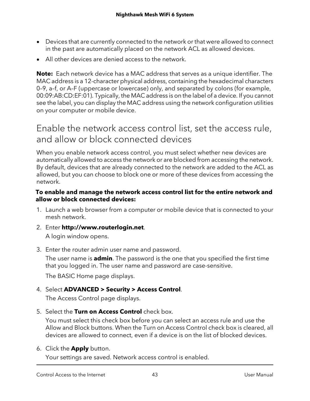- Devices that are currently connected to the network or that were allowed to connect in the past are automatically placed on the network ACL as allowed devices.
- All other devices are denied access to the network.

**Note:** Each network device has a MAC address that serves as a unique identifier. The MAC address is a 12-character physical address, containing the hexadecimal characters 0–9, a–f, or A–F (uppercase or lowercase) only, and separated by colons (for example, 00:09:AB:CD:EF:01). Typically, the MAC address is on the label of a device. If you cannot see the label, you can display the MAC address using the network configuration utilities on your computer or mobile device.

### Enable the network access control list, set the access rule, and allow or block connected devices

When you enable network access control, you must select whether new devices are automatically allowed to access the network or are blocked from accessing the network. By default, devices that are already connected to the network are added to the ACL as allowed, but you can choose to block one or more of these devices from accessing the network.

#### **To enable and manage the network access control list for the entire network and allow or block connected devices:**

- 1. Launch a web browser from a computer or mobile device that is connected to your mesh network.
- 2. Enter **http://www.routerlogin.net**.

A login window opens.

3. Enter the router admin user name and password.

The user name is **admin**. The password is the one that you specified the first time that you logged in. The user name and password are case-sensitive.

The BASIC Home page displays.

#### 4. Select **ADVANCED > Security > Access Control**.

The Access Control page displays.

5. Select the **Turn on Access Control** check box.

You must select this check box before you can select an access rule and use the Allow and Block buttons. When the Turn on Access Control check box is cleared, all devices are allowed to connect, even if a device is on the list of blocked devices.

6. Click the **Apply** button.

Your settings are saved. Network access control is enabled.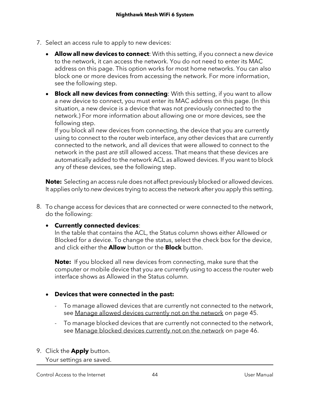- 7. Select an access rule to apply to new devices:
	- **Allow all new devices to connect**: With this setting, if you connect a new device to the network, it can access the network. You do not need to enter its MAC address on this page. This option works for most home networks. You can also block one or more devices from accessing the network. For more information, see the following step.
	- **Block all new devices from connecting**: With this setting, if you want to allow a new device to connect, you must enter its MAC address on this page. (In this situation, a new device is a device that was not previously connected to the network.) For more information about allowing one or more devices, see the following step.

If you block all new devices from connecting, the device that you are currently using to connect to the router web interface, any other devices that are currently connected to the network, and all devices that were allowed to connect to the network in the past are still allowed access. That means that these devices are automatically added to the network ACL as allowed devices. If you want to block any of these devices, see the following step.

**Note:** Selecting an access rule does not affect previously blocked or allowed devices. It applies only to new devices trying to access the network after you apply this setting.

8. To change access for devices that are connected or were connected to the network, do the following:

#### • **Currently connected devices**:

In the table that contains the ACL, the Status column shows either Allowed or Blocked for a device. To change the status, select the check box for the device, and click either the **Allow** button or the **Block** button.

**Note:** If you blocked all new devices from connecting, make sure that the computer or mobile device that you are currently using to access the router web interface shows as Allowed in the Status column.

#### • **Devices that were connected in the past:**

- To manage allowed devices that are currently not connected to the network, see Manage allowed devices [currently](#page-44-0) not on the network on page 45.
- To manage blocked devices that are currently not connected to the network, see Manage blocked devices [currently](#page-45-0) not on the network on page 46.
- 9. Click the **Apply** button.

Your settings are saved.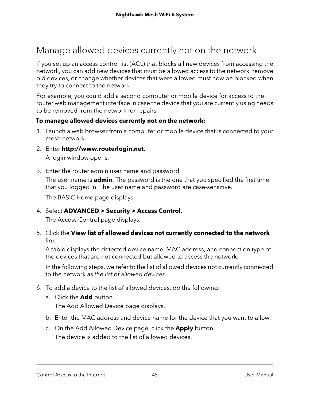## <span id="page-44-0"></span>Manage allowed devices currently not on the network

If you set up an access control list (ACL) that blocks all new devices from accessing the network, you can add new devices that must be allowed access to the network, remove old devices, or change whether devices that were allowed must now be blocked when they try to connect to the network.

For example, you could add a second computer or mobile device for access to the router web management interface in case the device that you are currently using needs to be removed from the network for repairs.

#### **To manage allowed devices currently not on the network:**

- 1. Launch a web browser from a computer or mobile device that is connected to your mesh network.
- 2. Enter **http://www.routerlogin.net**.

A login window opens.

3. Enter the router admin user name and password.

The user name is **admin**. The password is the one that you specified the first time that you logged in. The user name and password are case-sensitive.

The BASIC Home page displays.

4. Select **ADVANCED > Security > Access Control**.

The Access Control page displays.

5. Click the **View list of allowed devices not currently connected to the network** link.

A table displays the detected device name, MAC address, and connection type of the devices that are not connected but allowed to access the network.

In the following steps, we refer to the list of allowed devices not currently connected to the network as the list of allowed devices.

- 6. To add a device to the list of allowed devices, do the following:
	- a. Click the **Add** button. The Add Allowed Device page displays.
	- b. Enter the MAC address and device name for the device that you want to allow.
	- c. On the Add Allowed Device page, click the **Apply** button. The device is added to the list of allowed devices.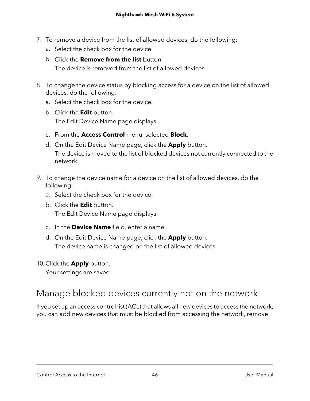- 7. To remove a device from the list of allowed devices, do the following:
	- a. Select the check box for the device.
	- b. Click the **Remove from the list** button. The device is removed from the list of allowed devices.
- 8. To change the device status by blocking access for a device on the list of allowed devices, do the following:
	- a. Select the check box for the device.
	- b. Click the **Edit** button. The Edit Device Name page displays.
	- c. From the **Access Control** menu, selected **Block**.
	- d. On the Edit Device Name page, click the **Apply** button. The device is moved to the list of blocked devices not currently connected to the network.
- 9. To change the device name for a device on the list of allowed devices, do the following:
	- a. Select the check box for the device.
	- b. Click the **Edit** button.

The Edit Device Name page displays.

- c. In the **Device Name** field, enter a name.
- d. On the Edit Device Name page, click the **Apply** button. The device name is changed on the list of allowed devices.
- <span id="page-45-0"></span>10. Click the **Apply** button.

Your settings are saved.

### Manage blocked devices currently not on the network

If you set up an access control list (ACL) that allows all new devices to access the network, you can add new devices that must be blocked from accessing the network, remove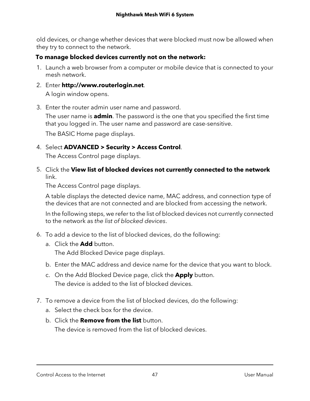old devices, or change whether devices that were blocked must now be allowed when they try to connect to the network.

#### **To manage blocked devices currently not on the network:**

- 1. Launch a web browser from a computer or mobile device that is connected to your mesh network.
- 2. Enter **http://www.routerlogin.net**. A login window opens.
- 3. Enter the router admin user name and password.

The user name is **admin**. The password is the one that you specified the first time that you logged in. The user name and password are case-sensitive.

The BASIC Home page displays.

4. Select **ADVANCED > Security > Access Control**.

The Access Control page displays.

5. Click the **View list of blocked devices not currently connected to the network** link.

The Access Control page displays.

A table displays the detected device name, MAC address, and connection type of the devices that are not connected and are blocked from accessing the network.

In the following steps, we refer to the list of blocked devices not currently connected to the network as the list of blocked devices.

- 6. To add a device to the list of blocked devices, do the following:
	- a. Click the **Add** button. The Add Blocked Device page displays.
	- b. Enter the MAC address and device name for the device that you want to block.
	- c. On the Add Blocked Device page, click the **Apply** button. The device is added to the list of blocked devices.
- 7. To remove a device from the list of blocked devices, do the following:
	- a. Select the check box for the device.
	- b. Click the **Remove from the list** button. The device is removed from the list of blocked devices.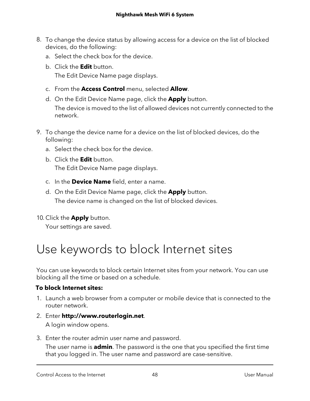- 8. To change the device status by allowing access for a device on the list of blocked devices, do the following:
	- a. Select the check box for the device.
	- b. Click the **Edit** button. The Edit Device Name page displays.
	- c. From the **Access Control** menu, selected **Allow**.
	- d. On the Edit Device Name page, click the **Apply** button. The device is moved to the list of allowed devices not currently connected to the network.
- 9. To change the device name for a device on the list of blocked devices, do the following:
	- a. Select the check box for the device.
	- b. Click the **Edit** button. The Edit Device Name page displays.
	- c. In the **Device Name** field, enter a name.
	- d. On the Edit Device Name page, click the **Apply** button. The device name is changed on the list of blocked devices.
- <span id="page-47-0"></span>10. Click the **Apply** button.

Your settings are saved.

# Use keywords to block Internet sites

You can use keywords to block certain Internet sites from your network. You can use blocking all the time or based on a schedule.

#### **To block Internet sites:**

- 1. Launch a web browser from a computer or mobile device that is connected to the router network.
- 2. Enter **http://www.routerlogin.net**. A login window opens.
- 3. Enter the router admin user name and password.

The user name is **admin**. The password is the one that you specified the first time that you logged in. The user name and password are case-sensitive.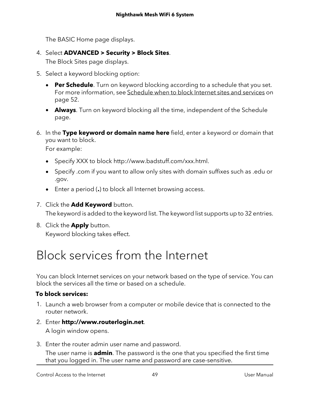The BASIC Home page displays.

4. Select **ADVANCED > Security > Block Sites**.

The Block Sites page displays.

- 5. Select a keyword blocking option:
	- **Per Schedule**. Turn on keyword blocking according to a schedule that you set. For more information, see [Schedule](#page-51-0) when to block Internet sites and services on page 52.
	- **Always**. Turn on keyword blocking all the time, independent of the Schedule page.
- 6. In the **Type keyword or domain name here** field, enter a keyword or domain that you want to block.

For example:

- Specify XXX to block http://www.badstuff.com/xxx.html.
- Specify .com if you want to allow only sites with domain suffixes such as .edu or .gov.
- Enter a period (**.**) to block all Internet browsing access.
- 7. Click the **Add Keyword** button.

The keyword is added to the keyword list. The keyword list supports up to 32 entries.

<span id="page-48-0"></span>8. Click the **Apply** button. Keyword blocking takes effect.

## Block services from the Internet

You can block Internet services on your network based on the type of service. You can block the services all the time or based on a schedule.

#### **To block services:**

- 1. Launch a web browser from a computer or mobile device that is connected to the router network.
- 2. Enter **http://www.routerlogin.net**.

A login window opens.

3. Enter the router admin user name and password.

The user name is **admin**. The password is the one that you specified the first time that you logged in. The user name and password are case-sensitive.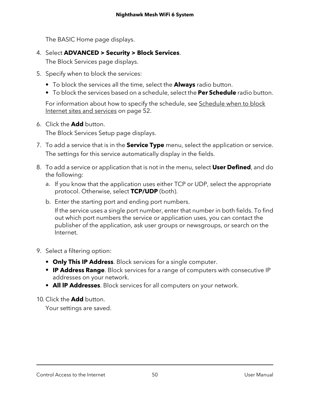The BASIC Home page displays.

4. Select **ADVANCED > Security > Block Services**.

The Block Services page displays.

- 5. Specify when to block the services:
	- **•** To block the services all the time, select the **Always** radio button.
	- **•** To block the services based on a schedule, select the **Per Schedule** radio button.

For information about how to specify the schedule, see [Schedule](#page-51-0) when to block Internet sites and [services](#page-51-0) on page 52.

6. Click the **Add** button.

The Block Services Setup page displays.

- 7. To add a service that is in the **Service Type** menu, select the application or service. The settings for this service automatically display in the fields.
- 8. To add a service or application that is not in the menu, select **User Defined**, and do the following:
	- a. If you know that the application uses either TCP or UDP, select the appropriate protocol. Otherwise, select **TCP/UDP** (both).
	- b. Enter the starting port and ending port numbers.

If the service uses a single port number, enter that number in both fields. To find out which port numbers the service or application uses, you can contact the publisher of the application, ask user groups or newsgroups, or search on the Internet.

- 9. Select a filtering option:
	- **• Only This IP Address**. Block services for a single computer.
	- **• IP Address Range**. Block services for a range of computers with consecutive IP addresses on your network.
	- **• All lP Addresses**. Block services for all computers on your network.

10. Click the **Add** button.

Your settings are saved.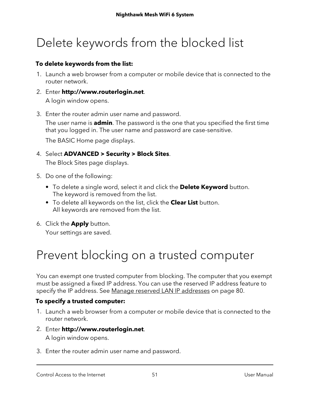# <span id="page-50-0"></span>Delete keywords from the blocked list

#### **To delete keywords from the list:**

- 1. Launch a web browser from a computer or mobile device that is connected to the router network.
- 2. Enter **http://www.routerlogin.net**. A login window opens.
- 3. Enter the router admin user name and password.

The user name is **admin**. The password is the one that you specified the first time that you logged in. The user name and password are case-sensitive.

The BASIC Home page displays.

- 4. Select **ADVANCED > Security > Block Sites**. The Block Sites page displays.
- 5. Do one of the following:
	- **•** To delete a single word, select it and click the **Delete Keyword** button. The keyword is removed from the list.
	- **•** To delete all keywords on the list, click the **Clear List** button. All keywords are removed from the list.
- <span id="page-50-1"></span>6. Click the **Apply** button.

Your settings are saved.

## Prevent blocking on a trusted computer

You can exempt one trusted computer from blocking. The computer that you exempt must be assigned a fixed IP address. You can use the reserved IP address feature to specify the IP address. See Manage reserved LAN IP [addresses](#page-79-0) on page 80.

#### **To specify a trusted computer:**

- 1. Launch a web browser from a computer or mobile device that is connected to the router network.
- 2. Enter **http://www.routerlogin.net**. A login window opens.
- 3. Enter the router admin user name and password.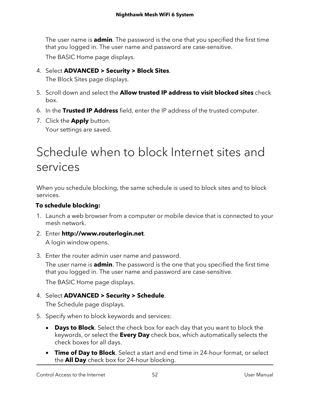The user name is **admin**. The password is the one that you specified the first time that you logged in. The user name and password are case-sensitive.

The BASIC Home page displays.

4. Select **ADVANCED > Security > Block Sites**.

The Block Sites page displays.

- 5. Scroll down and select the **Allow trusted IP address to visit blocked sites** check box.
- 6. In the **Trusted IP Address** field, enter the IP address of the trusted computer.
- <span id="page-51-0"></span>7. Click the **Apply** button. Your settings are saved.

## Schedule when to block Internet sites and services

When you schedule blocking, the same schedule is used to block sites and to block services.

#### **To schedule blocking:**

- 1. Launch a web browser from a computer or mobile device that is connected to your mesh network.
- 2. Enter **http://www.routerlogin.net**.

A login window opens.

3. Enter the router admin user name and password.

The user name is **admin**. The password is the one that you specified the first time that you logged in. The user name and password are case-sensitive.

The BASIC Home page displays.

#### 4. Select **ADVANCED > Security > Schedule**.

The Schedule page displays.

- 5. Specify when to block keywords and services:
	- **Days to Block**. Select the check box for each day that you want to block the keywords, or select the **Every Day** check box, which automatically selects the check boxes for all days.
	- **Time of Day to Block**. Select a start and end time in 24-hour format, or select the **All Day** check box for 24-hour blocking.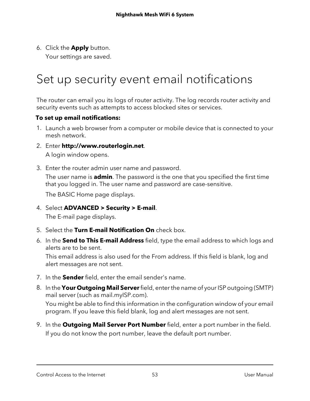6. Click the **Apply** button.

Your settings are saved.

## <span id="page-52-0"></span>Set up security event email notifications

The router can email you its logs of router activity. The log records router activity and security events such as attempts to access blocked sites or services.

#### **To set up email notifications:**

- 1. Launch a web browser from a computer or mobile device that is connected to your mesh network.
- 2. Enter **http://www.routerlogin.net**. A login window opens.
- 3. Enter the router admin user name and password.

The user name is **admin**. The password is the one that you specified the first time that you logged in. The user name and password are case-sensitive.

The BASIC Home page displays.

- 4. Select **ADVANCED > Security > E-mail**. The E-mail page displays.
- 5. Select the **Turn E-mail Notification On** check box.
- 6. In the **Send to This E-mail Address** field, type the email address to which logs and alerts are to be sent.

This email address is also used for the From address. If this field is blank, log and alert messages are not sent.

- 7. In the **Sender** field, enter the email sender's name.
- 8. In the **Your Outgoing Mail Server**field, enterthe name of yourISP outgoing (SMTP) mail server (such as mail.myISP.com).

You might be able to find this information in the configuration window of your email program. If you leave this field blank, log and alert messages are not sent.

9. In the **Outgoing Mail Server Port Number** field, enter a port number in the field. If you do not know the port number, leave the default port number.

Control Access to the Internet 53 User Manual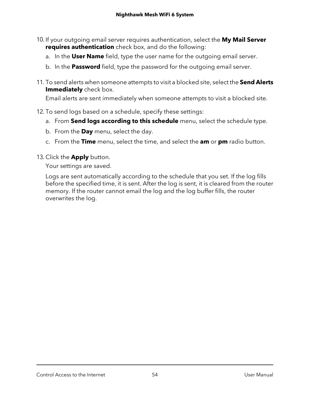- 10. If your outgoing email server requires authentication, select the **My Mail Server requires authentication** check box, and do the following:
	- a. In the **User Name** field, type the user name for the outgoing email server.
	- b. In the **Password** field, type the password for the outgoing email server.
- 11. To send alerts when someone attempts to visit a blocked site, select the **Send Alerts Immediately** check box.

Email alerts are sent immediately when someone attempts to visit a blocked site.

- 12. To send logs based on a schedule, specify these settings:
	- a. From **Send logs according to this schedule** menu, select the schedule type.
	- b. From the **Day** menu, select the day.
	- c. From the **Time** menu, select the time, and select the **am** or **pm** radio button.
- 13. Click the **Apply** button.

Your settings are saved.

Logs are sent automatically according to the schedule that you set. If the log fills before the specified time, it is sent. After the log is sent, it is cleared from the router memory. If the router cannot email the log and the log buffer fills, the router overwrites the log.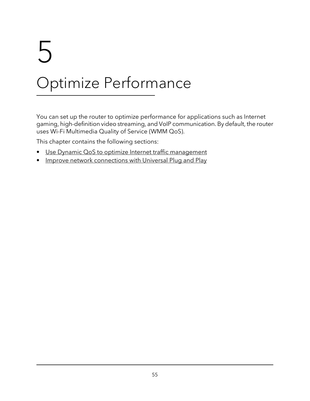# 5 Optimize Performance

You can set up the router to optimize performance for applications such as Internet gaming, high-definition video streaming, and VoIP communication. By default, the router uses Wi-Fi Multimedia Quality of Service (WMM QoS).

This chapter contains the following sections:

- Use Dynamic QoS to optimize Internet traffic [management](#page-55-0)
- Improve network [connections](#page-57-0) with Universal Plug and Play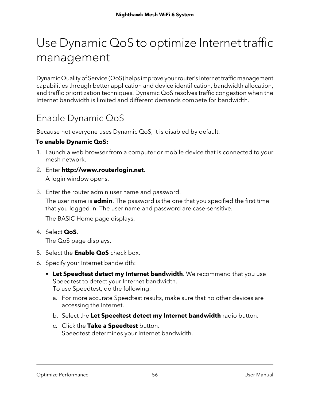## <span id="page-55-0"></span>Use Dynamic QoS to optimize Internet traffic management

Dynamic Quality of Service (QoS) helps improve your router's Internet traffic management capabilities through better application and device identification, bandwidth allocation, and traffic prioritization techniques. Dynamic QoS resolves traffic congestion when the Internet bandwidth is limited and different demands compete for bandwidth.

## Enable Dynamic QoS

Because not everyone uses Dynamic QoS, it is disabled by default.

#### **To enable Dynamic QoS:**

- 1. Launch a web browser from a computer or mobile device that is connected to your mesh network.
- 2. Enter **http://www.routerlogin.net**. A login window opens.
- 3. Enter the router admin user name and password.

The user name is **admin**. The password is the one that you specified the first time that you logged in. The user name and password are case-sensitive.

The BASIC Home page displays.

4. Select **QoS**.

The QoS page displays.

- 5. Select the **Enable QoS** check box.
- 6. Specify your Internet bandwidth:
	- **• Let Speedtest detect my Internet bandwidth**. We recommend that you use Speedtest to detect your Internet bandwidth. To use Speedtest, do the following:
		- a. For more accurate Speedtest results, make sure that no other devices are accessing the Internet.
		- b. Select the **Let Speedtest detect my Internet bandwidth** radio button.
		- c. Click the **Take a Speedtest** button. Speedtest determines your Internet bandwidth.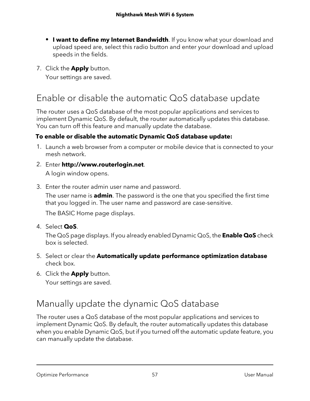- **• I want to define my Internet Bandwidth**. If you know what your download and upload speed are, select this radio button and enter your download and upload speeds in the fields.
- 7. Click the **Apply** button.

Your settings are saved.

### Enable or disable the automatic QoS database update

The router uses a QoS database of the most popular applications and services to implement Dynamic QoS. By default, the router automatically updates this database. You can turn off this feature and manually update the database.

#### **To enable or disable the automatic Dynamic QoS database update:**

- 1. Launch a web browser from a computer or mobile device that is connected to your mesh network.
- 2. Enter **http://www.routerlogin.net**. A login window opens.
- 3. Enter the router admin user name and password.

The user name is **admin**. The password is the one that you specified the first time that you logged in. The user name and password are case-sensitive.

The BASIC Home page displays.

4. Select **QoS**.

The QoS page displays. If you already enabled Dynamic QoS, the **Enable QoS** check box is selected.

- 5. Select or clear the **Automatically update performance optimization database** check box.
- 6. Click the **Apply** button.

Your settings are saved.

## Manually update the dynamic QoS database

The router uses a QoS database of the most popular applications and services to implement Dynamic QoS. By default, the router automatically updates this database when you enable Dynamic QoS, but if you turned off the automatic update feature, you can manually update the database.

Optimize Performance 57 User Manual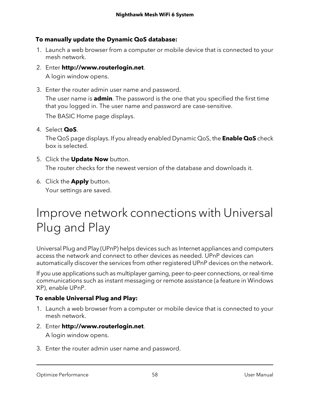#### **To manually update the Dynamic QoS database:**

- 1. Launch a web browser from a computer or mobile device that is connected to your mesh network.
- 2. Enter **http://www.routerlogin.net**.

A login window opens.

3. Enter the router admin user name and password. The user name is **admin**. The password is the one that you specified the first time that you logged in. The user name and password are case-sensitive.

The BASIC Home page displays.

4. Select **QoS**.

The QoS page displays. If you already enabled Dynamic QoS, the **Enable QoS** check box is selected.

- 5. Click the **Update Now** button. The router checks for the newest version of the database and downloads it.
- <span id="page-57-0"></span>6. Click the **Apply** button. Your settings are saved.

## Improve network connections with Universal Plug and Play

Universal Plug and Play (UPnP) helps devices such as Internet appliances and computers access the network and connect to other devices as needed. UPnP devices can automatically discover the services from other registered UPnP devices on the network.

If you use applications such as multiplayer gaming, peer-to-peer connections, orreal-time communications such as instant messaging or remote assistance (a feature in Windows XP), enable UPnP.

#### **To enable Universal Plug and Play:**

- 1. Launch a web browser from a computer or mobile device that is connected to your mesh network.
- 2. Enter **http://www.routerlogin.net**. A login window opens.
- 3. Enter the router admin user name and password.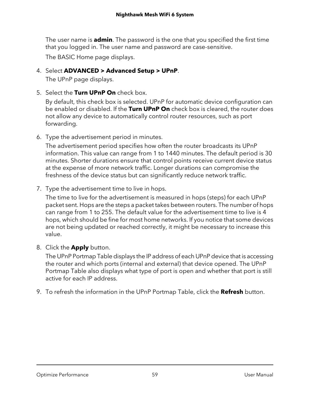The user name is **admin**. The password is the one that you specified the first time that you logged in. The user name and password are case-sensitive.

The BASIC Home page displays.

#### 4. Select **ADVANCED > Advanced Setup > UPnP**.

The UPnP page displays.

5. Select the **Turn UPnP On** check box.

By default, this check box is selected. UPnP for automatic device configuration can be enabled or disabled. If the **Turn UPnP On** check box is cleared, the router does not allow any device to automatically control router resources, such as port forwarding.

6. Type the advertisement period in minutes.

The advertisement period specifies how often the router broadcasts its UPnP information. This value can range from 1 to 1440 minutes. The default period is 30 minutes. Shorter durations ensure that control points receive current device status at the expense of more network traffic. Longer durations can compromise the freshness of the device status but can significantly reduce network traffic.

7. Type the advertisement time to live in hops.

The time to live for the advertisement is measured in hops (steps) for each UPnP packet sent. Hops are the steps a packet takes between routers. The number of hops can range from 1 to 255. The default value for the advertisement time to live is 4 hops, which should be fine for most home networks. If you notice that some devices are not being updated or reached correctly, it might be necessary to increase this value.

8. Click the **Apply** button.

The UPnP Portmap Table displays the IP address of each UPnP device that is accessing the router and which ports (internal and external) that device opened. The UPnP Portmap Table also displays what type of port is open and whether that port is still active for each IP address.

9. To refresh the information in the UPnP Portmap Table, click the **Refresh** button.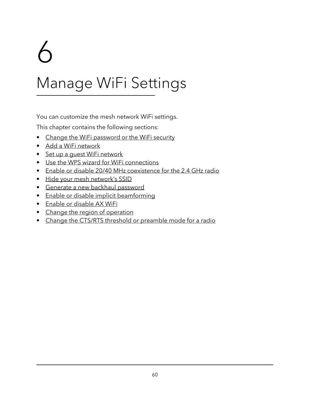# 6

# Manage WiFi Settings

You can customize the mesh network WiFi settings.

This chapter contains the following sections:

- Change the WiFi [password](#page-60-0) or the WiFi security
- Add a WiFi [network](#page-61-0)
- Set up a quest WiFi [network](#page-62-0)
- Use the WPS wizard for WiFi [connections](#page-64-0)
- Enable or disable 20/40 MHz [coexistence](#page-65-0) for the 2.4 GHz radio
- Hide your mesh [network's](#page-66-0) SSID
- Generate a new backhaul [password](#page-67-0)
- Enable or disable implicit [beamforming](#page-67-1)
- Enable or [disable](#page-68-0) AX WiFi
- Change the region of [operation](#page-69-0)
- Change the CTS/RTS threshold or [preamble](#page-70-0) mode for a radio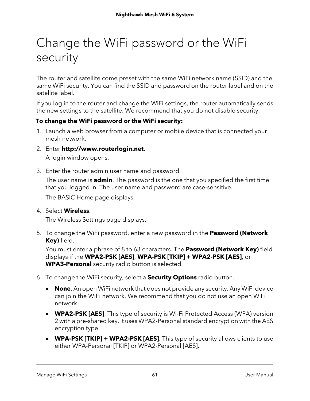# <span id="page-60-0"></span>Change the WiFi password or the WiFi security

The router and satellite come preset with the same WiFi network name (SSID) and the same WiFi security. You can find the SSID and password on the router label and on the satellite label.

If you log in to the router and change the WiFi settings, the router automatically sends the new settings to the satellite. We recommend that you do not disable security.

#### **To change the WiFi password or the WiFi security:**

- 1. Launch a web browser from a computer or mobile device that is connected your mesh network.
- 2. Enter **http://www.routerlogin.net**.

A login window opens.

3. Enter the router admin user name and password.

The user name is **admin**. The password is the one that you specified the first time that you logged in. The user name and password are case-sensitive.

The BASIC Home page displays.

#### 4. Select **Wireless**.

The Wireless Settings page displays.

5. To change the WiFi password, enter a new password in the **Password (Network Key)** field.

You must enter a phrase of 8 to 63 characters. The **Password (Network Key)** field displays if the **WPA2-PSK [AES]**, **WPA-PSK [TKIP] + WPA2-PSK [AES]**, or **WPA3-Personal** security radio button is selected.

- 6. To change the WiFi security, select a **Security Options** radio button.
	- **None**. An open WiFi network that does not provide any security. Any WiFi device can join the WiFi network. We recommend that you do not use an open WiFi network.
	- **WPA2-PSK [AES]**. This type of security is Wi-Fi Protected Access (WPA) version 2 with a pre-shared key. It uses WPA2-Personal standard encryption with the AES encryption type.
	- **WPA-PSK [TKIP] + WPA2-PSK [AES]**. This type of security allows clients to use either WPA-Personal [TKIP] or WPA2-Personal [AES].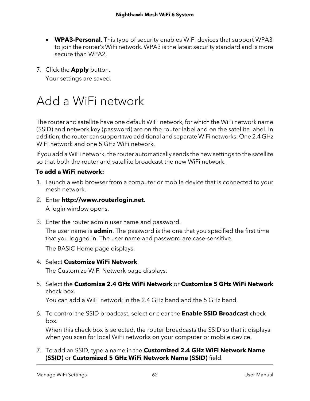- **WPA3-Personal**. This type of security enables WiFi devices that support WPA3 to join the router's WiFi network. WPA3 is the latest security standard and is more secure than WPA2.
- 7. Click the **Apply** button.

Your settings are saved.

## <span id="page-61-0"></span>Add a WiFi network

The router and satellite have one default WiFi network, for which the WiFi network name (SSID) and network key (password) are on the router label and on the satellite label. In addition, the router can support two additional and separate WiFi networks: One 2.4 GHz WiFi network and one 5 GHz WiFi network.

If you add a WiFi network, the router automatically sends the new settings to the satellite so that both the router and satellite broadcast the new WiFi network.

#### **To add a WiFi network:**

- 1. Launch a web browser from a computer or mobile device that is connected to your mesh network.
- 2. Enter **http://www.routerlogin.net**.

A login window opens.

3. Enter the router admin user name and password.

The user name is **admin**. The password is the one that you specified the first time that you logged in. The user name and password are case-sensitive.

The BASIC Home page displays.

4. Select **Customize WiFi Network**.

The Customize WiFi Network page displays.

5. Select the **Customize 2.4 GHz WiFi Network** or **Customize 5 GHz WiFi Network** check box.

You can add a WiFi network in the 2.4 GHz band and the 5 GHz band.

6. To control the SSID broadcast, select or clear the **Enable SSID Broadcast** check box.

When this check box is selected, the router broadcasts the SSID so that it displays when you scan for local WiFi networks on your computer or mobile device.

7. To add an SSID, type a name in the **Customized 2.4 GHz WiFi Network Name (SSID)** or **Customized 5 GHz WiFi Network Name (SSID)** field.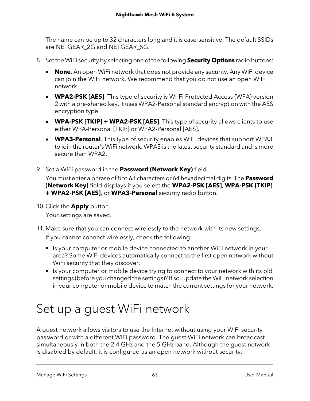The name can be up to 32 characters long and it is case-sensitive. The default SSIDs are NETGEAR\_2G and NETGEAR\_5G.

- 8. Set the WiFi security by selecting one of the following **Security Options** radio buttons:
	- **None**. An open WiFi network that does not provide any security. Any WiFi device can join the WiFi network. We recommend that you do not use an open WiFi network.
	- **WPA2-PSK [AES]**. This type of security is Wi-Fi Protected Access (WPA) version 2 with a pre-shared key. It uses WPA2-Personal standard encryption with the AES encryption type.
	- **WPA-PSK [TKIP] + WPA2-PSK [AES]**. This type of security allows clients to use either WPA-Personal [TKIP] or WPA2-Personal [AES].
	- **WPA3-Personal**. This type of security enables WiFi devices that support WPA3 to join the router's WiFi network. WPA3 is the latest security standard and is more secure than WPA2.
- 9. Set a WiFi password in the **Password (Network Key)** field.

You must enter a phrase of 8 to 63 characters or 64 hexadecimal digits. The **Password (Network Key)** field displays if you select the **WPA2-PSK [AES]**, **WPA-PSK [TKIP] + WPA2-PSK [AES]**, or **WPA3-Personal** security radio button.

10. Click the **Apply** button.

Your settings are saved.

- 11. Make sure that you can connect wirelessly to the network with its new settings. If you cannot connect wirelessly, check the following:
	- **•** Is your computer or mobile device connected to another WiFi network in your area? Some WiFi devices automatically connect to the first open network without WiFi security that they discover.
	- **•** Is your computer or mobile device trying to connect to your network with its old settings (before you changed the settings)? If so, update the WiFi network selection in your computer or mobile device to match the current settings for your network.

## <span id="page-62-0"></span>Set up a guest WiFi network

A guest network allows visitors to use the Internet without using your WiFi security password or with a different WiFi password. The guest WiFi network can broadcast simultaneously in both the 2.4 GHz and the 5 GHz band. Although the guest network is disabled by default, it is configured as an open network without security.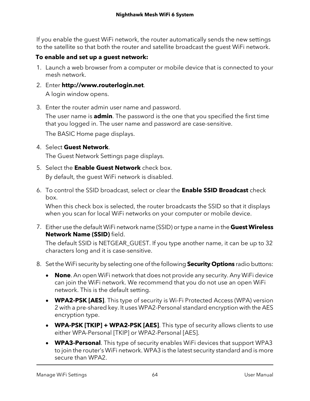If you enable the guest WiFi network, the router automatically sends the new settings to the satellite so that both the router and satellite broadcast the guest WiFi network.

#### **To enable and set up a guest network:**

- 1. Launch a web browser from a computer or mobile device that is connected to your mesh network.
- 2. Enter **http://www.routerlogin.net**. A login window opens.
- 3. Enter the router admin user name and password.

The user name is **admin**. The password is the one that you specified the first time that you logged in. The user name and password are case-sensitive.

The BASIC Home page displays.

#### 4. Select **Guest Network**.

The Guest Network Settings page displays.

- 5. Select the **Enable Guest Network** check box. By default, the guest WiFi network is disabled.
- 6. To control the SSID broadcast, select or clear the **Enable SSID Broadcast** check box.

When this check box is selected, the router broadcasts the SSID so that it displays when you scan for local WiFi networks on your computer or mobile device.

7. Either use the default WiFi network name (SSID) ortype a name in the **Guest Wireless Network Name (SSID)** field.

The default SSID is NETGEAR\_GUEST. If you type another name, it can be up to 32 characters long and it is case-sensitive.

- 8. Set the WiFi security by selecting one of the following **Security Options** radio buttons:
	- **None**. An open WiFi network that does not provide any security. Any WiFi device can join the WiFi network. We recommend that you do not use an open WiFi network. This is the default setting.
	- **WPA2-PSK [AES]**. This type of security is Wi-Fi Protected Access (WPA) version 2 with a pre-shared key. It uses WPA2-Personal standard encryption with the AES encryption type.
	- **WPA-PSK [TKIP] + WPA2-PSK [AES]**. This type of security allows clients to use either WPA-Personal [TKIP] or WPA2-Personal [AES].
	- **WPA3-Personal**. This type of security enables WiFi devices that support WPA3 to join the router's WiFi network. WPA3 is the latest security standard and is more secure than WPA2.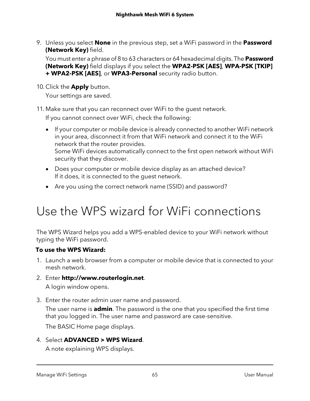9. Unless you select **None** in the previous step, set a WiFi password in the **Password (Network Key)** field.

You must enter a phrase of 8 to 63 characters or 64 hexadecimal digits. The **Password (Network Key)** field displays if you select the **WPA2-PSK [AES]**, **WPA-PSK [TKIP] + WPA2-PSK [AES]**, or **WPA3-Personal** security radio button.

10. Click the **Apply** button.

Your settings are saved.

11. Make sure that you can reconnect over WiFi to the guest network.

If you cannot connect over WiFi, check the following:

- If your computer or mobile device is already connected to another WiFi network in your area, disconnect it from that WiFi network and connect it to the WiFi network that the router provides. Some WiFi devices automatically connect to the first open network without WiFi security that they discover.
- Does your computer or mobile device display as an attached device? If it does, it is connected to the guest network.
- <span id="page-64-0"></span>• Are you using the correct network name (SSID) and password?

## Use the WPS wizard for WiFi connections

The WPS Wizard helps you add a WPS-enabled device to your WiFi network without typing the WiFi password.

#### **To use the WPS Wizard:**

- 1. Launch a web browser from a computer or mobile device that is connected to your mesh network.
- 2. Enter **http://www.routerlogin.net**.

A login window opens.

3. Enter the router admin user name and password.

The user name is **admin**. The password is the one that you specified the first time that you logged in. The user name and password are case-sensitive.

The BASIC Home page displays.

4. Select **ADVANCED > WPS Wizard**.

A note explaining WPS displays.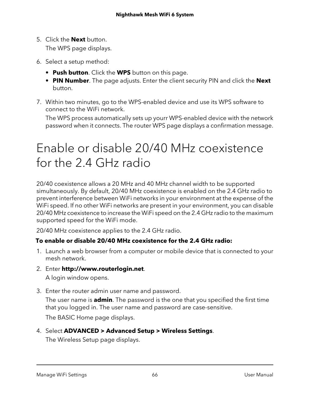5. Click the **Next** button.

The WPS page displays.

- 6. Select a setup method:
	- **• Push button**. Click the **WPS** button on this page.
	- **• PIN Number**. The page adjusts. Enter the client security PIN and click the **Next** button.
- 7. Within two minutes, go to the WPS-enabled device and use its WPS software to connect to the WiFi network.

<span id="page-65-0"></span>The WPS process automatically sets up yourr WPS-enabled device with the network password when it connects. The router WPS page displays a confirmation message.

## Enable or disable 20/40 MHz coexistence for the 2.4 GHz radio

20/40 coexistence allows a 20 MHz and 40 MHz channel width to be supported simultaneously. By default, 20/40 MHz coexistence is enabled on the 2.4 GHz radio to prevent interference between WiFi networks in your environment at the expense of the WiFi speed. If no other WiFi networks are present in your environment, you can disable 20/40 MHz coexistence to increase the WiFi speed on the 2.4 GHz radio to the maximum supported speed for the WiFi mode.

20/40 MHz coexistence applies to the 2.4 GHz radio.

#### **To enable or disable 20/40 MHz coexistence for the 2.4 GHz radio:**

- 1. Launch a web browser from a computer or mobile device that is connected to your mesh network.
- 2. Enter **http://www.routerlogin.net**.

A login window opens.

3. Enter the router admin user name and password.

The user name is **admin**. The password is the one that you specified the first time that you logged in. The user name and password are case-sensitive.

The BASIC Home page displays.

4. Select **ADVANCED > Advanced Setup > Wireless Settings**.

The Wireless Setup page displays.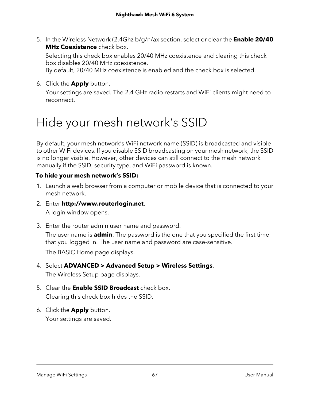5. In the Wireless Network (2.4Ghz b/g/n/ax section, select or clear the **Enable 20/40 MHz Coexistence** check box.

Selecting this check box enables 20/40 MHz coexistence and clearing this check box disables 20/40 MHz coexistence.

By default, 20/40 MHz coexistence is enabled and the check box is selected.

6. Click the **Apply** button.

Your settings are saved. The 2.4 GHz radio restarts and WiFi clients might need to reconnect.

## <span id="page-66-0"></span>Hide your mesh network's SSID

By default, your mesh network's WiFi network name (SSID) is broadcasted and visible to other WiFi devices. If you disable SSID broadcasting on your mesh network, the SSID is no longer visible. However, other devices can still connect to the mesh network manually if the SSID, security type, and WiFi password is known.

#### **To hide your mesh network's SSID:**

- 1. Launch a web browser from a computer or mobile device that is connected to your mesh network.
- 2. Enter **http://www.routerlogin.net**. A login window opens.
- 3. Enter the router admin user name and password.

The user name is **admin**. The password is the one that you specified the first time that you logged in. The user name and password are case-sensitive.

The BASIC Home page displays.

4. Select **ADVANCED > Advanced Setup > Wireless Settings**.

The Wireless Setup page displays.

- 5. Clear the **Enable SSID Broadcast** check box. Clearing this check box hides the SSID.
- 6. Click the **Apply** button. Your settings are saved.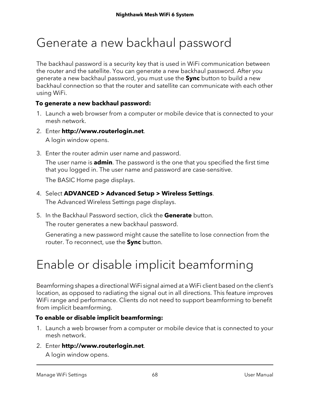## <span id="page-67-0"></span>Generate a new backhaul password

The backhaul password is a security key that is used in WiFi communication between the router and the satellite. You can generate a new backhaul password. After you generate a new backhaul password, you must use the **Sync** button to build a new backhaul connection so that the router and satellite can communicate with each other using WiFi.

#### **To generate a new backhaul password:**

- 1. Launch a web browser from a computer or mobile device that is connected to your mesh network.
- 2. Enter **http://www.routerlogin.net**.

A login window opens.

3. Enter the router admin user name and password.

The user name is **admin**. The password is the one that you specified the first time that you logged in. The user name and password are case-sensitive.

The BASIC Home page displays.

- 4. Select **ADVANCED > Advanced Setup > Wireless Settings**. The Advanced Wireless Settings page displays.
- 5. In the Backhaul Password section, click the **Generate** button. The router generates a new backhaul password.

<span id="page-67-1"></span>Generating a new password might cause the satellite to lose connection from the router. To reconnect, use the **Sync** button.

# Enable or disable implicit beamforming

Beamforming shapes a directional WiFi signal aimed at a WiFi client based on the client's location, as opposed to radiating the signal out in all directions. This feature improves WiFi range and performance. Clients do not need to support beamforming to benefit from implicit beamforming.

#### **To enable or disable implicit beamforming:**

- 1. Launch a web browser from a computer or mobile device that is connected to your mesh network.
- 2. Enter **http://www.routerlogin.net**.

A login window opens.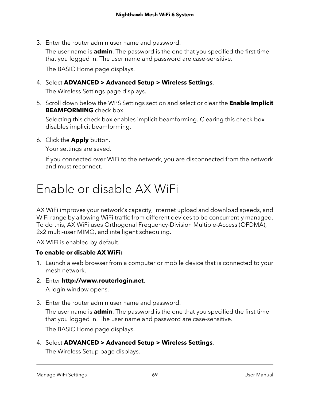3. Enter the router admin user name and password.

The user name is **admin**. The password is the one that you specified the first time that you logged in. The user name and password are case-sensitive.

The BASIC Home page displays.

4. Select **ADVANCED > Advanced Setup > Wireless Settings**.

The Wireless Settings page displays.

5. Scroll down below the WPS Settings section and select or clear the **Enable Implicit BEAMFORMING** check box.

Selecting this check box enables implicit beamforming. Clearing this check box disables implicit beamforming.

6. Click the **Apply** button.

Your settings are saved.

<span id="page-68-0"></span>If you connected over WiFi to the network, you are disconnected from the network and must reconnect.

## Enable or disable AX WiFi

AX WiFi improves your network's capacity, Internet upload and download speeds, and WiFi range by allowing WiFi traffic from different devices to be concurrently managed. To do this, AX WiFi uses Orthogonal Frequency-Division Multiple-Access (OFDMA), 2x2 multi-user MIMO, and intelligent scheduling.

AX WiFi is enabled by default.

#### **To enable or disable AX WiFi:**

- 1. Launch a web browser from a computer or mobile device that is connected to your mesh network.
- 2. Enter **http://www.routerlogin.net**. A login window opens.
- 3. Enter the router admin user name and password.

The user name is **admin**. The password is the one that you specified the first time that you logged in. The user name and password are case-sensitive.

The BASIC Home page displays.

4. Select **ADVANCED > Advanced Setup > Wireless Settings**.

The Wireless Setup page displays.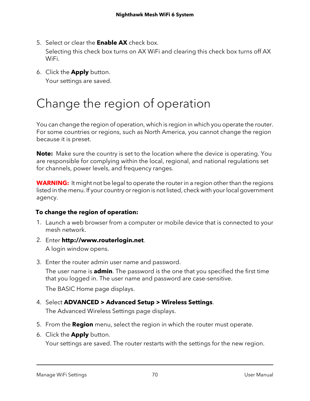- 5. Select or clear the **Enable AX** check box. Selecting this check box turns on AX WiFi and clearing this check box turns off AX WiFi.
- 6. Click the **Apply** button.

Your settings are saved.

# <span id="page-69-0"></span>Change the region of operation

You can change the region of operation, which is region in which you operate the router. For some countries or regions, such as North America, you cannot change the region because it is preset.

**Note:** Make sure the country is set to the location where the device is operating. You are responsible for complying within the local, regional, and national regulations set for channels, power levels, and frequency ranges.

**WARNING:** It might not be legal to operate the router in a region other than the regions listed in the menu. If your country or region is not listed, check with your local government agency.

#### **To change the region of operation:**

- 1. Launch a web browser from a computer or mobile device that is connected to your mesh network.
- 2. Enter **http://www.routerlogin.net**. A login window opens.
- 3. Enter the router admin user name and password.

The user name is **admin**. The password is the one that you specified the first time that you logged in. The user name and password are case-sensitive.

The BASIC Home page displays.

4. Select **ADVANCED > Advanced Setup > Wireless Settings**.

The Advanced Wireless Settings page displays.

- 5. From the **Region** menu, select the region in which the router must operate.
- 6. Click the **Apply** button.

Your settings are saved. The router restarts with the settings for the new region.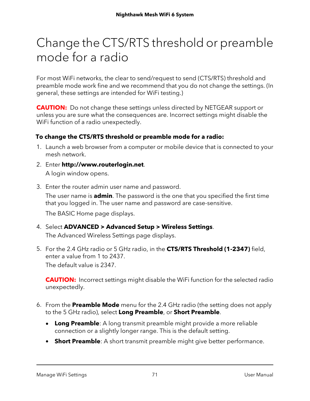## <span id="page-70-0"></span>Change the CTS/RTS threshold or preamble mode for a radio

For most WiFi networks, the clear to send/request to send (CTS/RTS) threshold and preamble mode work fine and we recommend that you do not change the settings. (In general, these settings are intended for WiFi testing.)

**CAUTION:** Do not change these settings unless directed by NETGEAR support or unless you are sure what the consequences are. Incorrect settings might disable the WiFi function of a radio unexpectedly.

#### **To change the CTS/RTS threshold or preamble mode for a radio:**

- 1. Launch a web browser from a computer or mobile device that is connected to your mesh network.
- 2. Enter **http://www.routerlogin.net**. A login window opens.
- 3. Enter the router admin user name and password. The user name is **admin**. The password is the one that you specified the first time that you logged in. The user name and password are case-sensitive.

The BASIC Home page displays.

- 4. Select **ADVANCED > Advanced Setup > Wireless Settings**. The Advanced Wireless Settings page displays.
- 5. For the 2.4 GHz radio or 5 GHz radio, in the **CTS/RTS Threshold (1-2347)** field, enter a value from 1 to 2437. The default value is 2347.

**CAUTION:** Incorrect settings might disable the WiFi function for the selected radio unexpectedly.

- 6. From the **Preamble Mode** menu for the 2.4 GHz radio (the setting does not apply to the 5 GHz radio), select **Long Preamble**, or **Short Preamble**.
	- **Long Preamble**: A long transmit preamble might provide a more reliable connection or a slightly longer range. This is the default setting.
	- **Short Preamble**: A short transmit preamble might give better performance.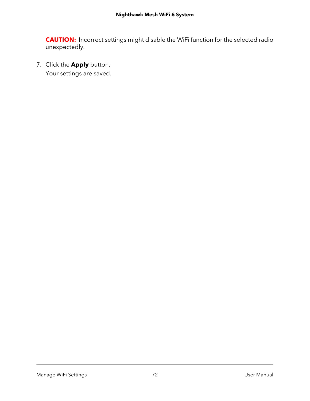**CAUTION:** Incorrect settings might disable the WiFi function for the selected radio unexpectedly.

7. Click the **Apply** button.

Your settings are saved.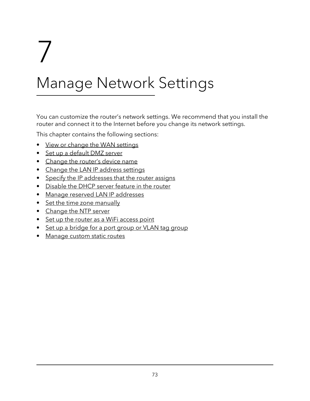# 7

# Manage Network Settings

You can customize the router's network settings. We recommend that you install the router and connect it to the Internet before you change its network settings.

This chapter contains the following sections:

- View or change the WAN [settings](#page-73-0)
- Set up a [default](#page-74-0) DMZ server
- [Change](#page-75-0) the router's device name
- Change the LAN IP [address](#page-75-1) settings
- Specify the IP [addresses](#page-77-0) that the router assigns
- [Disable](#page-78-0) the DHCP server feature in the router
- Manage reserved LAN IP [addresses](#page-79-0)
- Set the time zone [manually](#page-81-0)
- [Change](#page-81-1) the NTP server
- Set up the router as a WiFi [access](#page-82-0) point
- Set up a [bridge](#page-83-0) for a port group or VLAN tag group
- [Manage](#page-86-0) custom static routes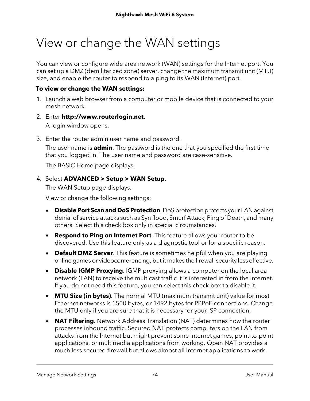# <span id="page-73-0"></span>View or change the WAN settings

You can view or configure wide area network (WAN) settings for the Internet port. You can set up a DMZ (demilitarized zone) server, change the maximum transmit unit (MTU) size, and enable the router to respond to a ping to its WAN (Internet) port.

#### **To view or change the WAN settings:**

- 1. Launch a web browser from a computer or mobile device that is connected to your mesh network.
- 2. Enter **http://www.routerlogin.net**. A login window opens.
- 3. Enter the router admin user name and password.

The user name is **admin**. The password is the one that you specified the first time that you logged in. The user name and password are case-sensitive.

The BASIC Home page displays.

#### 4. Select **ADVANCED > Setup > WAN Setup**.

The WAN Setup page displays.

View or change the following settings:

- **Disable Port Scan and DoS Protection**. DoS protection protects your LAN against denial of service attacks such as Syn flood, Smurf Attack, Ping of Death, and many others. Select this check box only in special circumstances.
- **Respond to Ping on Internet Port**. This feature allows your router to be discovered. Use this feature only as a diagnostic tool or for a specific reason.
- **Default DMZ Server**. This feature is sometimes helpful when you are playing online games or videoconferencing, but it makes the firewall security less effective.
- **Disable IGMP Proxying**. IGMP proxying allows a computer on the local area network (LAN) to receive the multicast traffic it is interested in from the Internet. If you do not need this feature, you can select this check box to disable it.
- **MTU Size (in bytes)**. The normal MTU (maximum transmit unit) value for most Ethernet networks is 1500 bytes, or 1492 bytes for PPPoE connections. Change the MTU only if you are sure that it is necessary for your ISP connection.
- **NAT Filtering**. Network Address Translation (NAT) determines how the router processes inbound traffic. Secured NAT protects computers on the LAN from attacks from the Internet but might prevent some Internet games, point-to-point applications, or multimedia applications from working. Open NAT provides a much less secured firewall but allows almost all Internet applications to work.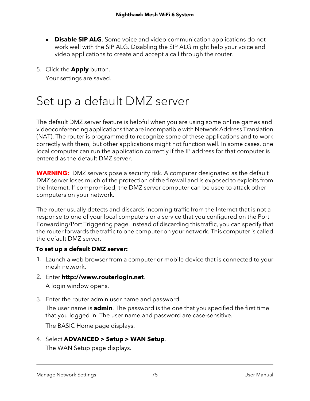- **Disable SIP ALG**. Some voice and video communication applications do not work well with the SIP ALG. Disabling the SIP ALG might help your voice and video applications to create and accept a call through the router.
- 5. Click the **Apply** button.

Your settings are saved.

# <span id="page-74-0"></span>Set up a default DMZ server

The default DMZ server feature is helpful when you are using some online games and videoconferencing applications that are incompatible with Network Address Translation (NAT). The router is programmed to recognize some of these applications and to work correctly with them, but other applications might not function well. In some cases, one local computer can run the application correctly if the IP address for that computer is entered as the default DMZ server.

**WARNING:** DMZ servers pose a security risk. A computer designated as the default DMZ server loses much of the protection of the firewall and is exposed to exploits from the Internet. If compromised, the DMZ server computer can be used to attack other computers on your network.

The router usually detects and discards incoming traffic from the Internet that is not a response to one of your local computers or a service that you configured on the Port Forwarding/Port Triggering page. Instead of discarding this traffic, you can specify that the router forwards the traffic to one computer on your network. This computer is called the default DMZ server.

#### **To set up a default DMZ server:**

- 1. Launch a web browser from a computer or mobile device that is connected to your mesh network.
- 2. Enter **http://www.routerlogin.net**.
	- A login window opens.
- 3. Enter the router admin user name and password.

The user name is **admin**. The password is the one that you specified the first time that you logged in. The user name and password are case-sensitive.

The BASIC Home page displays.

#### 4. Select **ADVANCED > Setup > WAN Setup**.

The WAN Setup page displays.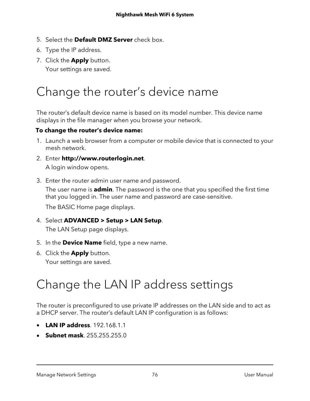- 5. Select the **Default DMZ Server** check box.
- 6. Type the IP address.
- 7. Click the **Apply** button. Your settings are saved.

# <span id="page-75-0"></span>Change the router's device name

The router's default device name is based on its model number. This device name displays in the file manager when you browse your network.

#### **To change the router's device name:**

- 1. Launch a web browser from a computer or mobile device that is connected to your mesh network.
- 2. Enter **http://www.routerlogin.net**. A login window opens.
- 3. Enter the router admin user name and password.

The user name is **admin**. The password is the one that you specified the first time that you logged in. The user name and password are case-sensitive.

The BASIC Home page displays.

- 4. Select **ADVANCED > Setup > LAN Setup**. The LAN Setup page displays.
- 5. In the **Device Name** field, type a new name.
- <span id="page-75-1"></span>6. Click the **Apply** button. Your settings are saved.

# Change the LAN IP address settings

The router is preconfigured to use private IP addresses on the LAN side and to act as a DHCP server. The router's default LAN IP configuration is as follows:

- **LAN IP address**. 192.168.1.1
- **Subnet mask**. 255.255.255.0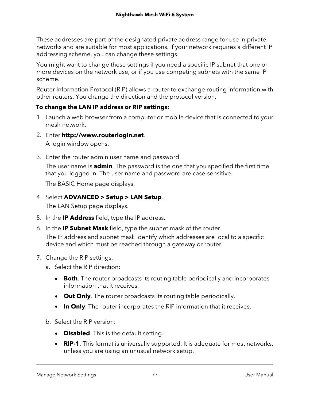These addresses are part of the designated private address range for use in private networks and are suitable for most applications. If your network requires a different IP addressing scheme, you can change these settings.

You might want to change these settings if you need a specific IP subnet that one or more devices on the network use, or if you use competing subnets with the same IP scheme.

Router Information Protocol (RIP) allows a router to exchange routing information with other routers. You change the direction and the protocol version.

#### **To change the LAN IP address or RIP settings:**

- 1. Launch a web browser from a computer or mobile device that is connected to your mesh network.
- 2. Enter **http://www.routerlogin.net**.

A login window opens.

3. Enter the router admin user name and password. The user name is **admin**. The password is the one that you specified the first time that you logged in. The user name and password are case-sensitive.

The BASIC Home page displays.

#### 4. Select **ADVANCED > Setup > LAN Setup**.

The LAN Setup page displays.

- 5. In the **IP Address** field, type the IP address.
- 6. In the **IP Subnet Mask** field, type the subnet mask of the router.

The IP address and subnet mask identify which addresses are local to a specific device and which must be reached through a gateway or router.

- 7. Change the RIP settings.
	- a. Select the RIP direction:
		- **Both**. The router broadcasts its routing table periodically and incorporates information that it receives.
		- **Out Only**. The router broadcasts its routing table periodically.
		- **In Only**. The router incorporates the RIP information that it receives.
	- b. Select the RIP version:
		- **Disabled**. This is the default setting.
		- **RIP-1**. This format is universally supported. It is adequate for most networks, unless you are using an unusual network setup.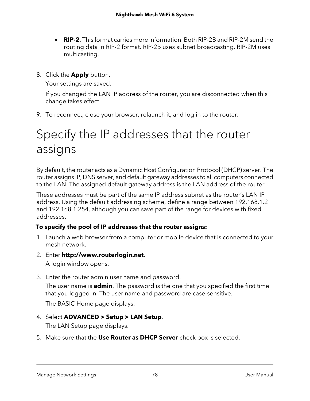- **RIP-2**. This format carries more information. Both RIP-2B and RIP-2M send the routing data in RIP-2 format. RIP-2B uses subnet broadcasting. RIP-2M uses multicasting.
- 8. Click the **Apply** button.

Your settings are saved.

If you changed the LAN IP address of the router, you are disconnected when this change takes effect.

<span id="page-77-0"></span>9. To reconnect, close your browser, relaunch it, and log in to the router.

# Specify the IP addresses that the router assigns

By default, the router acts as a Dynamic Host Configuration Protocol (DHCP) server. The router assigns IP, DNS server, and default gateway addresses to all computers connected to the LAN. The assigned default gateway address is the LAN address of the router.

These addresses must be part of the same IP address subnet as the router's LAN IP address. Using the default addressing scheme, define a range between 192.168.1.2 and 192.168.1.254, although you can save part of the range for devices with fixed addresses.

#### **To specify the pool of IP addresses that the router assigns:**

- 1. Launch a web browser from a computer or mobile device that is connected to your mesh network.
- 2. Enter **http://www.routerlogin.net**. A login window opens.
- 3. Enter the router admin user name and password.

The user name is **admin**. The password is the one that you specified the first time that you logged in. The user name and password are case-sensitive.

The BASIC Home page displays.

#### 4. Select **ADVANCED > Setup > LAN Setup**.

The LAN Setup page displays.

5. Make sure that the **Use Router as DHCP Server** check box is selected.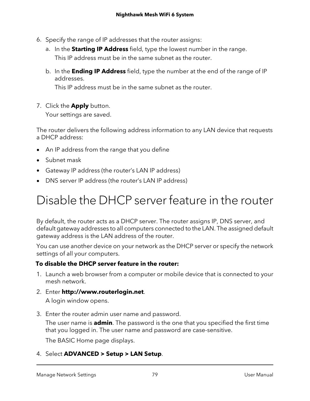- 6. Specify the range of IP addresses that the router assigns:
	- a. In the **Starting IP Address** field, type the lowest number in the range. This IP address must be in the same subnet as the router.
	- b. In the **Ending IP Address** field, type the number at the end of the range of IP addresses.

This IP address must be in the same subnet as the router.

7. Click the **Apply** button.

Your settings are saved.

The router delivers the following address information to any LAN device that requests a DHCP address:

- An IP address from the range that you define
- Subnet mask
- <span id="page-78-0"></span>• Gateway IP address (the router's LAN IP address)
- DNS server IP address (the router's LAN IP address)

# Disable the DHCP server feature in the router

By default, the router acts as a DHCP server. The router assigns IP, DNS server, and default gateway addresses to all computers connected to the LAN. The assigned default gateway address is the LAN address of the router.

You can use another device on your network as the DHCP server or specify the network settings of all your computers.

#### **To disable the DHCP server feature in the router:**

- 1. Launch a web browser from a computer or mobile device that is connected to your mesh network.
- 2. Enter **http://www.routerlogin.net**.

A login window opens.

3. Enter the router admin user name and password.

The user name is **admin**. The password is the one that you specified the first time that you logged in. The user name and password are case-sensitive.

The BASIC Home page displays.

#### 4. Select **ADVANCED > Setup > LAN Setup**.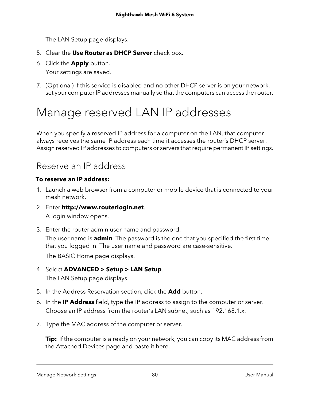The LAN Setup page displays.

- 5. Clear the **Use Router as DHCP Server** check box.
- 6. Click the **Apply** button.

Your settings are saved.

<span id="page-79-0"></span>7. (Optional) If this service is disabled and no other DHCP server is on your network, set your computer IP addresses manually so that the computers can access the router.

## Manage reserved LAN IP addresses

When you specify a reserved IP address for a computer on the LAN, that computer always receives the same IP address each time it accesses the router's DHCP server. Assign reserved IP addresses to computers or servers that require permanent IP settings.

### Reserve an IP address

#### **To reserve an IP address:**

- 1. Launch a web browser from a computer or mobile device that is connected to your mesh network.
- 2. Enter **http://www.routerlogin.net**. A login window opens.
- 3. Enter the router admin user name and password.

The user name is **admin**. The password is the one that you specified the first time that you logged in. The user name and password are case-sensitive.

The BASIC Home page displays.

- 4. Select **ADVANCED > Setup > LAN Setup**. The LAN Setup page displays.
- 5. In the Address Reservation section, click the **Add** button.
- 6. In the **IP Address** field, type the IP address to assign to the computer or server. Choose an IP address from the router's LAN subnet, such as 192.168.1.x.
- 7. Type the MAC address of the computer or server.

**Tip:** If the computer is already on your network, you can copy its MAC address from the Attached Devices page and paste it here.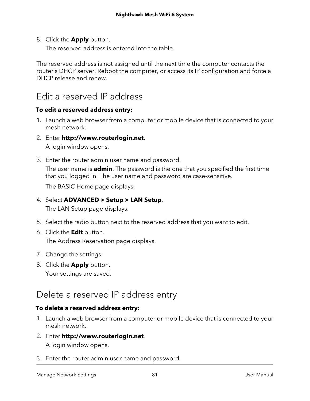8. Click the **Apply** button.

The reserved address is entered into the table.

The reserved address is not assigned until the next time the computer contacts the router's DHCP server. Reboot the computer, or access its IP configuration and force a DHCP release and renew.

### Edit a reserved IP address

#### **To edit a reserved address entry:**

- 1. Launch a web browser from a computer or mobile device that is connected to your mesh network.
- 2. Enter **http://www.routerlogin.net**.

A login window opens.

3. Enter the router admin user name and password. The user name is **admin**. The password is the one that you specified the first time that you logged in. The user name and password are case-sensitive.

The BASIC Home page displays.

#### 4. Select **ADVANCED > Setup > LAN Setup**.

The LAN Setup page displays.

- 5. Select the radio button next to the reserved address that you want to edit.
- 6. Click the **Edit** button. The Address Reservation page displays.
- 7. Change the settings.
- 8. Click the **Apply** button. Your settings are saved.

### Delete a reserved IP address entry

#### **To delete a reserved address entry:**

- 1. Launch a web browser from a computer or mobile device that is connected to your mesh network.
- 2. Enter **http://www.routerlogin.net**. A login window opens.
- 3. Enter the router admin user name and password.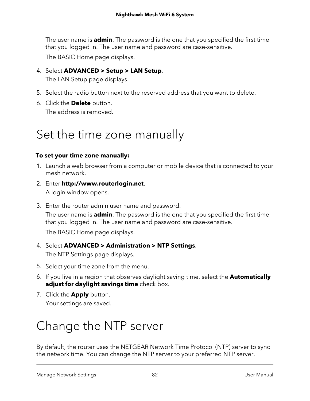The user name is **admin**. The password is the one that you specified the first time that you logged in. The user name and password are case-sensitive.

The BASIC Home page displays.

### 4. Select **ADVANCED > Setup > LAN Setup**.

The LAN Setup page displays.

- 5. Select the radio button next to the reserved address that you want to delete.
- <span id="page-81-0"></span>6. Click the **Delete** button. The address is removed.

## Set the time zone manually

#### **To set your time zone manually:**

- 1. Launch a web browser from a computer or mobile device that is connected to your mesh network.
- 2. Enter **http://www.routerlogin.net**. A login window opens.
- 3. Enter the router admin user name and password.

The user name is **admin**. The password is the one that you specified the first time that you logged in. The user name and password are case-sensitive.

The BASIC Home page displays.

#### 4. Select **ADVANCED > Administration > NTP Settings**.

The NTP Settings page displays.

- 5. Select your time zone from the menu.
- 6. If you live in a region that observes daylight saving time, select the **Automatically adjust for daylight savings time** check box.
- <span id="page-81-1"></span>7. Click the **Apply** button. Your settings are saved.

# Change the NTP server

By default, the router uses the NETGEAR Network Time Protocol (NTP) server to sync the network time. You can change the NTP server to your preferred NTP server.

Manage Network Settings 82 User Manual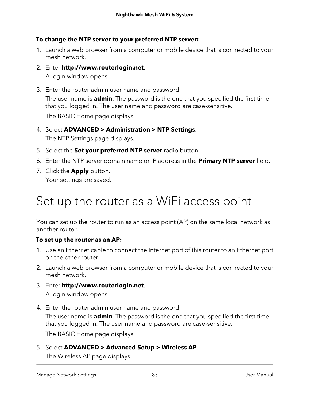#### **To change the NTP server to your preferred NTP server:**

- 1. Launch a web browser from a computer or mobile device that is connected to your mesh network.
- 2. Enter **http://www.routerlogin.net**. A login window opens.
- 3. Enter the router admin user name and password. The user name is **admin**. The password is the one that you specified the first time that you logged in. The user name and password are case-sensitive.

The BASIC Home page displays.

- 4. Select **ADVANCED > Administration > NTP Settings**. The NTP Settings page displays.
- 5. Select the **Set your preferred NTP server** radio button.
- 6. Enter the NTP server domain name or IP address in the **Primary NTP server** field.
- <span id="page-82-0"></span>7. Click the **Apply** button. Your settings are saved.

# Set up the router as a WiFi access point

You can set up the router to run as an access point (AP) on the same local network as another router.

#### **To set up the router as an AP:**

- 1. Use an Ethernet cable to connect the Internet port of this router to an Ethernet port on the other router.
- 2. Launch a web browser from a computer or mobile device that is connected to your mesh network.
- 3. Enter **http://www.routerlogin.net**. A login window opens.
- 4. Enter the router admin user name and password.

The user name is **admin**. The password is the one that you specified the first time that you logged in. The user name and password are case-sensitive.

The BASIC Home page displays.

5. Select **ADVANCED > Advanced Setup > Wireless AP**.

The Wireless AP page displays.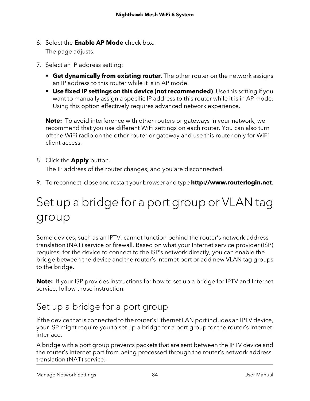- 6. Select the **Enable AP Mode** check box. The page adjusts.
- 7. Select an IP address setting:
	- **• Get dynamically from existing router**. The other router on the network assigns an IP address to this router while it is in AP mode.
	- **• Use fixed IP settings on this device (not recommended)**. Use this setting if you want to manually assign a specific IP address to this router while it is in AP mode. Using this option effectively requires advanced network experience.

**Note:** To avoid interference with other routers or gateways in your network, we recommend that you use different WiFi settings on each router. You can also turn off the WiFi radio on the other router or gateway and use this router only for WiFi client access.

8. Click the **Apply** button.

The IP address of the router changes, and you are disconnected.

<span id="page-83-0"></span>9. To reconnect, close and restart your browser and type **http://www.routerlogin.net**.

# Set up a bridge for a port group or VLAN tag group

Some devices, such as an IPTV, cannot function behind the router's network address translation (NAT) service or firewall. Based on what your Internet service provider (ISP) requires, for the device to connect to the ISP's network directly, you can enable the bridge between the device and the router's Internet port or add new VLAN tag groups to the bridge.

**Note:** If your ISP provides instructions for how to set up a bridge for IPTV and Internet service, follow those instruction.

### Set up a bridge for a port group

If the device that is connected to the router's Ethernet LAN port includes an IPTV device, your ISP might require you to set up a bridge for a port group for the router's Internet interface.

A bridge with a port group prevents packets that are sent between the IPTV device and the router's Internet port from being processed through the router's network address translation (NAT) service.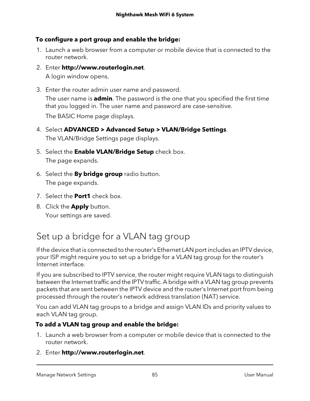#### **To configure a port group and enable the bridge:**

- 1. Launch a web browser from a computer or mobile device that is connected to the router network.
- 2. Enter **http://www.routerlogin.net**. A login window opens.
- 3. Enter the router admin user name and password. The user name is **admin**. The password is the one that you specified the first time that you logged in. The user name and password are case-sensitive.

The BASIC Home page displays.

- 4. Select **ADVANCED > Advanced Setup > VLAN/Bridge Settings**. The VLAN/Bridge Settings page displays.
- 5. Select the **Enable VLAN/Bridge Setup** check box. The page expands.
- 6. Select the **By bridge group** radio button. The page expands.
- 7. Select the **Port1** check box.
- 8. Click the **Apply** button.

Your settings are saved.

### Set up a bridge for a VLAN tag group

If the device that is connected to the router's Ethernet LAN port includes an IPTV device, your ISP might require you to set up a bridge for a VLAN tag group for the router's Internet interface.

If you are subscribed to IPTV service, the router might require VLAN tags to distinguish between the Internet traffic and the IPTV traffic. A bridge with a VLAN tag group prevents packets that are sent between the IPTV device and the router's Internet port from being processed through the router's network address translation (NAT) service.

You can add VLAN tag groups to a bridge and assign VLAN IDs and priority values to each VLAN tag group.

#### **To add a VLAN tag group and enable the bridge:**

- 1. Launch a web browser from a computer or mobile device that is connected to the router network.
- 2. Enter **http://www.routerlogin.net**.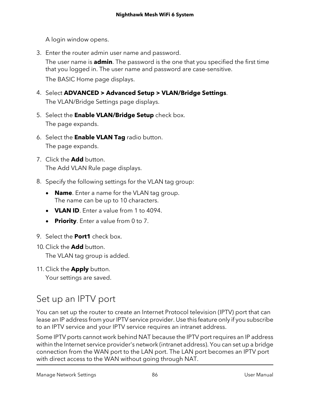A login window opens.

3. Enter the router admin user name and password.

The user name is **admin**. The password is the one that you specified the first time that you logged in. The user name and password are case-sensitive.

The BASIC Home page displays.

- 4. Select **ADVANCED > Advanced Setup > VLAN/Bridge Settings**. The VLAN/Bridge Settings page displays.
- 5. Select the **Enable VLAN/Bridge Setup** check box. The page expands.
- 6. Select the **Enable VLAN Tag** radio button. The page expands.
- 7. Click the **Add** button. The Add VLAN Rule page displays.
- 8. Specify the following settings for the VLAN tag group:
	- **Name**. Enter a name for the VLAN tag group. The name can be up to 10 characters.
	- **VLAN ID**. Enter a value from 1 to 4094.
	- **Priority**. Enter a value from 0 to 7.
- 9. Select the **Port1** check box.
- 10. Click the **Add** button.

The VLAN tag group is added.

11. Click the **Apply** button.

Your settings are saved.

### Set up an IPTV port

You can set up the router to create an Internet Protocol television (IPTV) port that can lease an IP address from your IPTV service provider. Use this feature only if you subscribe to an IPTV service and your IPTV service requires an intranet address.

Some IPTV ports cannot work behind NAT because the IPTV port requires an IP address within the Internet service provider's network (intranet address). You can set up a bridge connection from the WAN port to the LAN port. The LAN port becomes an IPTV port with direct access to the WAN without going through NAT.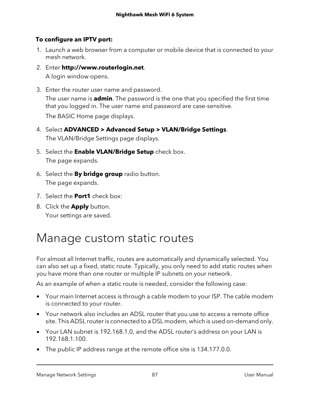#### **To configure an IPTV port:**

- 1. Launch a web browser from a computer or mobile device that is connected to your mesh network.
- 2. Enter **http://www.routerlogin.net**. A login window opens.
- 3. Enter the router user name and password. The user name is **admin**. The password is the one that you specified the first time that you logged in. The user name and password are case-sensitive.

The BASIC Home page displays.

- 4. Select **ADVANCED > Advanced Setup > VLAN/Bridge Settings**. The VLAN/Bridge Settings page displays.
- 5. Select the **Enable VLAN/Bridge Setup** check box. The page expands.
- 6. Select the **By bridge group** radio button. The page expands.
- 7. Select the **Port1** check box:
- <span id="page-86-0"></span>8. Click the **Apply** button. Your settings are saved.

# Manage custom static routes

For almost all Internet traffic, routes are automatically and dynamically selected. You can also set up a fixed, static route. Typically, you only need to add static routes when you have more than one router or multiple IP subnets on your network.

As an example of when a static route is needed, consider the following case:

- Your main Internet access is through a cable modem to your ISP. The cable modem is connected to your router.
- Your network also includes an ADSL router that you use to access a remote office site. This ADSL router is connected to a DSL modem, which is used on-demand only.
- Your LAN subnet is 192.168.1.0, and the ADSL router's address on your LAN is 192.168.1.100.
- The public IP address range at the remote office site is 134.177.0.0.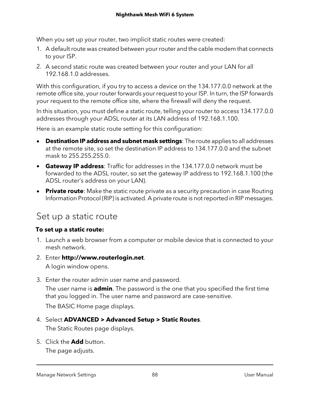When you set up your router, two implicit static routes were created:

- 1. A default route was created between your router and the cable modem that connects to your ISP.
- 2. A second static route was created between your router and your LAN for all 192.168.1.0 addresses.

With this configuration, if you try to access a device on the 134.177.0.0 network at the remote office site, your router forwards your request to your ISP. In turn, the ISP forwards your request to the remote office site, where the firewall will deny the request.

In this situation, you must define a static route, telling your router to access 134.177.0.0 addresses through your ADSL router at its LAN address of 192.168.1.100.

Here is an example static route setting for this configuration:

- **Destination IP address and subnet mask settings**: The route applies to all addresses at the remote site, so set the destination IP address to 134.177.0.0 and the subnet mask to 255.255.255.0.
- **Gateway IP address**: Traffic for addresses in the 134.177.0.0 network must be forwarded to the ADSL router, so set the gateway IP address to 192.168.1.100 (the ADSL router's address on your LAN).
- **Private route**: Make the static route private as a security precaution in case Routing Information Protocol (RIP) is activated. A private route is notreported in RIP messages.

### Set up a static route

#### **To set up a static route:**

- 1. Launch a web browser from a computer or mobile device that is connected to your mesh network.
- 2. Enter **http://www.routerlogin.net**. A login window opens.
- 3. Enter the router admin user name and password.

The user name is **admin**. The password is the one that you specified the first time that you logged in. The user name and password are case-sensitive.

The BASIC Home page displays.

#### 4. Select **ADVANCED > Advanced Setup > Static Routes**.

The Static Routes page displays.

5. Click the **Add** button.

The page adjusts.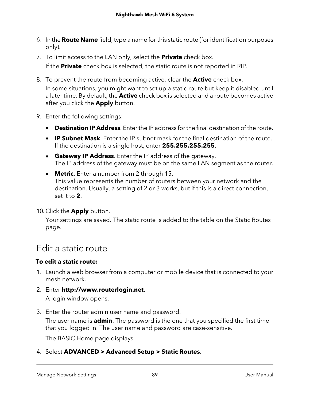- 6. In the **Route Name** field, type a name for this static route (for identification purposes only).
- 7. To limit access to the LAN only, select the **Private** check box. If the **Private** check box is selected, the static route is not reported in RIP.
- 8. To prevent the route from becoming active, clear the **Active** check box. In some situations, you might want to set up a static route but keep it disabled until a later time. By default, the **Active** check box is selected and a route becomes active after you click the **Apply** button.
- 9. Enter the following settings:
	- **Destination IP Address**. Enter the IP address for the final destination of the route.
	- **IP Subnet Mask**. Enter the IP subnet mask for the final destination of the route. If the destination is a single host, enter **255.255.255.255**.
	- **Gateway IP Address**. Enter the IP address of the gateway. The IP address of the gateway must be on the same LAN segment as the router.
	- **Metric**. Enter a number from 2 through 15. This value represents the number of routers between your network and the destination. Usually, a setting of 2 or 3 works, but if this is a direct connection, set it to **2**.

10. Click the **Apply** button.

Your settings are saved. The static route is added to the table on the Static Routes page.

### Edit a static route

#### **To edit a static route:**

- 1. Launch a web browser from a computer or mobile device that is connected to your mesh network.
- 2. Enter **http://www.routerlogin.net**.

A login window opens.

3. Enter the router admin user name and password.

The user name is **admin**. The password is the one that you specified the first time that you logged in. The user name and password are case-sensitive.

The BASIC Home page displays.

4. Select **ADVANCED > Advanced Setup > Static Routes**.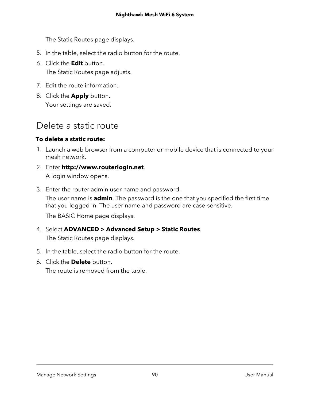#### **Nighthawk Mesh WiFi 6 System**

The Static Routes page displays.

- 5. In the table, select the radio button for the route.
- 6. Click the **Edit** button. The Static Routes page adjusts.
- 7. Edit the route information.
- 8. Click the **Apply** button. Your settings are saved.

### Delete a static route

#### **To delete a static route:**

- 1. Launch a web browser from a computer or mobile device that is connected to your mesh network.
- 2. Enter **http://www.routerlogin.net**. A login window opens.
- 3. Enter the router admin user name and password. The user name is **admin**. The password is the one that you specified the first time that you logged in. The user name and password are case-sensitive. The BASIC Home page displays.
- 4. Select **ADVANCED > Advanced Setup > Static Routes**. The Static Routes page displays.
- 5. In the table, select the radio button for the route.
- 6. Click the **Delete** button.

The route is removed from the table.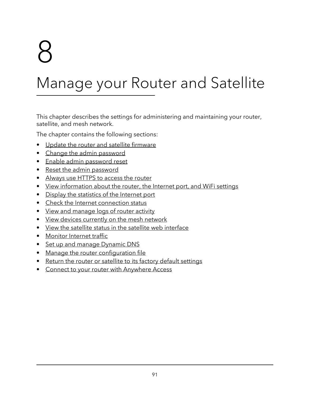# 8

# Manage your Router and Satellite

This chapter describes the settings for administering and maintaining your router, satellite, and mesh network.

The chapter contains the following sections:

- Update the router and satellite [firmware](#page-91-0)
- Change the admin [password](#page-94-0)
- Enable admin [password](#page-95-0) reset
- Reset the admin [password](#page-96-0)
- [Always](#page-97-0) use HTTPS to access the router
- View [information](#page-98-0) about the router, the Internet port, and WiFi settings
- Display the [statistics](#page-98-1) of the Internet port
- Check the Internet [connection](#page-100-0) status
- View and [manage](#page-101-0) logs of router activity
- View devices [currently](#page-102-0) on the mesh network
- View the satellite status in the satellite web [interface](#page-103-0)
- [Monitor](#page-104-0) Internet traffic
- Set up and manage [Dynamic](#page-105-0) DNS
- Manage the router [configuration](#page-108-0) file
- Return the router or satellite to its factory default [settings](#page-110-0)
- Connect to your router with [Anywhere](#page-111-0) Access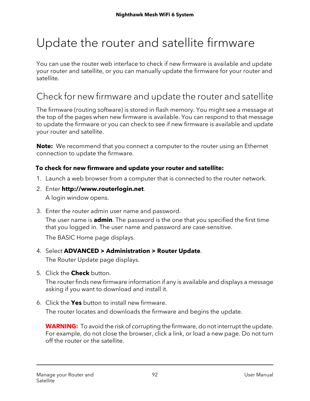# <span id="page-91-0"></span>Update the router and satellite firmware

You can use the router web interface to check if new firmware is available and update your router and satellite, or you can manually update the firmware for your router and satellite.

### Check for new firmware and update the router and satellite

The firmware (routing software) is stored in flash memory. You might see a message at the top of the pages when new firmware is available. You can respond to that message to update the firmware or you can check to see if new firmware is available and update your router and satellite.

**Note:** We recommend that you connect a computer to the router using an Ethernet connection to update the firmware.

#### **To check for new firmware and update your router and satellite:**

- 1. Launch a web browser from a computer that is connected to the router network.
- 2. Enter **http://www.routerlogin.net**. A login window opens.
- 3. Enter the router admin user name and password.

The user name is **admin**. The password is the one that you specified the first time that you logged in. The user name and password are case-sensitive.

The BASIC Home page displays.

4. Select **ADVANCED > Administration > Router Update**.

The Router Update page displays.

5. Click the **Check** button.

The router finds new firmware information if any is available and displays a message asking if you want to download and install it.

6. Click the **Yes** button to install new firmware.

The router locates and downloads the firmware and begins the update.

**WARNING:** To avoid the risk of corrupting the firmware, do not interrupt the update. For example, do not close the browser, click a link, or load a new page. Do not turn off the router or the satellite.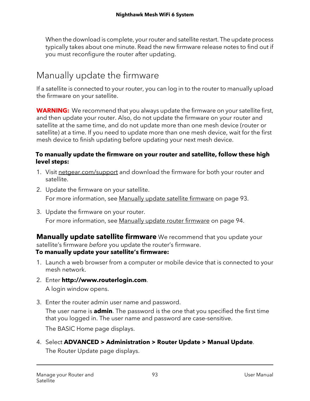When the download is complete, yourrouter and satellite restart. The update process typically takes about one minute. Read the new firmware release notes to find out if you must reconfigure the router after updating.

### Manually update the firmware

If a satellite is connected to your router, you can log in to the router to manually upload the firmware on your satellite.

**WARNING:** We recommend that you always update the firmware on your satellite first, and then update your router. Also, do not update the firmware on your router and satellite at the same time, and do not update more than one mesh device (router or satellite) at a time. If you need to update more than one mesh device, wait for the first mesh device to finish updating before updating your next mesh device.

#### **To manually update the firmware on your router and satellite, follow these high level steps:**

- 1. Visit <netgear.com/support> and download the firmware for both your router and satellite.
- 2. Update the firmware on your satellite. For more information, see [Manually](#page-92-0) update satellite firmware on page 93.
- <span id="page-92-0"></span>3. Update the firmware on your router. For more information, see [Manually](#page-93-0) update router firmware on page 94.

**Manually update satellite firmware** We recommend that you update your satellite's firmware before you update the router's firmware. **To manually update your satellite's firmware:**

- 1. Launch a web browser from a computer or mobile device that is connected to your mesh network.
- 2. Enter **http://www.routerlogin.com**. A login window opens.
- 3. Enter the router admin user name and password.

The user name is **admin**. The password is the one that you specified the first time that you logged in. The user name and password are case-sensitive.

The BASIC Home page displays.

4. Select **ADVANCED > Administration > Router Update > Manual Update**. The Router Update page displays.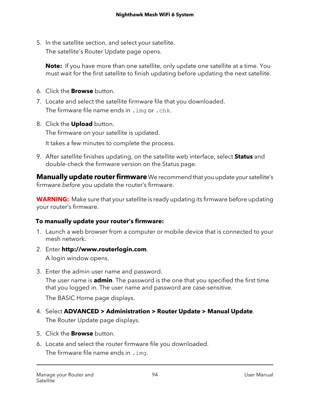5. In the satellite section, and select your satellite. The satellite's Router Update page opens.

**Note:** If you have more than one satellite, only update one satellite at a time. You must wait for the first satellite to finish updating before updating the next satellite.

- 6. Click the **Browse** button.
- 7. Locate and select the satellite firmware file that you downloaded. The firmware file name ends in . img or . chk.
- 8. Click the **Upload** button.

The firmware on your satellite is updated.

It takes a few minutes to complete the process.

<span id="page-93-0"></span>9. After satellite finishes updating, on the satellite web interface, select **Status** and double-check the firmware version on the Status page.

**Manually update router firmware** We recommend that you update your satellite's firmware before you update the router's firmware.

**WARNING:** Make sure that your satellite is ready updating its firmware before updating your router's firmware.

#### **To manually update your router's firmware:**

- 1. Launch a web browser from a computer or mobile device that is connected to your mesh network.
- 2. Enter **http://www.routerlogin.com**. A login window opens.
- 3. Enter the admin user name and password.

The user name is **admin**. The password is the one that you specified the first time that you logged in. The user name and password are case-sensitive.

The BASIC Home page displays.

4. Select **ADVANCED > Administration > Router Update > Manual Update**.

The Router Update page displays.

- 5. Click the **Browse** button.
- 6. Locate and select the router firmware file you downloaded. The firmware file name ends in .img.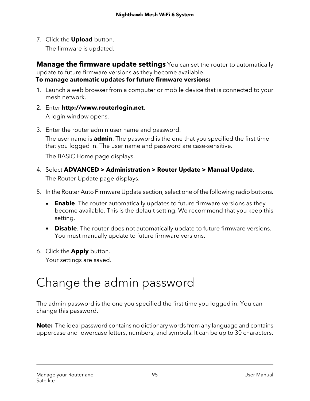7. Click the **Upload** button.

The firmware is updated.

**Manage the firmware update settings** You can set the router to automatically update to future firmware versions as they become available.

**To manage automatic updates for future firmware versions:**

- 1. Launch a web browser from a computer or mobile device that is connected to your mesh network.
- 2. Enter **http://www.routerlogin.net**. A login window opens.
- 3. Enter the router admin user name and password.

The user name is **admin**. The password is the one that you specified the first time that you logged in. The user name and password are case-sensitive.

The BASIC Home page displays.

- 4. Select **ADVANCED > Administration > Router Update > Manual Update**. The Router Update page displays.
- 5. In the Router Auto Firmware Update section, select one of the following radio buttons.
	- **Enable**. The router automatically updates to future firmware versions as they become available. This is the default setting. We recommend that you keep this setting.
	- **Disable**. The router does not automatically update to future firmware versions. You must manually update to future firmware versions.
- <span id="page-94-0"></span>6. Click the **Apply** button.

Your settings are saved.

# Change the admin password

The admin password is the one you specified the first time you logged in. You can change this password.

**Note:** The ideal password contains no dictionary words from any language and contains uppercase and lowercase letters, numbers, and symbols. It can be up to 30 characters.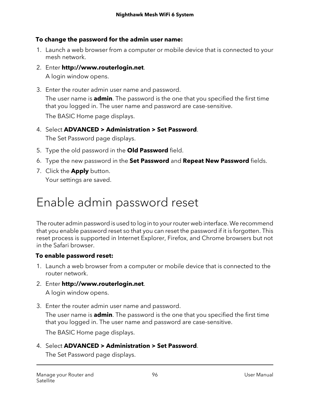#### **To change the password for the admin user name:**

- 1. Launch a web browser from a computer or mobile device that is connected to your mesh network.
- 2. Enter **http://www.routerlogin.net**. A login window opens.
- 3. Enter the router admin user name and password. The user name is **admin**. The password is the one that you specified the first time that you logged in. The user name and password are case-sensitive.

The BASIC Home page displays.

- 4. Select **ADVANCED > Administration > Set Password**. The Set Password page displays.
- 5. Type the old password in the **Old Password** field.
- 6. Type the new password in the **Set Password** and **Repeat New Password** fields.
- <span id="page-95-0"></span>7. Click the **Apply** button. Your settings are saved.

# Enable admin password reset

The router admin password is used to log in to yourrouter web interface. We recommend that you enable password reset so that you can reset the password if it is forgotten. This reset process is supported in Internet Explorer, Firefox, and Chrome browsers but not in the Safari browser.

#### **To enable password reset:**

- 1. Launch a web browser from a computer or mobile device that is connected to the router network.
- 2. Enter **http://www.routerlogin.net**. A login window opens.
- 3. Enter the router admin user name and password.

The user name is **admin**. The password is the one that you specified the first time that you logged in. The user name and password are case-sensitive.

The BASIC Home page displays.

4. Select **ADVANCED > Administration > Set Password**.

The Set Password page displays.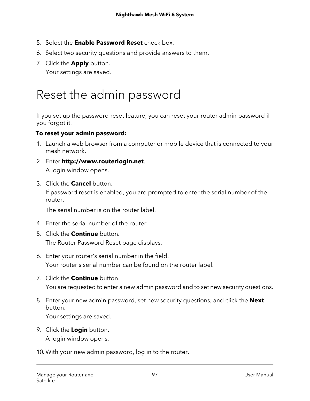- 5. Select the **Enable Password Reset** check box.
- 6. Select two security questions and provide answers to them.
- 7. Click the **Apply** button.

Your settings are saved.

# <span id="page-96-0"></span>Reset the admin password

If you set up the password reset feature, you can reset your router admin password if you forgot it.

#### **To reset your admin password:**

- 1. Launch a web browser from a computer or mobile device that is connected to your mesh network.
- 2. Enter **http://www.routerlogin.net**. A login window opens.
- 3. Click the **Cancel** button.

If password reset is enabled, you are prompted to enter the serial number of the router.

The serial number is on the router label.

- 4. Enter the serial number of the router.
- 5. Click the **Continue** button. The Router Password Reset page displays.
- 6. Enter your router's serial number in the field. Your router's serial number can be found on the router label.
- 7. Click the **Continue** button.

You are requested to enter a new admin password and to set new security questions.

8. Enter your new admin password, set new security questions, and click the **Next** button.

Your settings are saved.

9. Click the **Login** button.

A login window opens.

10. With your new admin password, log in to the router.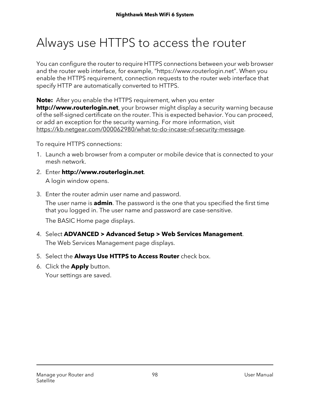# <span id="page-97-0"></span>Always use HTTPS to access the router

You can configure the router to require HTTPS connections between your web browser and the router web interface, for example, "https://www.routerlogin.net". When you enable the HTTPS requirement, connection requests to the router web interface that specify HTTP are automatically converted to HTTPS.

**Note:** After you enable the HTTPS requirement, when you enter **http://www.routerlogin.net**, your browser might display a security warning because of the self-signed certificate on the router. This is expected behavior. You can proceed, or add an exception for the security warning. For more information, visit <https://kb.netgear.com/000062980/what-to-do-incase-of-security-message>.

To require HTTPS connections:

- 1. Launch a web browser from a computer or mobile device that is connected to your mesh network.
- 2. Enter **http://www.routerlogin.net**. A login window opens.
- 3. Enter the router admin user name and password.

The user name is **admin**. The password is the one that you specified the first time that you logged in. The user name and password are case-sensitive.

The BASIC Home page displays.

- 4. Select **ADVANCED > Advanced Setup > Web Services Management**. The Web Services Management page displays.
- 5. Select the **Always Use HTTPS to Access Router** check box.
- 6. Click the **Apply** button.

Your settings are saved.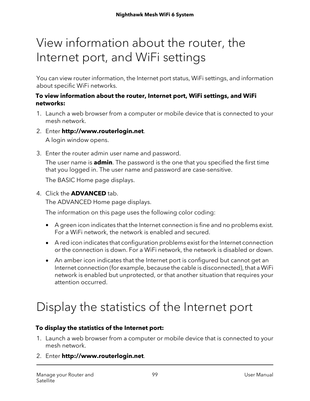# <span id="page-98-0"></span>View information about the router, the Internet port, and WiFi settings

You can view router information, the Internet port status, WiFi settings, and information about specific WiFi networks.

#### **To view information about the router, Internet port, WiFi settings, and WiFi networks:**

- 1. Launch a web browser from a computer or mobile device that is connected to your mesh network.
- 2. Enter **http://www.routerlogin.net**.

A login window opens.

3. Enter the router admin user name and password.

The user name is **admin**. The password is the one that you specified the first time that you logged in. The user name and password are case-sensitive.

The BASIC Home page displays.

4. Click the **ADVANCED** tab. The ADVANCED Home page displays.

The information on this page uses the following color coding:

- A green icon indicates that the Internet connection is fine and no problems exist. For a WiFi network, the network is enabled and secured.
- A red icon indicates that configuration problems exist for the Internet connection or the connection is down. For a WiFi network, the network is disabled or down.
- <span id="page-98-1"></span>• An amber icon indicates that the Internet port is configured but cannot get an Internet connection (for example, because the cable is disconnected), that a WiFi network is enabled but unprotected, or that another situation that requires your attention occurred.

# Display the statistics of the Internet port

#### **To display the statistics of the Internet port:**

- 1. Launch a web browser from a computer or mobile device that is connected to your mesh network.
- 2. Enter **http://www.routerlogin.net**.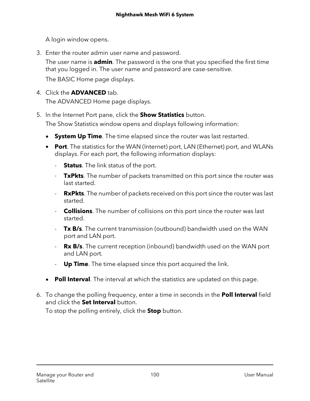A login window opens.

3. Enter the router admin user name and password.

The user name is **admin**. The password is the one that you specified the first time that you logged in. The user name and password are case-sensitive.

The BASIC Home page displays.

4. Click the **ADVANCED** tab.

The ADVANCED Home page displays.

5. In the Internet Port pane, click the **Show Statistics** button.

The Show Statistics window opens and displays following information:

- **System Up Time**. The time elapsed since the router was last restarted.
- **Port**. The statistics for the WAN (Internet) port, LAN (Ethernet) port, and WLANs displays. For each port, the following information displays:
	- **Status**. The link status of the port.
	- **TxPkts**. The number of packets transmitted on this port since the router was last started.
	- **RxPkts**. The number of packets received on this port since the router was last started.
	- **Collisions**. The number of collisions on this port since the router was last started.
	- **Tx B/s**. The current transmission (outbound) bandwidth used on the WAN port and LAN port.
	- **Rx B/s**. The current reception (inbound) bandwidth used on the WAN port and LAN port.
	- **Up Time**. The time elapsed since this port acquired the link.
- **Poll Interval**. The interval at which the statistics are updated on this page.
- 6. To change the polling frequency, enter a time in seconds in the **Poll Interval** field and click the **Set Interval** button.

To stop the polling entirely, click the **Stop** button.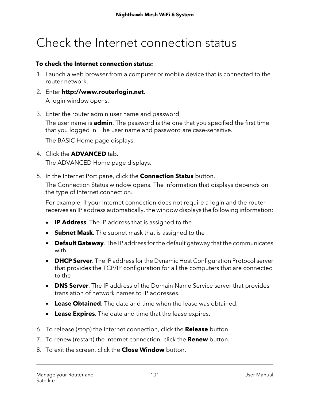# <span id="page-100-0"></span>Check the Internet connection status

#### **To check the Internet connection status:**

- 1. Launch a web browser from a computer or mobile device that is connected to the router network.
- 2. Enter **http://www.routerlogin.net**. A login window opens.
- 3. Enter the router admin user name and password.

The user name is **admin**. The password is the one that you specified the first time that you logged in. The user name and password are case-sensitive.

The BASIC Home page displays.

- 4. Click the **ADVANCED** tab. The ADVANCED Home page displays.
- 5. In the Internet Port pane, click the **Connection Status** button.

The Connection Status window opens. The information that displays depends on the type of Internet connection.

For example, if your Internet connection does not require a login and the router receives an IP address automatically, the window displays the following information:

- **IP Address**. The IP address that is assigned to the .
- **Subnet Mask**. The subnet mask that is assigned to the .
- **Default Gateway**. The IP address for the default gateway that the communicates with.
- **DHCP Server**. The IP address for the Dynamic Host Configuration Protocol server that provides the TCP/IP configuration for all the computers that are connected to the .
- **DNS Server**. The IP address of the Domain Name Service server that provides translation of network names to IP addresses.
- **Lease Obtained**. The date and time when the lease was obtained.
- **Lease Expires**. The date and time that the lease expires.
- 6. To release (stop) the Internet connection, click the **Release** button.
- 7. To renew (restart) the Internet connection, click the **Renew** button.
- 8. To exit the screen, click the **Close Window** button.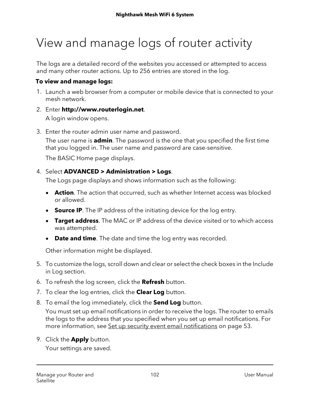# <span id="page-101-0"></span>View and manage logs of router activity

The logs are a detailed record of the websites you accessed or attempted to access and many other router actions. Up to 256 entries are stored in the log.

#### **To view and manage logs:**

- 1. Launch a web browser from a computer or mobile device that is connected to your mesh network.
- 2. Enter **http://www.routerlogin.net**. A login window opens.
- 3. Enter the router admin user name and password.

The user name is **admin**. The password is the one that you specified the first time that you logged in. The user name and password are case-sensitive.

The BASIC Home page displays.

#### 4. Select **ADVANCED > Administration > Logs**.

The Logs page displays and shows information such as the following:

- **Action**. The action that occurred, such as whether Internet access was blocked or allowed.
- **Source IP**. The IP address of the initiating device for the log entry.
- **Target address**. The MAC or IP address of the device visited or to which access was attempted.
- **Date and time**. The date and time the log entry was recorded.

Other information might be displayed.

- 5. To customize the logs, scroll down and clear or select the check boxes in the Include in Log section.
- 6. To refresh the log screen, click the **Refresh** button.
- 7. To clear the log entries, click the **Clear Log** button.
- 8. To email the log immediately, click the **Send Log** button.

You must set up email notifications in order to receive the logs. The router to emails the logs to the address that you specified when you set up email notifications. For more information, see Set up security event email [notifications](#page-52-0) on page 53.

9. Click the **Apply** button.

Your settings are saved.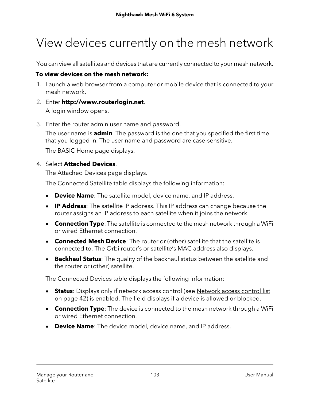# <span id="page-102-0"></span>View devices currently on the mesh network

You can view all satellites and devices that are currently connected to your mesh network.

#### **To view devices on the mesh network:**

- 1. Launch a web browser from a computer or mobile device that is connected to your mesh network.
- 2. Enter **http://www.routerlogin.net**.

A login window opens.

3. Enter the router admin user name and password.

The user name is **admin**. The password is the one that you specified the first time that you logged in. The user name and password are case-sensitive.

The BASIC Home page displays.

#### 4. Select **Attached Devices**.

The Attached Devices page displays.

The Connected Satellite table displays the following information:

- **Device Name**: The satellite model, device name, and IP address.
- **IP Address**: The satellite IP address. This IP address can change because the router assigns an IP address to each satellite when it joins the network.
- **Connection Type**: The satellite is connected to the mesh network through a WiFi or wired Ethernet connection.
- **Connected Mesh Device**: The router or (other) satellite that the satellite is connected to. The Orbi router's or satellite's MAC address also displays.
- **Backhaul Status**: The quality of the backhaul status between the satellite and the router or (other) satellite.

The Connected Devices table displays the following information:

- **Status**: Displays only if network access control (see [Network](#page-41-0) access control list on page 42) is enabled. The field displays if a device is allowed or blocked.
- **Connection Type**: The device is connected to the mesh network through a WiFi or wired Ethernet connection.
- **Device Name**: The device model, device name, and IP address.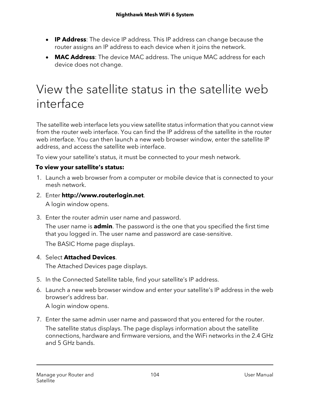- **IP Address**: The device IP address. This IP address can change because the router assigns an IP address to each device when it joins the network.
- **MAC Address**: The device MAC address. The unique MAC address for each device does not change.

# <span id="page-103-0"></span>View the satellite status in the satellite web interface

The satellite web interface lets you view satellite status information that you cannot view from the router web interface. You can find the IP address of the satellite in the router web interface. You can then launch a new web browser window, enter the satellite IP address, and access the satellite web interface.

To view your satellite's status, it must be connected to your mesh network.

#### **To view your satellite's status:**

- 1. Launch a web browser from a computer or mobile device that is connected to your mesh network.
- 2. Enter **http://www.routerlogin.net**. A login window opens.
- 3. Enter the router admin user name and password.

The user name is **admin**. The password is the one that you specified the first time that you logged in. The user name and password are case-sensitive.

The BASIC Home page displays.

4. Select **Attached Devices**.

The Attached Devices page displays.

- 5. In the Connected Satellite table, find your satellite's IP address.
- 6. Launch a new web browser window and enter your satellite's IP address in the web browser's address bar.

A login window opens.

7. Enter the same admin user name and password that you entered for the router. The satellite status displays. The page displays information about the satellite connections, hardware and firmware versions, and the WiFi networks in the 2.4 GHz and 5 GHz bands.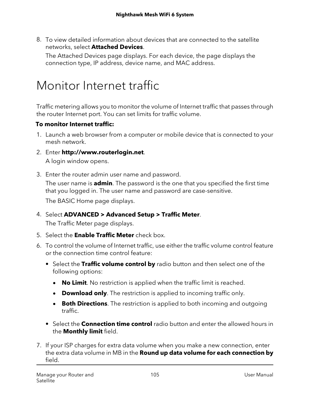8. To view detailed information about devices that are connected to the satellite networks, select **Attached Devices**.

The Attached Devices page displays. For each device, the page displays the connection type, IP address, device name, and MAC address.

# <span id="page-104-0"></span>Monitor Internet traffic

Traffic metering allows you to monitor the volume of Internet traffic that passes through the router Internet port. You can set limits for traffic volume.

#### **To monitor Internet traffic:**

- 1. Launch a web browser from a computer or mobile device that is connected to your mesh network.
- 2. Enter **http://www.routerlogin.net**. A login window opens.
- 3. Enter the router admin user name and password.

The user name is **admin**. The password is the one that you specified the first time that you logged in. The user name and password are case-sensitive.

The BASIC Home page displays.

- 4. Select **ADVANCED > Advanced Setup > Traffic Meter**. The Traffic Meter page displays.
- 5. Select the **Enable Traffic Meter** check box.
- 6. To control the volume of Internet traffic, use either the traffic volume control feature or the connection time control feature:
	- **•** Select the **Traffic volume control by** radio button and then select one of the following options:
		- **No Limit**. No restriction is applied when the traffic limit is reached.
		- **Download only**. The restriction is applied to incoming traffic only.
		- **Both Directions**. The restriction is applied to both incoming and outgoing traffic.
	- **•** Select the **Connection time control** radio button and enter the allowed hours in the **Monthly limit** field.
- 7. If your ISP charges for extra data volume when you make a new connection, enter the extra data volume in MB in the **Round up data volume for each connection by** field.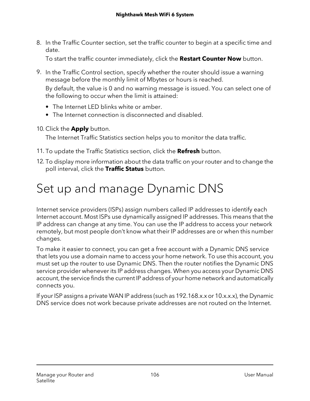8. In the Traffic Counter section, set the traffic counter to begin at a specific time and date.

To start the traffic counter immediately, click the **Restart Counter Now** button.

9. In the Traffic Control section, specify whether the router should issue a warning message before the monthly limit of Mbytes or hours is reached.

By default, the value is 0 and no warning message is issued. You can select one of the following to occur when the limit is attained:

- **•** The Internet LED blinks white or amber.
- **•** The Internet connection is disconnected and disabled.
- 10. Click the **Apply** button.

The Internet Traffic Statistics section helps you to monitor the data traffic.

- 11. To update the Traffic Statistics section, click the **Refresh** button.
- <span id="page-105-0"></span>12. To display more information about the data traffic on your router and to change the poll interval, click the **Traffic Status** button.

# Set up and manage Dynamic DNS

Internet service providers (ISPs) assign numbers called IP addresses to identify each Internet account. Most ISPs use dynamically assigned IP addresses. This means that the IP address can change at any time. You can use the IP address to access your network remotely, but most people don't know what their IP addresses are or when this number changes.

To make it easier to connect, you can get a free account with a Dynamic DNS service that lets you use a domain name to access your home network. To use this account, you must set up the router to use Dynamic DNS. Then the router notifies the Dynamic DNS service provider whenever its IP address changes. When you access your Dynamic DNS account, the service finds the current IP address of your home network and automatically connects you.

If your ISP assigns a private WAN IP address (such as 192.168.x.x or 10.x.x.x), the Dynamic DNS service does not work because private addresses are not routed on the Internet.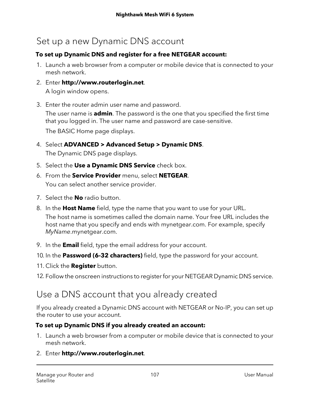### Set up a new Dynamic DNS account

#### **To set up Dynamic DNS and register for a free NETGEAR account:**

- 1. Launch a web browser from a computer or mobile device that is connected to your mesh network.
- 2. Enter **http://www.routerlogin.net**. A login window opens.
- 3. Enter the router admin user name and password.

The user name is **admin**. The password is the one that you specified the first time that you logged in. The user name and password are case-sensitive.

The BASIC Home page displays.

- 4. Select **ADVANCED > Advanced Setup > Dynamic DNS**. The Dynamic DNS page displays.
- 5. Select the **Use a Dynamic DNS Service** check box.
- 6. From the **Service Provider** menu, select **NETGEAR**. You can select another service provider.
- 7. Select the **No** radio button.
- 8. In the **Host Name** field, type the name that you want to use for your URL. The host name is sometimes called the domain name. Your free URL includes the host name that you specify and ends with mynetgear.com. For example, specify MyName.mynetgear.com.
- 9. In the **Email** field, type the email address for your account.
- 10. In the **Password (6-32 characters)** field, type the password for your account.
- 11. Click the **Register** button.
- 12. Follow the onscreen instructions to register for your NETGEAR Dynamic DNS service.

### Use a DNS account that you already created

If you already created a Dynamic DNS account with NETGEAR or No-IP, you can set up the router to use your account.

#### **To set up Dynamic DNS if you already created an account:**

- 1. Launch a web browser from a computer or mobile device that is connected to your mesh network.
- 2. Enter **http://www.routerlogin.net**.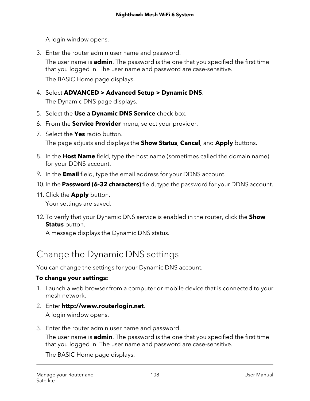A login window opens.

3. Enter the router admin user name and password.

The user name is **admin**. The password is the one that you specified the first time that you logged in. The user name and password are case-sensitive.

The BASIC Home page displays.

- 4. Select **ADVANCED > Advanced Setup > Dynamic DNS**. The Dynamic DNS page displays.
- 5. Select the **Use a Dynamic DNS Service** check box.
- 6. From the **Service Provider** menu, select your provider.
- 7. Select the **Yes** radio button. The page adjusts and displays the **Show Status**, **Cancel**, and **Apply** buttons.
- 8. In the **Host Name** field, type the host name (sometimes called the domain name) for your DDNS account.
- 9. In the **Email** field, type the email address for your DDNS account.
- 10. In the **Password (6-32 characters)** field, type the password for your DDNS account.
- 11. Click the **Apply** button. Your settings are saved.
- 12. To verify that your Dynamic DNS service is enabled in the router, click the **Show Status** button.

A message displays the Dynamic DNS status.

### Change the Dynamic DNS settings

You can change the settings for your Dynamic DNS account.

#### **To change your settings:**

- 1. Launch a web browser from a computer or mobile device that is connected to your mesh network.
- 2. Enter **http://www.routerlogin.net**. A login window opens.
- 3. Enter the router admin user name and password.

The user name is **admin**. The password is the one that you specified the first time that you logged in. The user name and password are case-sensitive.

The BASIC Home page displays.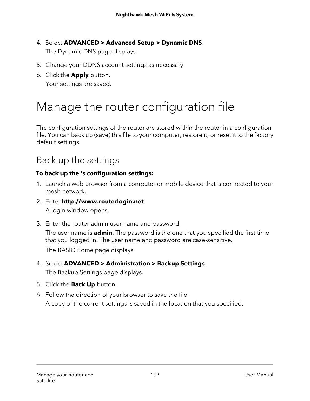- 4. Select **ADVANCED > Advanced Setup > Dynamic DNS**. The Dynamic DNS page displays.
- 5. Change your DDNS account settings as necessary.
- 6. Click the **Apply** button. Your settings are saved.

# Manage the router configuration file

The configuration settings of the router are stored within the router in a configuration file. You can back up (save) this file to your computer, restore it, or reset it to the factory default settings.

### Back up the settings

#### **To back up the 's configuration settings:**

- 1. Launch a web browser from a computer or mobile device that is connected to your mesh network.
- 2. Enter **http://www.routerlogin.net**.

A login window opens.

3. Enter the router admin user name and password. The user name is **admin**. The password is the one that you specified the first time that you logged in. The user name and password are case-sensitive.

The BASIC Home page displays.

- 4. Select **ADVANCED > Administration > Backup Settings**. The Backup Settings page displays.
- 5. Click the **Back Up** button.
- 6. Follow the direction of your browser to save the file. A copy of the current settings is saved in the location that you specified.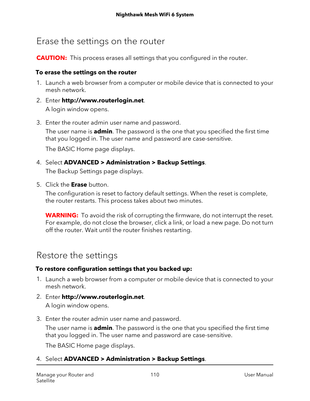### Erase the settings on the router

**CAUTION:** This process erases all settings that you configured in the router.

#### **To erase the settings on the router**

- 1. Launch a web browser from a computer or mobile device that is connected to your mesh network.
- 2. Enter **http://www.routerlogin.net**. A login window opens.
- 3. Enter the router admin user name and password.

The user name is **admin**. The password is the one that you specified the first time that you logged in. The user name and password are case-sensitive.

The BASIC Home page displays.

4. Select **ADVANCED > Administration > Backup Settings**.

The Backup Settings page displays.

5. Click the **Erase** button.

The configuration is reset to factory default settings. When the reset is complete, the router restarts. This process takes about two minutes.

**WARNING:** To avoid the risk of corrupting the firmware, do not interrupt the reset. For example, do not close the browser, click a link, or load a new page. Do not turn off the router. Wait until the router finishes restarting.

### Restore the settings

#### **To restore configuration settings that you backed up:**

- 1. Launch a web browser from a computer or mobile device that is connected to your mesh network.
- 2. Enter **http://www.routerlogin.net**. A login window opens.
- 3. Enter the router admin user name and password.

The user name is **admin**. The password is the one that you specified the first time that you logged in. The user name and password are case-sensitive.

The BASIC Home page displays.

#### 4. Select **ADVANCED > Administration > Backup Settings**.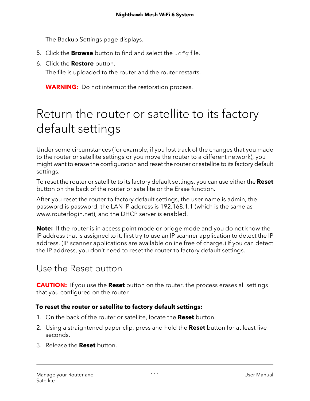The Backup Settings page displays.

- 5. Click the **Browse** button to find and select the .cfg file.
- 6. Click the **Restore** button.

The file is uploaded to the router and the router restarts.

**WARNING:** Do not interrupt the restoration process.

# Return the router or satellite to its factory default settings

Under some circumstances (for example, if you lost track of the changes that you made to the router or satellite settings or you move the router to a different network), you might want to erase the configuration and reset the router or satellite to its factory default settings.

To reset the router or satellite to its factory default settings, you can use either the **Reset** button on the back of the router or satellite or the Erase function.

After you reset the router to factory default settings, the user name is admin, the password is password, the LAN IP address is 192.168.1.1 (which is the same as www.routerlogin.net), and the DHCP server is enabled.

**Note:** If the router is in access point mode or bridge mode and you do not know the IP address that is assigned to it, first try to use an IP scanner application to detect the IP address. (IP scanner applications are available online free of charge.) If you can detect the IP address, you don't need to reset the router to factory default settings.

### Use the Reset button

**CAUTION:** If you use the **Reset** button on the router, the process erases all settings that you configured on the router

#### **To reset the router or satellite to factory default settings:**

- 1. On the back of the router or satellite, locate the **Reset** button.
- 2. Using a straightened paper clip, press and hold the **Reset** button for at least five seconds.
- 3. Release the **Reset** button.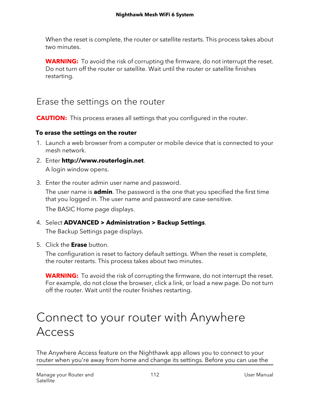When the reset is complete, the router or satellite restarts. This process takes about two minutes.

**WARNING:** To avoid the risk of corrupting the firmware, do not interrupt the reset. Do not turn off the router or satellite. Wait until the router or satellite finishes restarting.

### Erase the settings on the router

**CAUTION:** This process erases all settings that you configured in the router.

#### **To erase the settings on the router**

- 1. Launch a web browser from a computer or mobile device that is connected to your mesh network.
- 2. Enter **http://www.routerlogin.net**. A login window opens.
- 3. Enter the router admin user name and password. The user name is **admin**. The password is the one that you specified the first time that you logged in. The user name and password are case-sensitive.

The BASIC Home page displays.

- 4. Select **ADVANCED > Administration > Backup Settings**. The Backup Settings page displays.
- 5. Click the **Erase** button.

The configuration is reset to factory default settings. When the reset is complete, the router restarts. This process takes about two minutes.

**WARNING:** To avoid the risk of corrupting the firmware, do not interrupt the reset. For example, do not close the browser, click a link, or load a new page. Do not turn off the router. Wait until the router finishes restarting.

# Connect to your router with Anywhere Access

The Anywhere Access feature on the Nighthawk app allows you to connect to your router when you're away from home and change its settings. Before you can use the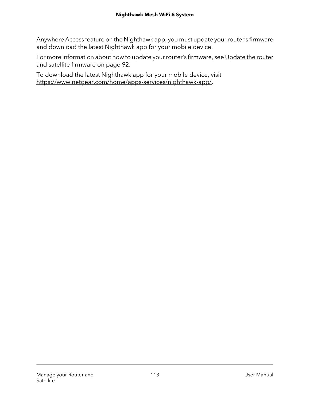Anywhere Access feature on the Nighthawk app, you must update yourrouter's firmware and download the latest Nighthawk app for your mobile device.

For more information about how to update your router's firmware, see [Update](#page-91-0) the router and satellite [firmware](#page-91-0) on page 92.

To download the latest Nighthawk app for your mobile device, visit <https://www.netgear.com/home/apps-services/nighthawk-app/>.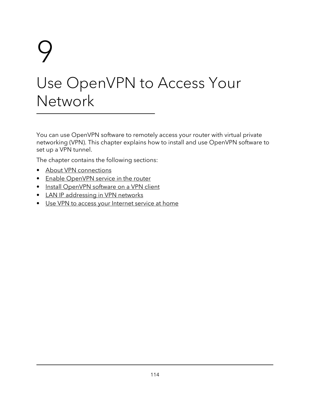# 9 Use OpenVPN to Access Your **Network**

You can use OpenVPN software to remotely access your router with virtual private networking (VPN). This chapter explains how to install and use OpenVPN software to set up a VPN tunnel.

The chapter contains the following sections:

- About VPN [connections](#page-114-0)
- Enable [OpenVPN](#page-115-0) service in the router
- Install [OpenVPN](#page-116-0) software on a VPN client
- LAN IP [addressing](#page-121-0) in VPN networks
- Use VPN to access your [Internet](#page-121-1) service at home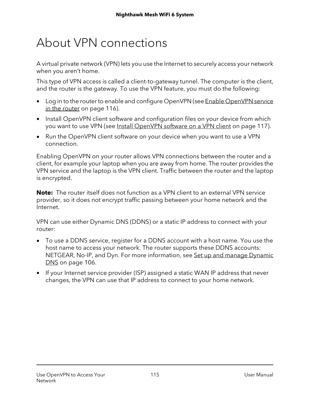# <span id="page-114-0"></span>About VPN connections

A virtual private network (VPN) lets you use the Internet to securely access your network when you aren't home.

This type of VPN access is called a client-to-gateway tunnel. The computer is the client, and the router is the gateway. To use the VPN feature, you must do the following:

- Log in to the router to enable and configure [OpenVPN](#page-115-0) (see Enable OpenVPN service in the [router](#page-115-0) on page 116).
- Install OpenVPN client software and configuration files on your device from which you want to use VPN (see Install [OpenVPN](#page-116-0) software on a VPN client on page 117).
- Run the OpenVPN client software on your device when you want to use a VPN connection.

Enabling OpenVPN on your router allows VPN connections between the router and a client, for example your laptop when you are away from home. The router provides the VPN service and the laptop is the VPN client. Traffic between the router and the laptop is encrypted.

**Note:** The router itself does not function as a VPN client to an external VPN service provider, so it does not encrypt traffic passing between your home network and the Internet.

VPN can use either Dynamic DNS (DDNS) or a static IP address to connect with your router:

- To use a DDNS service, register for a DDNS account with a host name. You use the host name to access your network. The router supports these DDNS accounts: NETGEAR, No-IP, and Dyn. For more information, see Set up and manage [Dynamic](#page-105-0) [DNS](#page-105-0) on page 106.
- If your Internet service provider (ISP) assigned a static WAN IP address that never changes, the VPN can use that IP address to connect to your home network.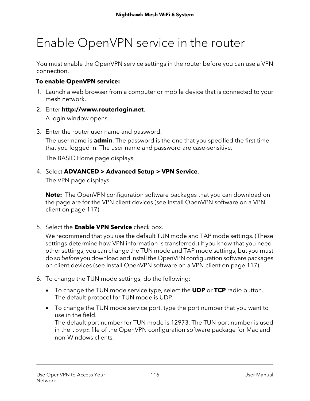# <span id="page-115-0"></span>Enable OpenVPN service in the router

You must enable the OpenVPN service settings in the router before you can use a VPN connection.

#### **To enable OpenVPN service:**

- 1. Launch a web browser from a computer or mobile device that is connected to your mesh network.
- 2. Enter **http://www.routerlogin.net**. A login window opens.
- 3. Enter the router user name and password.

The user name is **admin**. The password is the one that you specified the first time that you logged in. The user name and password are case-sensitive.

The BASIC Home page displays.

#### 4. Select **ADVANCED > Advanced Setup > VPN Service**.

The VPN page displays.

**Note:** The OpenVPN configuration software packages that you can download on the page are for the VPN client devices (see Install [OpenVPN](#page-116-0) software on a VPN [client](#page-116-0) on page 117).

5. Select the **Enable VPN Service** check box.

We recommend that you use the default TUN mode and TAP mode settings. (These settings determine how VPN information is transferred.) If you know that you need other settings, you can change the TUN mode and TAP mode settings, but you must do so before you download and install the OpenVPN configuration software packages on client devices (see Install [OpenVPN](#page-116-0) software on a VPN client on page 117).

- 6. To change the TUN mode settings, do the following:
	- To change the TUN mode service type, select the **UDP** or **TCP** radio button. The default protocol for TUN mode is UDP.
	- To change the TUN mode service port, type the port number that you want to use in the field. The default port number for TUN mode is 12973. The TUN port number is used in the .ovpn file of the OpenVPN configuration software package for Mac and non-Windows clients.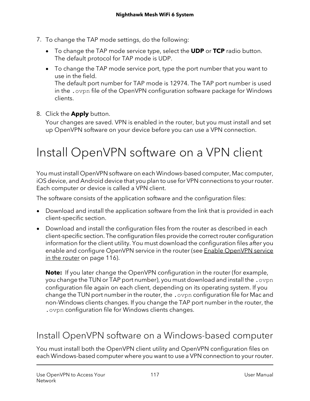- 7. To change the TAP mode settings, do the following:
	- To change the TAP mode service type, select the **UDP** or **TCP** radio button. The default protocol for TAP mode is UDP.
	- To change the TAP mode service port, type the port number that you want to use in the field. The default port number for TAP mode is 12974. The TAP port number is used in the .ovpn file of the OpenVPN configuration software package for Windows clients.
- 8. Click the **Apply** button.

<span id="page-116-0"></span>Your changes are saved. VPN is enabled in the router, but you must install and set up OpenVPN software on your device before you can use a VPN connection.

# Install OpenVPN software on a VPN client

You must install OpenVPN software on each Windows-based computer, Mac computer, iOS device, and Android device that you plan to use for VPN connections to your router. Each computer or device is called a VPN client.

The software consists of the application software and the configuration files:

- Download and install the application software from the link that is provided in each client-specific section.
- Download and install the configuration files from the router as described in each client-specific section. The configuration files provide the correctrouter configuration information for the client utility. You must download the configuration files after you enable and configure [OpenVPN](#page-115-0) service in the router (see Enable OpenVPN service in the [router](#page-115-0) on page 116).

**Note:** If you later change the OpenVPN configuration in the router (for example, you change the TUN or TAP port number), you must download and install the .ovpn configuration file again on each client, depending on its operating system. If you change the TUN port number in the router, the .ovpn configuration file for Mac and non-Windows clients changes. If you change the TAP port number in the router, the .ovpn configuration file for Windows clients changes.

### Install OpenVPN software on a Windows-based computer

You must install both the OpenVPN client utility and OpenVPN configuration files on each Windows-based computer where you want to use a VPN connection to your router.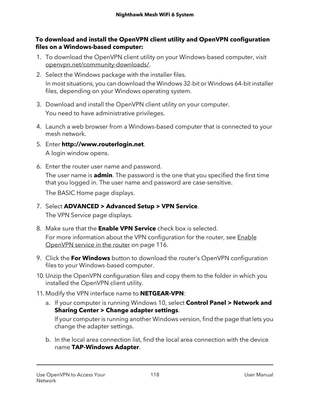#### **To download and install the OpenVPN client utility and OpenVPN configuration files on a Windows-based computer:**

- 1. To download the OpenVPN client utility on your Windows-based computer, visit [openvpn.net/community-downloads/](https://openvpn.net/community-downloads/).
- 2. Select the Windows package with the installer files. In most situations, you can download the Windows 32-bit or Windows 64-bit installer files, depending on your Windows operating system.
- 3. Download and install the OpenVPN client utility on your computer. You need to have administrative privileges.
- 4. Launch a web browser from a Windows-based computer that is connected to your mesh network.
- 5. Enter **http://www.routerlogin.net**. A login window opens.
- 6. Enter the router user name and password.

The user name is **admin**. The password is the one that you specified the first time that you logged in. The user name and password are case-sensitive.

The BASIC Home page displays.

- 7. Select **ADVANCED > Advanced Setup > VPN Service**. The VPN Service page displays.
- 8. Make sure that the **Enable VPN Service** check box is selected.

For more information about the VPN configuration for the router, see [Enable](#page-115-0) [OpenVPN](#page-115-0) service in the router on page 116.

- 9. Click the **For Windows** button to download the router's OpenVPN configuration files to your Windows-based computer.
- 10. Unzip the OpenVPN configuration files and copy them to the folder in which you installed the OpenVPN client utility.
- 11. Modify the VPN interface name to **NETGEAR-VPN**:
	- a. If your computer is running Windows 10, select **Control Panel > Network and Sharing Center > Change adapter settings**.

If your computer is running another Windows version, find the page that lets you change the adapter settings.

b. In the local area connection list, find the local area connection with the device name **TAP-Windows Adapter**.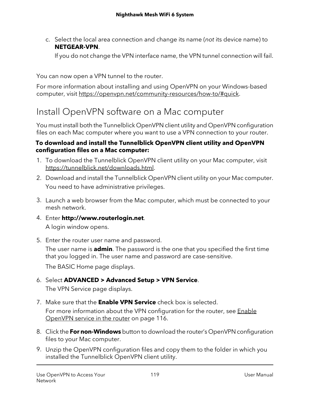c. Select the local area connection and change its name (not its device name) to **NETGEAR-VPN**.

If you do not change the VPN interface name, the VPN tunnel connection will fail.

You can now open a VPN tunnel to the router.

For more information about installing and using OpenVPN on your Windows-based computer, visit [https://openvpn.net/community-resources/how-to/#quick.](https://openvpn.net/community-resources/how-to/#quick)

### Install OpenVPN software on a Mac computer

You must install both the Tunnelblick OpenVPN client utility and OpenVPN configuration files on each Mac computer where you want to use a VPN connection to your router.

#### **To download and install the Tunnelblick OpenVPN client utility and OpenVPN configuration files on a Mac computer:**

- 1. To download the Tunnelblick OpenVPN client utility on your Mac computer, visit [https://tunnelblick.net/downloads.html.](https://tunnelblick.net/downloads.html)
- 2. Download and install the Tunnelblick OpenVPN client utility on your Mac computer. You need to have administrative privileges.
- 3. Launch a web browser from the Mac computer, which must be connected to your mesh network.
- 4. Enter **http://www.routerlogin.net**. A login window opens.
- 5. Enter the router user name and password.

The user name is **admin**. The password is the one that you specified the first time that you logged in. The user name and password are case-sensitive.

The BASIC Home page displays.

- 6. Select **ADVANCED > Advanced Setup > VPN Service**. The VPN Service page displays.
- 7. Make sure that the **Enable VPN Service** check box is selected. For more information about the VPN configuration for the router, see **[Enable](#page-115-0)** [OpenVPN](#page-115-0) service in the router on page 116.
- 8. Click the **For non-Windows** button to download the router's OpenVPN configuration files to your Mac computer.
- 9. Unzip the OpenVPN configuration files and copy them to the folder in which you installed the Tunnelblick OpenVPN client utility.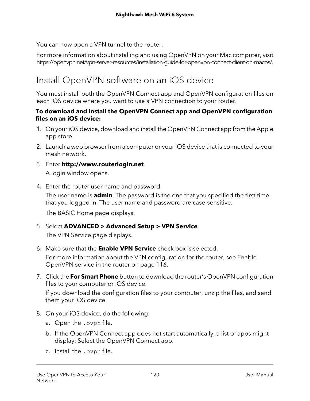You can now open a VPN tunnel to the router.

For more information about installing and using OpenVPN on your Mac computer, visit [https://openvpn.net/vpn-server-resources/installation-guide-for-openvpn-connect-client-on-macos/.](https://openvpn.net/vpn-server-resources/installation-guide-for-openvpn-connect-client-on-macos/)

## Install OpenVPN software on an iOS device

You must install both the OpenVPN Connect app and OpenVPN configuration files on each iOS device where you want to use a VPN connection to your router.

#### **To download and install the OpenVPN Connect app and OpenVPN configuration files on an iOS device:**

- 1. On youriOS device, download and install the OpenVPN Connect app from the Apple app store.
- 2. Launch a web browser from a computer or your iOS device that is connected to your mesh network.
- 3. Enter **http://www.routerlogin.net**. A login window opens.
- 4. Enter the router user name and password.

The user name is **admin**. The password is the one that you specified the first time that you logged in. The user name and password are case-sensitive.

The BASIC Home page displays.

5. Select **ADVANCED > Advanced Setup > VPN Service**.

The VPN Service page displays.

- 6. Make sure that the **Enable VPN Service** check box is selected. For more information about the VPN configuration for the router, see [Enable](#page-115-0) [OpenVPN](#page-115-0) service in the router on page 116.
- 7. Click the **For Smart Phone** button to download the router's OpenVPN configuration files to your computer or iOS device.

If you download the configuration files to your computer, unzip the files, and send them your iOS device.

- 8. On your iOS device, do the following:
	- a. Open the .ovpn file.
	- b. If the OpenVPN Connect app does not start automatically, a list of apps might display: Select the OpenVPN Connect app.
	- c. Install the .ovpn file.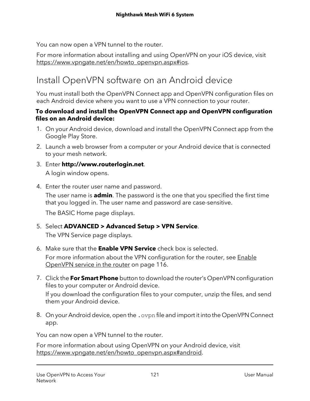You can now open a VPN tunnel to the router.

For more information about installing and using OpenVPN on your iOS device, visit [https://www.vpngate.net/en/howto\\_openvpn.aspx#ios.](https://www.vpngate.net/en/howto_openvpn.aspx#ios)

### Install OpenVPN software on an Android device

You must install both the OpenVPN Connect app and OpenVPN configuration files on each Android device where you want to use a VPN connection to your router.

#### **To download and install the OpenVPN Connect app and OpenVPN configuration files on an Android device:**

- 1. On your Android device, download and install the OpenVPN Connect app from the Google Play Store.
- 2. Launch a web browser from a computer or your Android device that is connected to your mesh network.
- 3. Enter **http://www.routerlogin.net**. A login window opens.
- 4. Enter the router user name and password.

The user name is **admin**. The password is the one that you specified the first time that you logged in. The user name and password are case-sensitive.

The BASIC Home page displays.

5. Select **ADVANCED > Advanced Setup > VPN Service**.

The VPN Service page displays.

- 6. Make sure that the **Enable VPN Service** check box is selected. For more information about the VPN configuration for the router, see [Enable](#page-115-0) [OpenVPN](#page-115-0) service in the router on page 116.
- 7. Click the **For Smart Phone** button to download the router's OpenVPN configuration files to your computer or Android device. If you download the configuration files to your computer, unzip the files, and send them your Android device.
- 8. On your Android device, open the . ovpn file and import it into the OpenVPN Connect app.

You can now open a VPN tunnel to the router.

For more information about using OpenVPN on your Android device, visit [https://www.vpngate.net/en/howto\\_openvpn.aspx#android.](https://www.vpngate.net/en/howto_openvpn.aspx#android)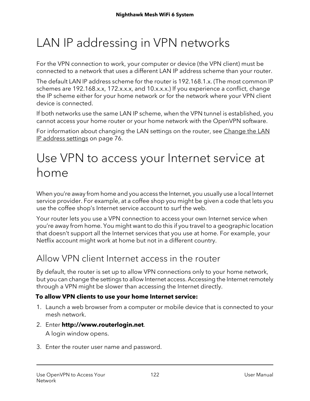# <span id="page-121-0"></span>LAN IP addressing in VPN networks

For the VPN connection to work, your computer or device (the VPN client) must be connected to a network that uses a different LAN IP address scheme than your router.

The default LAN IP address scheme for the router is 192.168.1.x. (The most common IP schemes are 192.168.x.x, 172.x.x.x, and 10.x.x.x.) If you experience a conflict, change the IP scheme either for your home network or for the network where your VPN client device is connected.

If both networks use the same LAN IP scheme, when the VPN tunnel is established, you cannot access your home router or your home network with the OpenVPN software.

<span id="page-121-1"></span>For information about changing the LAN settings on the router, see [Change](#page-75-0) the LAN IP [address](#page-75-0) settings on page 76.

# Use VPN to access your Internet service at home

When you're away from home and you access the Internet, you usually use a local Internet service provider. For example, at a coffee shop you might be given a code that lets you use the coffee shop's Internet service account to surf the web.

Your router lets you use a VPN connection to access your own Internet service when you're away from home. You might want to do this if you travel to a geographic location that doesn't support all the Internet services that you use at home. For example, your Netflix account might work at home but not in a different country.

### Allow VPN client Internet access in the router

By default, the router is set up to allow VPN connections only to your home network, but you can change the settings to allow Internet access. Accessing the Internet remotely through a VPN might be slower than accessing the Internet directly.

#### **To allow VPN clients to use your home Internet service:**

- 1. Launch a web browser from a computer or mobile device that is connected to your mesh network.
- 2. Enter **http://www.routerlogin.net**.

A login window opens.

3. Enter the router user name and password.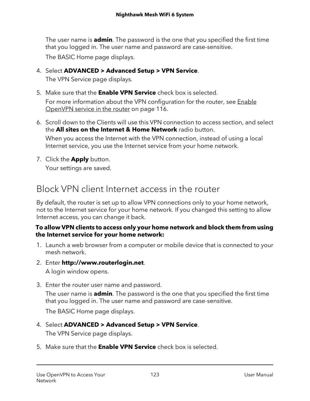The user name is **admin**. The password is the one that you specified the first time that you logged in. The user name and password are case-sensitive.

The BASIC Home page displays.

- 4. Select **ADVANCED > Advanced Setup > VPN Service**. The VPN Service page displays.
- 5. Make sure that the **Enable VPN Service** check box is selected. For more information about the VPN configuration for the router, see [Enable](#page-115-0) [OpenVPN](#page-115-0) service in the router on page 116.
- 6. Scroll down to the Clients will use this VPN connection to access section, and select the **All sites on the Internet & Home Network** radio button. When you access the Internet with the VPN connection, instead of using a local Internet service, you use the Internet service from your home network.
- 7. Click the **Apply** button. Your settings are saved.

Block VPN client Internet access in the router

By default, the router is set up to allow VPN connections only to your home network, not to the Internet service for your home network. If you changed this setting to allow Internet access, you can change it back.

#### **To allow VPN clients to access only your home network and block them from using the Internet service for your home network:**

- 1. Launch a web browser from a computer or mobile device that is connected to your mesh network.
- 2. Enter **http://www.routerlogin.net**. A login window opens.
- 3. Enter the router user name and password.

The user name is **admin**. The password is the one that you specified the first time that you logged in. The user name and password are case-sensitive.

The BASIC Home page displays.

- 4. Select **ADVANCED > Advanced Setup > VPN Service**. The VPN Service page displays.
- 5. Make sure that the **Enable VPN Service** check box is selected.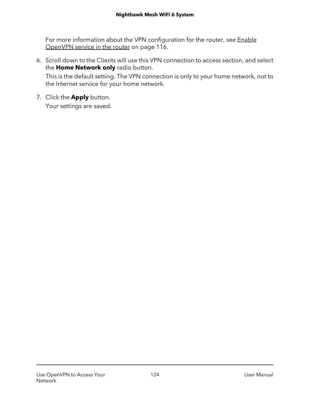For more information about the VPN configuration for the router, see [Enable](#page-115-0) [OpenVPN](#page-115-0) service in the router on page 116.

6. Scroll down to the Clients will use this VPN connection to access section, and select the **Home Network only** radio button.

This is the default setting. The VPN connection is only to your home network, not to the Internet service for your home network.

7. Click the **Apply** button.

Your settings are saved.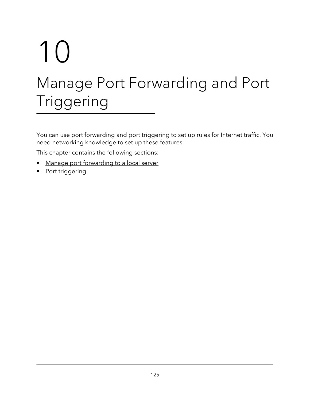# 10 Manage Port Forwarding and Port Triggering

You can use port forwarding and port triggering to set up rules for Internet traffic. You need networking knowledge to set up these features.

This chapter contains the following sections:

- Manage port [forwarding](#page-125-0) to a local server
- Port [triggering](#page-129-0)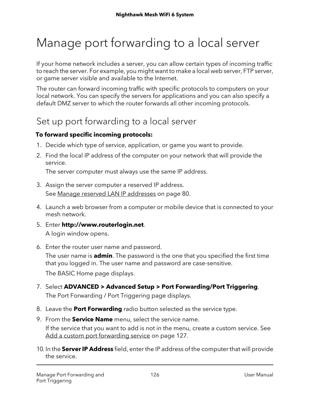# <span id="page-125-0"></span>Manage port forwarding to a local server

If your home network includes a server, you can allow certain types of incoming traffic to reach the server. For example, you might want to make a local web server, FTP server, or game server visible and available to the Internet.

The router can forward incoming traffic with specific protocols to computers on your local network. You can specify the servers for applications and you can also specify a default DMZ server to which the router forwards all other incoming protocols.

### Set up port forwarding to a local server

#### **To forward specific incoming protocols:**

- 1. Decide which type of service, application, or game you want to provide.
- 2. Find the local IP address of the computer on your network that will provide the service.

The server computer must always use the same IP address.

- 3. Assign the server computer a reserved IP address. See Manage reserved LAN IP [addresses](#page-79-0) on page 80.
- 4. Launch a web browser from a computer or mobile device that is connected to your mesh network.
- 5. Enter **http://www.routerlogin.net**. A login window opens.
- 6. Enter the router user name and password.

The user name is **admin**. The password is the one that you specified the first time that you logged in. The user name and password are case-sensitive.

The BASIC Home page displays.

- 7. Select **ADVANCED > Advanced Setup > Port Forwarding/Port Triggering**. The Port Forwarding / Port Triggering page displays.
- 8. Leave the **Port Forwarding** radio button selected as the service type.
- 9. From the **Service Name** menu, select the service name.

If the service that you want to add is not in the menu, create a custom service. See Add a custom port [forwarding](#page-126-0) service on page 127.

10. In the **ServerIP Address** field, enter the IP address of the computer that will provide the service.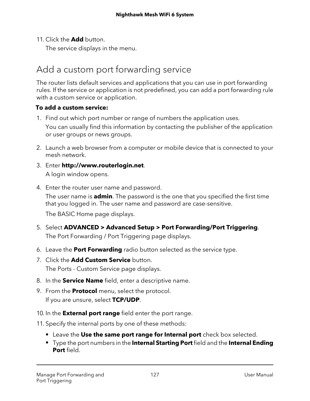11. Click the **Add** button.

The service displays in the menu.

### <span id="page-126-0"></span>Add a custom port forwarding service

The router lists default services and applications that you can use in port forwarding rules. If the service or application is not predefined, you can add a port forwarding rule with a custom service or application.

#### **To add a custom service:**

- 1. Find out which port number or range of numbers the application uses. You can usually find this information by contacting the publisher of the application or user groups or news groups.
- 2. Launch a web browser from a computer or mobile device that is connected to your mesh network.
- 3. Enter **http://www.routerlogin.net**. A login window opens.
- 4. Enter the router user name and password.

The user name is **admin**. The password is the one that you specified the first time that you logged in. The user name and password are case-sensitive.

The BASIC Home page displays.

- 5. Select **ADVANCED > Advanced Setup > Port Forwarding/Port Triggering**. The Port Forwarding / Port Triggering page displays.
- 6. Leave the **Port Forwarding** radio button selected as the service type.
- 7. Click the **Add Custom Service** button. The Ports - Custom Service page displays.
- 8. In the **Service Name** field, enter a descriptive name.
- 9. From the **Protocol** menu, select the protocol. If you are unsure, select **TCP/UDP**.
- 10. In the **External port range** field enter the port range.
- 11. Specify the internal ports by one of these methods:
	- **•** Leave the **Use the same port range for Internal port** check box selected.
	- **•** Type the port numbers in the **Internal Starting Port**field and the **Internal Ending Port** field.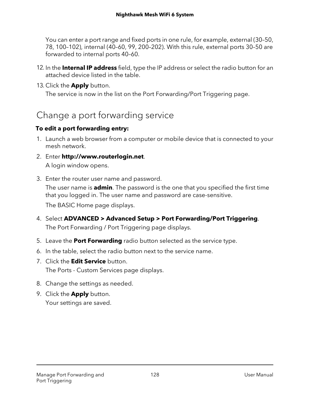You can enter a port range and fixed ports in one rule, for example, external (30–50, 78, 100–102), internal (40–60, 99, 200–202). With this rule, external ports 30–50 are forwarded to internal ports 40–60.

- 12. In the **Internal IP address** field, type the IP address or select the radio button for an attached device listed in the table.
- 13. Click the **Apply** button.

The service is now in the list on the Port Forwarding/Port Triggering page.

### Change a port forwarding service

#### **To edit a port forwarding entry:**

- 1. Launch a web browser from a computer or mobile device that is connected to your mesh network.
- 2. Enter **http://www.routerlogin.net**. A login window opens.
- 3. Enter the router user name and password.

The user name is **admin**. The password is the one that you specified the first time that you logged in. The user name and password are case-sensitive.

The BASIC Home page displays.

- 4. Select **ADVANCED > Advanced Setup > Port Forwarding/Port Triggering**. The Port Forwarding / Port Triggering page displays.
- 5. Leave the **Port Forwarding** radio button selected as the service type.
- 6. In the table, select the radio button next to the service name.
- 7. Click the **Edit Service** button. The Ports - Custom Services page displays.
- 8. Change the settings as needed.
- 9. Click the **Apply** button. Your settings are saved.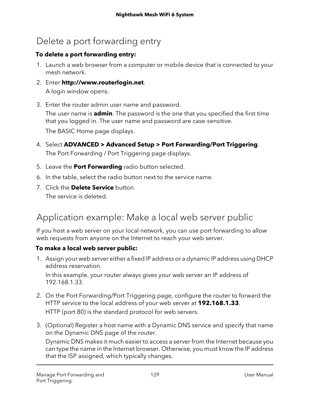# Delete a port forwarding entry

#### **To delete a port forwarding entry:**

- 1. Launch a web browser from a computer or mobile device that is connected to your mesh network.
- 2. Enter **http://www.routerlogin.net**. A login window opens.
- 3. Enter the router admin user name and password.

The user name is **admin**. The password is the one that you specified the first time that you logged in. The user name and password are case-sensitive.

The BASIC Home page displays.

- 4. Select **ADVANCED > Advanced Setup > Port Forwarding/Port Triggering**. The Port Forwarding / Port Triggering page displays.
- 5. Leave the **Port Forwarding** radio button selected.
- 6. In the table, select the radio button next to the service name.
- 7. Click the **Delete Service** button. The service is deleted.

## Application example: Make a local web server public

If you host a web server on your local network, you can use port forwarding to allow web requests from anyone on the Internet to reach your web server.

#### **To make a local web server public:**

1. Assign your web server either a fixed IP address or a dynamic IP address using DHCP address reservation.

In this example, your router always gives your web server an IP address of 192.168.1.33.

- 2. On the Port Forwarding/Port Triggering page, configure the router to forward the HTTP service to the local address of your web server at **192.168.1.33**. HTTP (port 80) is the standard protocol for web servers.
- 3. (Optional) Register a host name with a Dynamic DNS service and specify that name on the Dynamic DNS page of the router.

Dynamic DNS makes it much easier to access a server from the Internet because you can type the name in the Internet browser. Otherwise, you must know the IP address that the ISP assigned, which typically changes.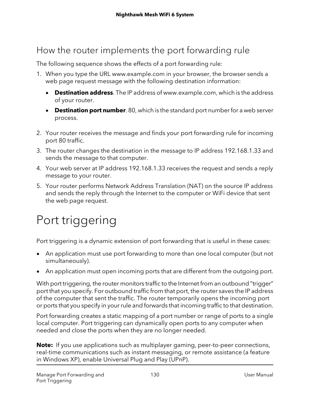## How the router implements the port forwarding rule

The following sequence shows the effects of a port forwarding rule:

- 1. When you type the URL www.example.com in your browser, the browser sends a web page request message with the following destination information:
	- **Destination address**. The IP address of www.example.com, which is the address of your router.
	- **Destination port number**. 80, which is the standard port numberfor a web server process.
- 2. Your router receives the message and finds your port forwarding rule for incoming port 80 traffic.
- 3. The router changes the destination in the message to IP address 192.168.1.33 and sends the message to that computer.
- 4. Your web server at IP address 192.168.1.33 receives the request and sends a reply message to your router.
- <span id="page-129-0"></span>5. Your router performs Network Address Translation (NAT) on the source IP address and sends the reply through the Internet to the computer or WiFi device that sent the web page request.

# Port triggering

Port triggering is a dynamic extension of port forwarding that is useful in these cases:

- An application must use port forwarding to more than one local computer (but not simultaneously).
- An application must open incoming ports that are different from the outgoing port.

With port triggering, the router monitors traffic to the Internet from an outbound "trigger" port that you specify. For outbound traffic from that port, the router saves the IP address of the computer that sent the traffic. The router temporarily opens the incoming port or ports that you specify in yourrule and forwards that incoming traffic to that destination.

Port forwarding creates a static mapping of a port number or range of ports to a single local computer. Port triggering can dynamically open ports to any computer when needed and close the ports when they are no longer needed.

**Note:** If you use applications such as multiplayer gaming, peer-to-peer connections, real-time communications such as instant messaging, or remote assistance (a feature in Windows XP), enable Universal Plug and Play (UPnP).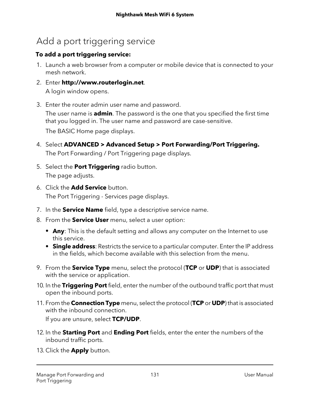### Add a port triggering service

#### **To add a port triggering service:**

- 1. Launch a web browser from a computer or mobile device that is connected to your mesh network.
- 2. Enter **http://www.routerlogin.net**. A login window opens.
- 3. Enter the router admin user name and password.

The user name is **admin**. The password is the one that you specified the first time that you logged in. The user name and password are case-sensitive.

The BASIC Home page displays.

- 4. Select **ADVANCED > Advanced Setup > Port Forwarding/Port Triggering.** The Port Forwarding / Port Triggering page displays.
- 5. Select the **Port Triggering** radio button. The page adjusts.
- 6. Click the **Add Service** button. The Port Triggering - Services page displays.
- 7. In the **Service Name** field, type a descriptive service name.
- 8. From the **Service User** menu, select a user option:
	- **• Any**: This is the default setting and allows any computer on the Internet to use this service.
	- **• Single address**: Restricts the service to a particular computer. Enter the IP address in the fields, which become available with this selection from the menu.
- 9. From the **Service Type** menu, select the protocol (**TCP** or **UDP**) that is associated with the service or application.
- 10. In the **Triggering Port** field, enter the number of the outbound traffic port that must open the inbound ports.
- 11. From the **Connection Type** menu, select the protocol (**TCP** or **UDP**) that is associated with the inbound connection. If you are unsure, select **TCP/UDP**.
- 12. In the **Starting Port** and **Ending Port** fields, enter the enter the numbers of the inbound traffic ports.
- 13. Click the **Apply** button.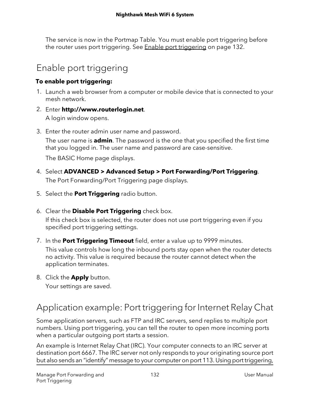The service is now in the Portmap Table. You must enable port triggering before the router uses port [triggering](#page-131-0). See **Enable port triggering on page 132.** 

## <span id="page-131-0"></span>Enable port triggering

#### **To enable port triggering:**

- 1. Launch a web browser from a computer or mobile device that is connected to your mesh network.
- 2. Enter **http://www.routerlogin.net**. A login window opens.
- 3. Enter the router admin user name and password.

The user name is **admin**. The password is the one that you specified the first time that you logged in. The user name and password are case-sensitive.

The BASIC Home page displays.

- 4. Select **ADVANCED > Advanced Setup > Port Forwarding/Port Triggering**. The Port Forwarding/Port Triggering page displays.
- 5. Select the **Port Triggering** radio button.
- 6. Clear the **Disable Port Triggering** check box.

If this check box is selected, the router does not use port triggering even if you specified port triggering settings.

- 7. In the **Port Triggering Timeout** field, enter a value up to 9999 minutes. This value controls how long the inbound ports stay open when the router detects no activity. This value is required because the router cannot detect when the application terminates.
- 8. Click the **Apply** button.

Your settings are saved.

## Application example: Port triggering for Internet Relay Chat

Some application servers, such as FTP and IRC servers, send replies to multiple port numbers. Using port triggering, you can tell the router to open more incoming ports when a particular outgoing port starts a session.

An example is Internet Relay Chat (IRC). Your computer connects to an IRC server at destination port 6667. The IRC server not only responds to your originating source port but also sends an "identify" message to your computer on port 113. Using port triggering,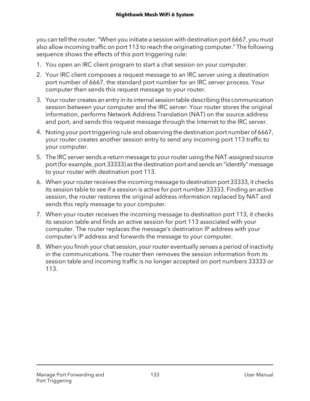you can tell the router,"When you initiate a session with destination port 6667, you must also allow incoming traffic on port 113 to reach the originating computer." The following sequence shows the effects of this port triggering rule:

- 1. You open an IRC client program to start a chat session on your computer.
- 2. Your IRC client composes a request message to an IRC server using a destination port number of 6667, the standard port number for an IRC server process. Your computer then sends this request message to your router.
- 3. Yourrouter creates an entry in its internal session table describing this communication session between your computer and the IRC server. Your router stores the original information, performs Network Address Translation (NAT) on the source address and port, and sends this request message through the Internet to the IRC server.
- 4. Noting your port triggering rule and observing the destination port number of 6667, your router creates another session entry to send any incoming port 113 traffic to your computer.
- 5. The IRC server sends a return message to your router using the NAT-assigned source port (for example, port 33333) as the destination port and sends an "identify" message to your router with destination port 113.
- 6. When yourrouterreceives the incoming message to destination port 33333, it checks its session table to see if a session is active for port number 33333. Finding an active session, the router restores the original address information replaced by NAT and sends this reply message to your computer.
- 7. When your router receives the incoming message to destination port 113, it checks its session table and finds an active session for port 113 associated with your computer. The router replaces the message's destination IP address with your computer's IP address and forwards the message to your computer.
- 8. When you finish your chat session, your router eventually senses a period of inactivity in the communications. The router then removes the session information from its session table and incoming traffic is no longer accepted on port numbers 33333 or 113.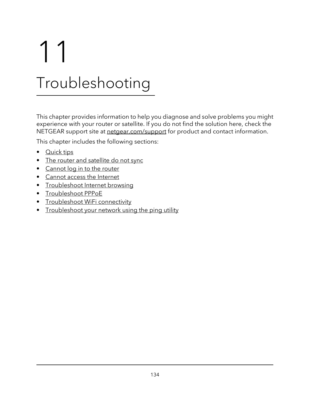# 11 Troubleshooting

This chapter provides information to help you diagnose and solve problems you might experience with your router or satellite. If you do not find the solution here, check the NETGEAR support site at [netgear.com/support](https://www.netgear.com/support/) for product and contact information.

This chapter includes the following sections:

- **[Quick](#page-134-0) tips**
- The router and [satellite](#page-134-1) do not sync
- [Cannot](#page-135-0) log in to the router
- Cannot access the [Internet](#page-136-0)
- [Troubleshoot](#page-137-0) Internet browsing
- [Troubleshoot](#page-138-0) PPPoE
- [Troubleshoot](#page-138-1) WiFi connectivity
- [Troubleshoot](#page-139-0) your network using the ping utility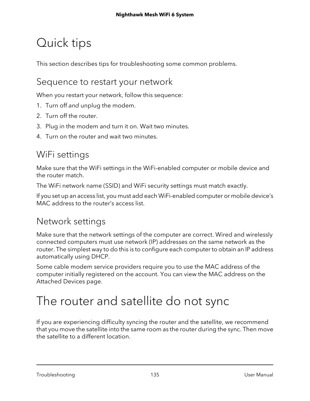# <span id="page-134-0"></span>Quick tips

<span id="page-134-2"></span>This section describes tips for troubleshooting some common problems.

### Sequence to restart your network

When you restart your network, follow this sequence:

- 1. Turn off and unplug the modem.
- 2. Turn off the router.
- 3. Plug in the modem and turn it on. Wait two minutes.
- 4. Turn on the router and wait two minutes.

### WiFi settings

Make sure that the WiFi settings in the WiFi-enabled computer or mobile device and the router match.

The WiFi network name (SSID) and WiFi security settings must match exactly.

If you set up an access list, you must add each WiFi-enabled computer or mobile device's MAC address to the router's access list.

### Network settings

Make sure that the network settings of the computer are correct. Wired and wirelessly connected computers must use network (IP) addresses on the same network as the router. The simplest way to do this is to configure each computer to obtain an IP address automatically using DHCP.

<span id="page-134-1"></span>Some cable modem service providers require you to use the MAC address of the computer initially registered on the account. You can view the MAC address on the Attached Devices page.

# The router and satellite do not sync

If you are experiencing difficulty syncing the router and the satellite, we recommend that you move the satellite into the same room as the router during the sync. Then move the satellite to a different location.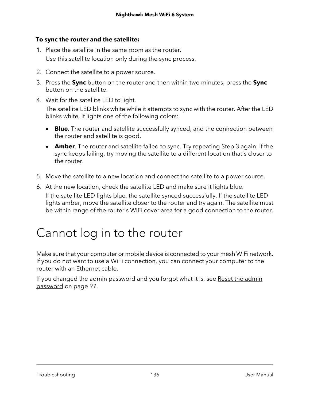#### **To sync the router and the satellite:**

- 1. Place the satellite in the same room as the router. Use this satellite location only during the sync process.
- 2. Connect the satellite to a power source.
- 3. Press the **Sync** button on the router and then within two minutes, press the **Sync** button on the satellite.
- 4. Wait for the satellite LED to light.

The satellite LED blinks white while it attempts to sync with the router. After the LED blinks white, it lights one of the following colors:

- **Blue**. The router and satellite successfully synced, and the connection between the router and satellite is good.
- **Amber**. The router and satellite failed to sync. Try repeating Step 3 again. If the sync keeps failing, try moving the satellite to a different location that's closer to the router.
- 5. Move the satellite to a new location and connect the satellite to a power source.
- <span id="page-135-0"></span>6. At the new location, check the satellite LED and make sure it lights blue. If the satellite LED lights blue, the satellite synced successfully. If the satellite LED lights amber, move the satellite closer to the router and try again. The satellite must be within range of the router's WiFi cover area for a good connection to the router.

# Cannot log in to the router

Make sure that your computer or mobile device is connected to your mesh WiFi network. If you do not want to use a WiFi connection, you can connect your computer to the router with an Ethernet cable.

If you changed the [admin](#page-96-0) password and you forgot what it is, see Reset the admin [password](#page-96-0) on page 97.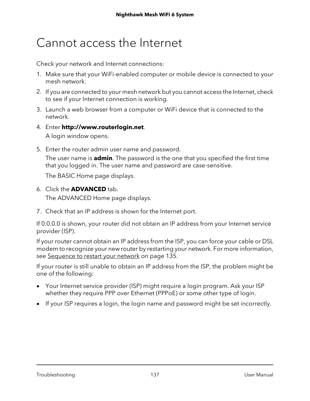# <span id="page-136-0"></span>Cannot access the Internet

Check your network and Internet connections:

- 1. Make sure that your WiFi-enabled computer or mobile device is connected to your mesh network.
- 2. If you are connected to your mesh network but you cannot access the Internet, check to see if your Internet connection is working.
- 3. Launch a web browser from a computer or WiFi device that is connected to the network.
- 4. Enter **http://www.routerlogin.net**.

A login window opens.

5. Enter the router admin user name and password.

The user name is **admin**. The password is the one that you specified the first time that you logged in. The user name and password are case-sensitive.

The BASIC Home page displays.

6. Click the **ADVANCED** tab.

The ADVANCED Home page displays.

7. Check that an IP address is shown for the Internet port.

If 0.0.0.0 is shown, your router did not obtain an IP address from your Internet service provider (ISP).

If your router cannot obtain an IP address from the ISP, you can force your cable or DSL modem to recognize your new router by restarting your network. For more information, see [Sequence](#page-134-2) to restart your network on page 135.

If your router is still unable to obtain an IP address from the ISP, the problem might be one of the following:

- Your Internet service provider (ISP) might require a login program. Ask your ISP whether they require PPP over Ethernet (PPPoE) or some other type of login.
- If your ISP requires a login, the login name and password might be set incorrectly.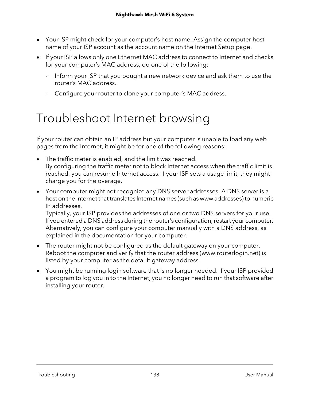- Your ISP might check for your computer's host name. Assign the computer host name of your ISP account as the account name on the Internet Setup page.
- If your ISP allows only one Ethernet MAC address to connect to Internet and checks for your computer's MAC address, do one of the following:
	- Inform your ISP that you bought a new network device and ask them to use the router's MAC address.
	- Configure your router to clone your computer's MAC address.

# <span id="page-137-0"></span>Troubleshoot Internet browsing

If your router can obtain an IP address but your computer is unable to load any web pages from the Internet, it might be for one of the following reasons:

- The traffic meter is enabled, and the limit was reached. By configuring the traffic meter not to block Internet access when the traffic limit is reached, you can resume Internet access. If your ISP sets a usage limit, they might charge you for the overage.
- Your computer might not recognize any DNS server addresses. A DNS server is a host on the Internet that translates Internet names (such as www addresses) to numeric IP addresses.

Typically, your ISP provides the addresses of one or two DNS servers for your use. If you entered a DNS address during the router's configuration, restart your computer. Alternatively, you can configure your computer manually with a DNS address, as explained in the documentation for your computer.

- The router might not be configured as the default gateway on your computer. Reboot the computer and verify that the router address (www.routerlogin.net) is listed by your computer as the default gateway address.
- You might be running login software that is no longer needed. If your ISP provided a program to log you in to the Internet, you no longer need to run that software after installing your router.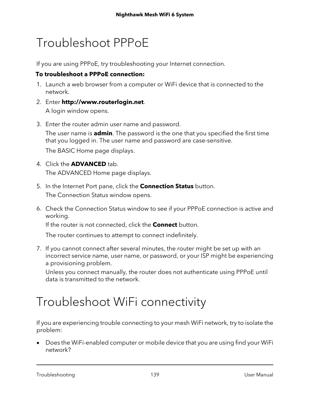# <span id="page-138-0"></span>Troubleshoot PPPoE

If you are using PPPoE, try troubleshooting your Internet connection.

#### **To troubleshoot a PPPoE connection:**

- 1. Launch a web browser from a computer or WiFi device that is connected to the network.
- 2. Enter **http://www.routerlogin.net**. A login window opens.
- 3. Enter the router admin user name and password.

The user name is **admin**. The password is the one that you specified the first time that you logged in. The user name and password are case-sensitive.

The BASIC Home page displays.

- 4. Click the **ADVANCED** tab. The ADVANCED Home page displays.
- 5. In the Internet Port pane, click the **Connection Status** button. The Connection Status window opens.
- 6. Check the Connection Status window to see if your PPPoE connection is active and working.

If the router is not connected, click the **Connect** button.

The router continues to attempt to connect indefinitely.

7. If you cannot connect after several minutes, the router might be set up with an incorrect service name, user name, or password, or your ISP might be experiencing a provisioning problem.

<span id="page-138-1"></span>Unless you connect manually, the router does not authenticate using PPPoE until data is transmitted to the network.

# Troubleshoot WiFi connectivity

If you are experiencing trouble connecting to your mesh WiFi network, try to isolate the problem:

• Does the WiFi-enabled computer or mobile device that you are using find your WiFi network?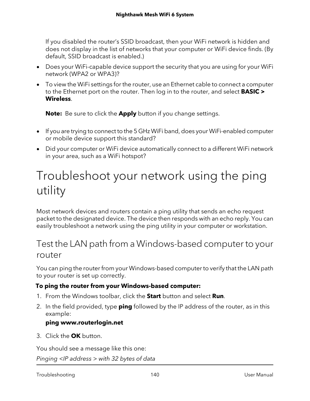If you disabled the router's SSID broadcast, then your WiFi network is hidden and does not display in the list of networks that your computer or WiFi device finds. (By default, SSID broadcast is enabled.)

- Does your WiFi-capable device support the security that you are using for your WiFi network (WPA2 or WPA3)?
- To view the WiFi settings for the router, use an Ethernet cable to connect a computer to the Ethernet port on the router. Then log in to the router, and select **BASIC > Wireless**.

**Note:** Be sure to click the **Apply** button if you change settings.

- If you are trying to connect to the 5 GHz WiFi band, does your WiFi-enabled computer or mobile device support this standard?
- <span id="page-139-0"></span>• Did your computer or WiFi device automatically connect to a different WiFi network in your area, such as a WiFi hotspot?

# Troubleshoot your network using the ping utility

<span id="page-139-1"></span>Most network devices and routers contain a ping utility that sends an echo request packet to the designated device. The device then responds with an echo reply. You can easily troubleshoot a network using the ping utility in your computer or workstation.

### Test the LAN path from a Windows-based computer to your router

You can ping the router from your Windows-based computer to verify that the LAN path to your router is set up correctly.

#### **To ping the router from your Windows-based computer:**

- 1. From the Windows toolbar, click the **Start** button and select **Run**.
- 2. In the field provided, type **ping** followed by the IP address of the router, as in this example:

#### **ping www.routerlogin.net**

3. Click the **OK** button.

You should see a message like this one:

Pinging <IP address > with 32 bytes of data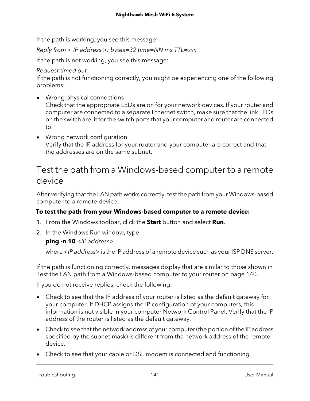If the path is working, you see this message:

Reply from < IP address >: bytes=32 time=NN ms TTL=xxx

If the path is not working, you see this message:

#### Request timed out

If the path is not functioning correctly, you might be experiencing one of the following problems:

- Wrong physical connections Check that the appropriate LEDs are on for your network devices. If your router and computer are connected to a separate Ethernet switch, make sure that the link LEDs on the switch are lit for the switch ports that your computer and router are connected to.
- Wrong network configuration Verify that the IP address for your router and your computer are correct and that the addresses are on the same subnet.

### Test the path from a Windows-based computer to a remote device

After verifying that the LAN path works correctly, test the path from your Windows-based computer to a remote device.

#### **To test the path from your Windows-based computer to a remote device:**

- 1. From the Windows toolbar, click the **Start** button and select **Run**.
- 2. In the Windows Run window, type:

#### **ping -n 10** <IP address>

where <IP address> is the IP address of a remote device such as your ISP DNS server.

If the path is functioning correctly, messages display that are similar to those shown in Test the LAN path from a [Windows-based](#page-139-1) computer to your router on page 140.

If you do not receive replies, check the following:

- Check to see that the IP address of your router is listed as the default gateway for your computer. If DHCP assigns the IP configuration of your computers, this information is not visible in your computer Network Control Panel. Verify that the IP address of the router is listed as the default gateway.
- Check to see that the network address of your computer (the portion of the IP address specified by the subnet mask) is different from the network address of the remote device.
- Check to see that your cable or DSL modem is connected and functioning.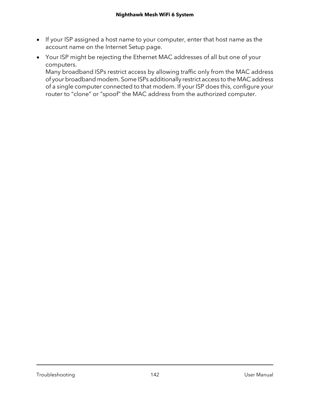- If your ISP assigned a host name to your computer, enter that host name as the account name on the Internet Setup page.
- Your ISP might be rejecting the Ethernet MAC addresses of all but one of your computers.

Many broadband ISPs restrict access by allowing traffic only from the MAC address of your broadband modem. Some ISPs additionally restrict access to the MAC address of a single computer connected to that modem. If your ISP does this, configure your router to "clone" or "spoof" the MAC address from the authorized computer.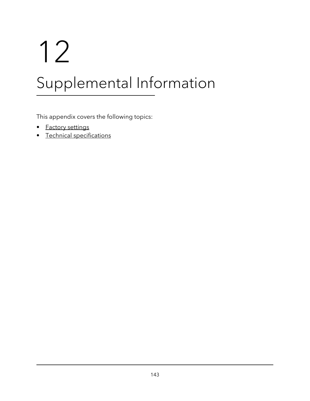# 12

# Supplemental Information

This appendix covers the following topics:

- Factory [settings](#page-143-0)
- Technical [specifications](#page-146-0)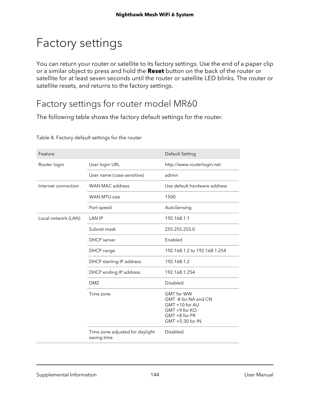# <span id="page-143-0"></span>Factory settings

You can return your router or satellite to its factory settings. Use the end of a paper clip or a similar object to press and hold the **Reset** button on the back of the router or satellite for at least seven seconds until the router or satellite LED blinks. The router or satellite resets, and returns to the factory settings.

### Factory settings for router model MR60

The following table shows the factory default settings for the router.

| Feature             |                                                | Default Setting                                                                                                   |
|---------------------|------------------------------------------------|-------------------------------------------------------------------------------------------------------------------|
| Router login        | User login URL                                 | http://www.routerlogin.net                                                                                        |
|                     | User name (case-sensitive)                     | admin                                                                                                             |
| Internet connection | <b>WAN MAC address</b>                         | Use default hardware address                                                                                      |
|                     | WAN MTU size                                   | 1500                                                                                                              |
|                     | Port speed                                     | AutoSensing                                                                                                       |
| Local network (LAN) | <b>LAN IP</b>                                  | 192.168.1.1                                                                                                       |
|                     | Subnet mask                                    | 255.255.255.0                                                                                                     |
|                     | <b>DHCP</b> server                             | Enabled                                                                                                           |
|                     | DHCP range                                     | 192.168.1.2 to 192.168.1.254                                                                                      |
|                     | DHCP starting IP address                       | 192.168.1.2                                                                                                       |
|                     | DHCP ending IP address                         | 192.168.1.254                                                                                                     |
|                     | <b>DMZ</b>                                     | Disabled                                                                                                          |
|                     | Time zone                                      | <b>GMT</b> for WW<br>GMT -8 for NA and CN<br>GMT +10 for AU<br>GMT +9 for KO<br>GMT +8 for PR<br>GMT +5:30 for IN |
|                     | Time zone adjusted for daylight<br>saving time | Disabled                                                                                                          |

Table 4. Factory default settings for the router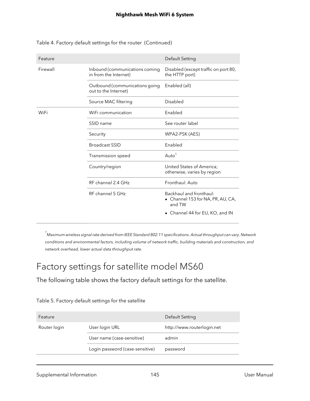| Feature  |                                                         | Default Setting                                                        |
|----------|---------------------------------------------------------|------------------------------------------------------------------------|
| Firewall | Inbound (communications coming<br>in from the Internet) | Disabled (except traffic on port 80,<br>the HTTP port)                 |
|          | Outbound (communications going<br>out to the Internet)  | Enabled (all)                                                          |
|          | Source MAC filtering                                    | Disabled                                                               |
| WiFi     | WiFi communication                                      | Enabled                                                                |
|          | SSID name                                               | See router label                                                       |
|          | Security                                                | WPA2-PSK (AES)                                                         |
|          | <b>Broadcast SSID</b>                                   | Enabled                                                                |
|          | Transmission speed                                      | Auto <sup>1</sup>                                                      |
|          | Country/region                                          | United States of America;<br>otherwise, varies by region               |
|          | RF channel 2.4 GHz                                      | Fronthaul: Auto                                                        |
|          | RF channel 5 GHz                                        | Backhaul and fronthaul:<br>• Channel 153 for NA, PR, AU, CA,<br>and TW |
|          |                                                         | • Channel 44 for EU, KO, and IN                                        |

Table 4. Factory default settings for the router (Continued)

 $^{\rm 1}$ Maximum wireless signal rate derived from IEEE Standard 802.11 specifications. Actual throughput can vary. Network conditions and environmental factors, including volume of network traffic, building materials and construction, and network overhead, lower actual data throughput rate.

### Factory settings for satellite model MS60

The following table shows the factory default settings for the satellite.

| Feature      |                                 | Default Setting            |
|--------------|---------------------------------|----------------------------|
| Router login | User login URL                  | http://www.routerlogin.net |
|              | User name (case-sensitive)      | admin                      |
|              | Login password (case-sensitive) | password                   |
|              |                                 |                            |

#### Table 5. Factory default settings for the satellite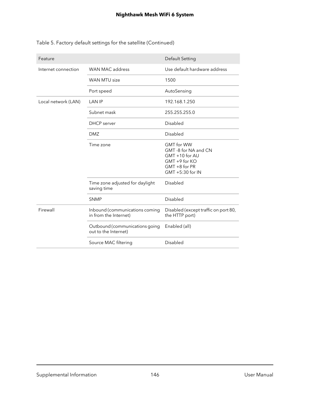|  | Table 5. Factory default settings for the satellite (Continued) |  |
|--|-----------------------------------------------------------------|--|
|--|-----------------------------------------------------------------|--|

| Feature             |                                                         | Default Setting                                                                                                      |
|---------------------|---------------------------------------------------------|----------------------------------------------------------------------------------------------------------------------|
| Internet connection | WAN MAC address                                         | Use default hardware address                                                                                         |
|                     | <b>WAN MTU size</b>                                     | 1500                                                                                                                 |
|                     | Port speed                                              | AutoSensing                                                                                                          |
| Local network (LAN) | <b>LAN IP</b>                                           | 192.168.1.250                                                                                                        |
|                     | Subnet mask                                             | 255.255.255.0                                                                                                        |
|                     | <b>DHCP</b> server                                      | Disabled                                                                                                             |
|                     | <b>DMZ</b>                                              | Disabled                                                                                                             |
|                     | Time zone                                               | <b>GMT</b> for WW<br>GMT -8 for NA and CN<br>GMT +10 for AU<br>GMT +9 for KO<br>$GMT + 8$ for PR<br>GMT +5:30 for IN |
|                     | Time zone adjusted for daylight<br>saving time          | Disabled                                                                                                             |
|                     | <b>SNMP</b>                                             | <b>Disabled</b>                                                                                                      |
| Firewall            | Inbound (communications coming<br>in from the Internet) | Disabled (except traffic on port 80,<br>the HTTP port)                                                               |
|                     | Outbound (communications going<br>out to the Internet)  | Enabled (all)                                                                                                        |
|                     | Source MAC filtering                                    | Disabled                                                                                                             |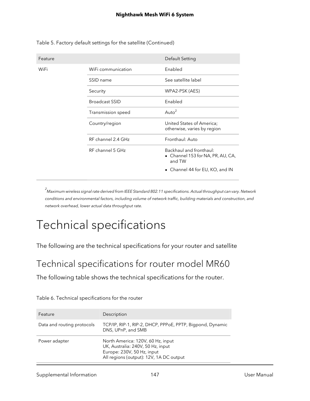| Feature |                       | Default Setting                                                        |
|---------|-----------------------|------------------------------------------------------------------------|
| WiFi    | WiFi communication    | Enabled                                                                |
|         | SSID name             | See satellite label                                                    |
|         | Security              | WPA2-PSK (AES)                                                         |
|         | <b>Broadcast SSID</b> | Enabled                                                                |
|         | Transmission speed    | Auto $2$                                                               |
|         | Country/region        | United States of America;<br>otherwise, varies by region               |
|         | RF channel 2.4 GHz    | Fronthaul: Auto                                                        |
|         | RF channel 5 GHz      | Backhaul and fronthaul:<br>• Channel 153 for NA, PR, AU, CA,<br>and TW |
|         |                       | • Channel 44 for EU, KO, and IN                                        |

Table 5. Factory default settings for the satellite (Continued)

<sup>2</sup> Maximum wireless signal rate derived from IEEE Standard 802.11 specifications. Actual throughput can vary. Network conditions and environmental factors, including volume of network traffic, building materials and construction, and network overhead, lower actual data throughput rate.

# Technical specifications

The following are the technical specifications for your router and satellite

### Technical specifications for router model MR60

The following table shows the technical specifications for the router.

| Feature                    | Description                                                                                                                                     |
|----------------------------|-------------------------------------------------------------------------------------------------------------------------------------------------|
| Data and routing protocols | TCP/IP, RIP-1, RIP-2, DHCP, PPPoE, PPTP, Bigpond, Dynamic<br>DNS, UPnP, and SMB                                                                 |
| Power adapter              | North America: 120V, 60 Hz, input<br>UK, Australia: 240V, 50 Hz, input<br>Europe: 230V, 50 Hz, input<br>All regions (output): 12V, 1A DC output |

|  | Table 6. Technical specifications for the router |  |
|--|--------------------------------------------------|--|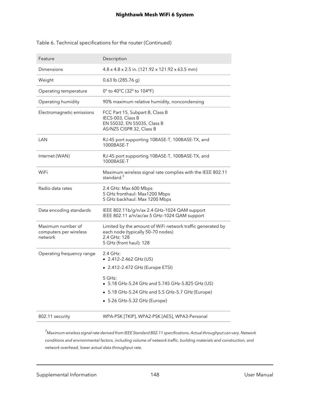| Feature                                                | Description                                                                                                                                |
|--------------------------------------------------------|--------------------------------------------------------------------------------------------------------------------------------------------|
| Dimensions                                             | 4.8 x 4.8 x 2.5 in. (121.92 x 121.92 x 63.5 mm)                                                                                            |
| Weight                                                 | 0.63 lb (285.76 g)                                                                                                                         |
| Operating temperature                                  | 0° to 40°C (32° to 104°F)                                                                                                                  |
| Operating humidity                                     | 90% maximum relative humidity, noncondensing                                                                                               |
| Electromagnetic emissions                              | FCC Part 15, Subpart B, Class B<br>IECS-003, Class B<br>EN 55032, EN 55035, Class B<br>AS/NZS CISPR 32, Class B                            |
| LAN                                                    | RJ-45 port supporting 10BASE-T, 100BASE-TX, and<br>1000BASE-T                                                                              |
| Internet (WAN)                                         | RJ-45 port supporting 10BASE-T, 100BASE-TX, and<br>1000BASE-T                                                                              |
| WiFi                                                   | Maximum wireless signal rate complies with the IEEE 802.11<br>standard. $3$                                                                |
| Radio data rates                                       | 2.4 GHz: Max 600 Mbps<br>5 GHz fronthaul: Max1200 Mbps<br>5 GHz backhaul: Max 1200 Mbps                                                    |
| Data encoding standards                                | IEEE 802.11b/g/n/ax 2.4 GHz-1024 QAM support<br>IEEE 802.11 a/n/ac/ax 5 GHz-1024 QAM support                                               |
| Maximum number of<br>computers per wireless<br>network | Limited by the amount of WiFi network traffic generated by<br>each node (typically 50-70 nodes)<br>2.4 GHz: 128<br>5 GHz (front haul): 128 |
| Operating frequency range                              | 2.4 GHz:<br>$\bullet$ 2.412-2.462 GHz (US)                                                                                                 |
|                                                        | • 2.412-2.472 GHz (Europe ETSI)                                                                                                            |
|                                                        | 5 GHz:<br>5.18 GHz-5.24 GHz and 5.745 GHz-5.825 GHz (US)                                                                                   |
|                                                        | 5.18 GHz-5.24 GHz and 5.5 GHz-5.7 GHz (Europe)                                                                                             |
|                                                        | • 5.26 GHz-5.32 GHz (Europe)                                                                                                               |
| 802.11 security                                        | WPA-PSK [TKIP], WPA2-PSK [AES], WPA3-Personal                                                                                              |

#### Table 6. Technical specifications for the router (Continued)

 $^3$ Maximum wireless signal rate derived from IEEE Standard 802.11 specifications. Actual throughput can vary. Network conditions and environmental factors, including volume of network traffic, building materials and construction, and network overhead, lower actual data throughput rate.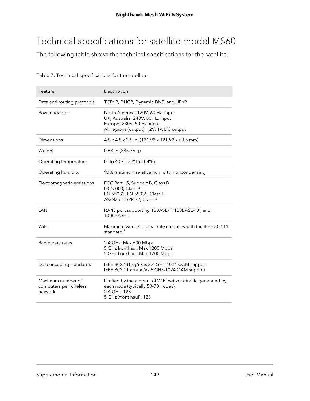## Technical specifications for satellite model MS60

The following table shows the technical specifications for the satellite.

| Feature                                                | Description                                                                                                                                     |
|--------------------------------------------------------|-------------------------------------------------------------------------------------------------------------------------------------------------|
| Data and routing protocols                             | TCP/IP, DHCP, Dynamic DNS, and UPnP                                                                                                             |
| Power adapter                                          | North America: 120V, 60 Hz, input<br>UK, Australia: 240V, 50 Hz, input<br>Europe: 230V, 50 Hz, input<br>All regions (output): 12V, 1A DC output |
| Dimensions                                             | 4.8 x 4.8 x 2.5 in. (121.92 x 121.92 x 63.5 mm)                                                                                                 |
| Weight                                                 | $0.63$ lb (285.76 g)                                                                                                                            |
| Operating temperature                                  | 0° to 40°C (32° to 104°F)                                                                                                                       |
| Operating humidity                                     | 90% maximum relative humidity, noncondensing                                                                                                    |
| Electromagnetic emissions                              | FCC Part 15, Subpart B, Class B<br>IECS-003, Class B<br>EN 55032, EN 55035, Class B<br>AS/NZS CISPR 32, Class B                                 |
| LAN                                                    | RJ-45 port supporting 10BASE-T, 100BASE-TX, and<br>1000BASE-T                                                                                   |
| WiFi                                                   | Maximum wireless signal rate complies with the IEEE 802.11<br>standard. <sup>4</sup>                                                            |
| Radio data rates                                       | 2.4 GHz: Max 600 Mbps<br>5 GHz fronthaul: Max 1200 Mbps<br>5 GHz backhaul: Max 1200 Mbps                                                        |
| Data encoding standards                                | IEEE 802.11b/g/n/ax 2.4 GHz-1024 QAM support<br>IEEE 802.11 a/n/ac/ax 5 GHz-1024 QAM support                                                    |
| Maximum number of<br>computers per wireless<br>network | Limited by the amount of WiFi network traffic generated by<br>each node (typically 50-70 nodes).<br>2.4 GHz: 128<br>5 GHz (front haul): 128     |

#### Table 7. Technical specifications for the satellite